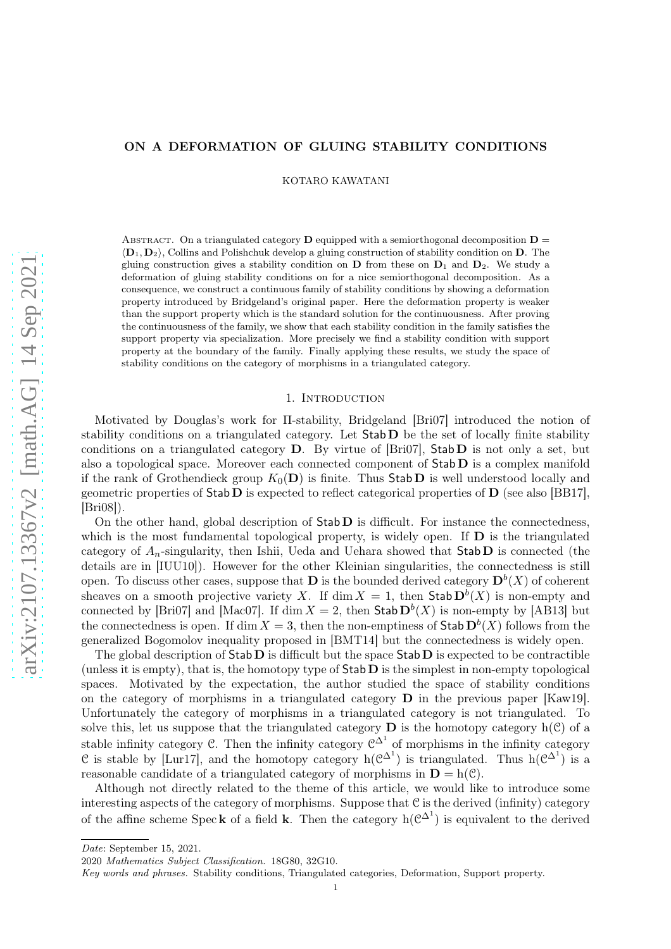# ON A DEFORMATION OF GLUING STABILITY CONDITIONS

KOTARO KAWATANI

ABSTRACT. On a triangulated category **D** equipped with a semiorthogonal decomposition  $D =$  $\langle \mathbf{D}_1, \mathbf{D}_2 \rangle$ , Collins and Polishchuk develop a gluing construction of stability condition on D. The gluing construction gives a stability condition on  $\mathbf{D}$  from these on  $\mathbf{D}_1$  and  $\mathbf{D}_2$ . We study a deformation of gluing stability conditions on for a nice semiorthogonal decomposition. As a consequence, we construct a continuous family of stability conditions by showing a deformation property introduced by Bridgeland's original paper. Here the deformation property is weaker than the support property which is the standard solution for the continuousness. After proving the continuousness of the family, we show that each stability condition in the family satisfies the support property via specialization. More precisely we find a stability condition with support property at the boundary of the family. Finally applying these results, we study the space of stability conditions on the category of morphisms in a triangulated category.

### 1. INTRODUCTION

Motivated by Douglas's work for Π-stability, Bridgeland [Bri07] introduced the notion of stability conditions on a triangulated category. Let  $Stab D$  be the set of locally finite stability conditions on a triangulated category  $D$ . By virtue of [Bri07], Stab  $D$  is not only a set, but also a topological space. Moreover each connected component of  $\text{Stab } D$  is a complex manifold if the rank of Grothendieck group  $K_0(\mathbf{D})$  is finite. Thus Stab D is well understood locally and geometric properties of  $\text{Stab } D$  is expected to reflect categorical properties of  $D$  (see also [BB17], [Bri08]).

On the other hand, global description of  $\text{Stab } D$  is difficult. For instance the connectedness, which is the most fundamental topological property, is widely open. If  $\bf{D}$  is the triangulated category of  $A_n$ -singularity, then Ishii, Ueda and Uehara showed that Stab D is connected (the details are in [IUU10]). However for the other Kleinian singularities, the connectedness is still open. To discuss other cases, suppose that **D** is the bounded derived category  $\mathbf{D}^{b}(X)$  of coherent sheaves on a smooth projective variety X. If  $\dim X = 1$ , then  $\mathsf{Stab}\,\mathbf{D}^b(X)$  is non-empty and connected by [Bri07] and [Mac07]. If dim  $X = 2$ , then Stab  $\mathbf{D}^{b}(X)$  is non-empty by [AB13] but the connectedness is open. If dim  $X = 3$ , then the non-emptiness of Stab  $D^b(X)$  follows from the generalized Bogomolov inequality proposed in [BMT14] but the connectedness is widely open.

The global description of  $Stab D$  is difficult but the space  $Stab D$  is expected to be contractible (unless it is empty), that is, the homotopy type of  $\text{Stab}\,\mathbf{D}$  is the simplest in non-empty topological spaces. Motivated by the expectation, the author studied the space of stability conditions on the category of morphisms in a triangulated category  $\bf{D}$  in the previous paper [Kaw19]. Unfortunately the category of morphisms in a triangulated category is not triangulated. To solve this, let us suppose that the triangulated category  $\bf{D}$  is the homotopy category  $h(\mathcal{C})$  of a stable infinity category C. Then the infinity category  $\mathcal{C}^{\Delta^1}$  of morphisms in the infinity category C is stable by [Lur17], and the homotopy category  $h(\mathcal{C}^{\Delta^1})$  is triangulated. Thus  $h(\mathcal{C}^{\Delta^1})$  is a reasonable candidate of a triangulated category of morphisms in  $D = h(\mathcal{C})$ .

Although not directly related to the theme of this article, we would like to introduce some interesting aspects of the category of morphisms. Suppose that  $C$  is the derived (infinity) category of the affine scheme Speck of a field k. Then the category  $h(\mathcal{C}^{\Delta^1})$  is equivalent to the derived

Date: September 15, 2021.

<sup>2020</sup> Mathematics Subject Classification. 18G80, 32G10.

Key words and phrases. Stability conditions, Triangulated categories, Deformation, Support property.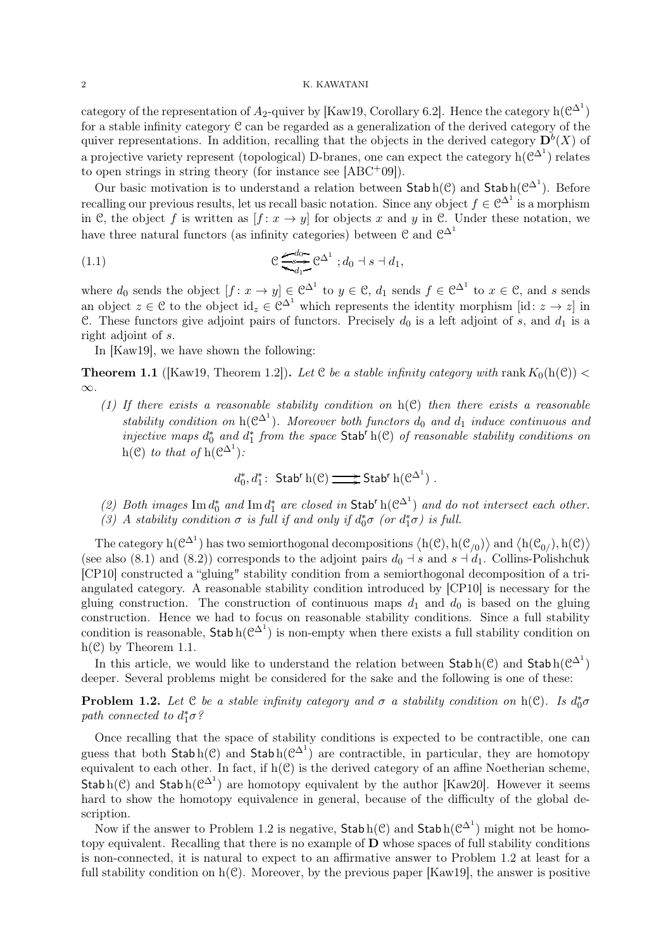category of the representation of  $A_2$ -quiver by [Kaw19, Corollary 6.2]. Hence the category  $h(\mathcal{C}^{\Delta^1})$ for a stable infinity category C can be regarded as a generalization of the derived category of the quiver representations. In addition, recalling that the objects in the derived category  $\mathbf{D}^{b}(X)$  of a projective variety represent (topological) D-branes, one can expect the category  $h(\mathcal{C}^{\Delta^1})$  relates to open strings in string theory (for instance see  $[ABC^+09]$ ).

Our basic motivation is to understand a relation between  $\text{Stab}\,h(\mathcal{C})$  and  $\text{Stab}\,h(\mathcal{C}^{\Delta^1})$ . Before recalling our previous results, let us recall basic notation. Since any object  $f \in \mathbb{C}^{\Delta^1}$  is a morphism in C, the object f is written as  $[f: x \rightarrow y]$  for objects x and y in C. Under these notation, we have three natural functors (as infinity categories) between  $\mathcal{C}$  and  $\mathcal{C}^{\Delta^1}$ 

(1.1) 
$$
e \underbrace{G_0^{d_0}}_{d_1} e^{\Delta^1} ; d_0 + s + d_1,
$$

where  $d_0$  sends the object  $[f: x \to y] \in \mathbb{C}^{\Delta^1}$  to  $y \in \mathbb{C}$ ,  $d_1$  sends  $f \in \mathbb{C}^{\Delta^1}$  to  $x \in \mathbb{C}$ , and s sends an object  $z \in \mathcal{C}$  to the object  $id_z \in \mathcal{C}^{\Delta^1}$  which represents the identity morphism [id:  $z \to z$ ] in C. These functors give adjoint pairs of functors. Precisely  $d_0$  is a left adjoint of s, and  $d_1$  is a right adjoint of s.

In [Kaw19], we have shown the following:

**Theorem 1.1** ([Kaw19, Theorem 1.2]). Let C be a stable infinity category with rank  $K_0(h(\mathcal{C}))$  < ∞.

(1) If there exists a reasonable stability condition on  $h(\mathcal{C})$  then there exists a reasonable stability condition on  $h(\mathcal{C}^{\Delta^1})$ . Moreover both functors  $d_0$  and  $d_1$  induce continuous and injective maps  $d_0^*$  and  $d_1^*$  from the space Stab<sup>r</sup> h(C) of reasonable stability conditions on  $h(\mathcal{C})$  to that of  $h(\mathcal{C}^{\Delta^1})$ :

 $d_0^*,d_1^*$ : Stab<sup>r</sup> h(C)  $\Longrightarrow$  Stab<sup>r</sup> h(C<sup> $\Delta^1$ </sup>).

- (2) Both images  $\text{Im } d_0^*$  and  $\text{Im } d_1^*$  are closed in Stab<sup>r</sup> h( $\mathcal{C}^{\Delta^1}$ ) and do not intersect each other.
- (3) A stability condition  $\sigma$  is full if and only if  $d_0^* \sigma$  (or  $d_1^* \sigma$ ) is full.

The category  $h(\mathcal{C}^{\Delta^1})$  has two semiorthogonal decompositions  $\langle h(\mathcal{C}), h(\mathcal{C}_{/0}) \rangle$  and  $\langle h(\mathcal{C}_{0/}), h(\mathcal{C}) \rangle$ (see also (8.1) and (8.2)) corresponds to the adjoint pairs  $d_0 \dashv s$  and  $s \dashv d_1$ . Collins-Polishchuk [CP10] constructed a "gluing" stability condition from a semiorthogonal decomposition of a triangulated category. A reasonable stability condition introduced by [CP10] is necessary for the gluing construction. The construction of continuous maps  $d_1$  and  $d_0$  is based on the gluing construction. Hence we had to focus on reasonable stability conditions. Since a full stability condition is reasonable,  $\mathsf{Stab} \, \mathsf{h}(\mathcal{C}^{\Delta^1})$  is non-empty when there exists a full stability condition on  $h(\mathcal{C})$  by Theorem 1.1.

In this article, we would like to understand the relation between  $\mathsf{Stab}\,h(\mathcal{C})$  and  $\mathsf{Stab}\,h(\mathcal{C}^{\Delta^1})$ deeper. Several problems might be considered for the sake and the following is one of these:

**Problem 1.2.** Let  $C$  be a stable infinity category and  $\sigma$  a stability condition on  $h(C)$ . Is  $d_0^*\sigma$ path connected to  $d_1^*\sigma$ ?

Once recalling that the space of stability conditions is expected to be contractible, one can guess that both  $\mathsf{Stab}\,h(\mathcal{C})$  and  $\mathsf{Stab}\,h(\mathcal{C}^{\Delta^1})$  are contractible, in particular, they are homotopy equivalent to each other. In fact, if  $h(\mathcal{C})$  is the derived category of an affine Noetherian scheme, Stab h(C) and Stab h( $\mathcal{C}^{\Delta^1}$ ) are homotopy equivalent by the author [Kaw20]. However it seems hard to show the homotopy equivalence in general, because of the difficulty of the global description.

Now if the answer to Problem 1.2 is negative,  $\mathsf{Stab}\,h(\mathcal{C})$  and  $\mathsf{Stab}\,h(\mathcal{C}\Delta^1)$  might not be homotopy equivalent. Recalling that there is no example of D whose spaces of full stability conditions is non-connected, it is natural to expect to an affirmative answer to Problem 1.2 at least for a full stability condition on  $h(\mathcal{C})$ . Moreover, by the previous paper [Kaw19], the answer is positive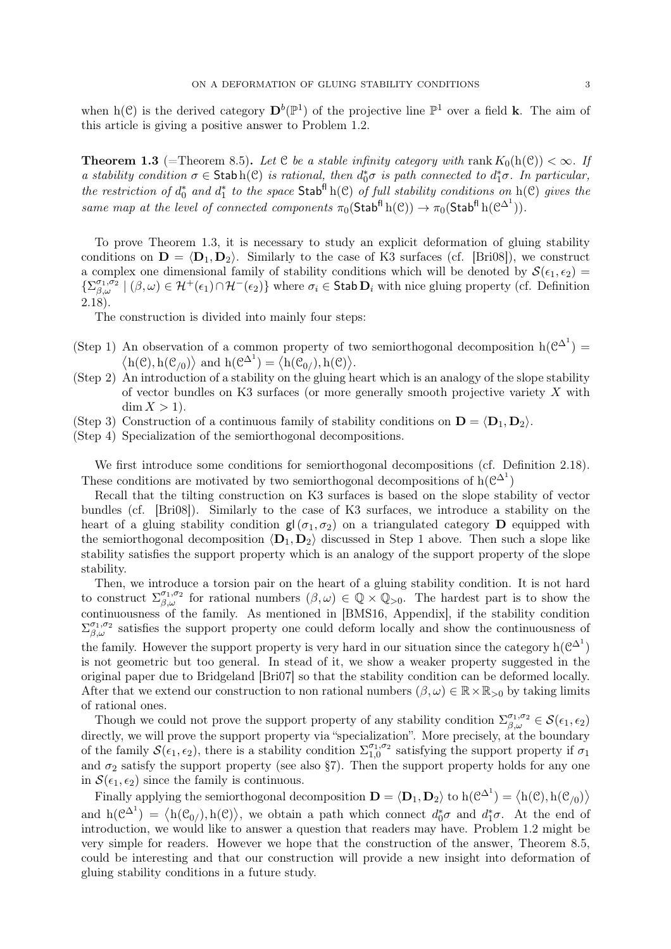when h(C) is the derived category  $\mathbf{D}^b(\mathbb{P}^1)$  of the projective line  $\mathbb{P}^1$  over a field **k**. The aim of this article is giving a positive answer to Problem 1.2.

**Theorem 1.3** (=Theorem 8.5). Let C be a stable infinity category with rank  $K_0(h(\mathcal{C})) < \infty$ . If a stability condition  $\sigma \in \text{Stab}\,h(\mathcal{C})$  is rational, then  $d_0^*\sigma$  is path connected to  $d_1^*\sigma$ . In particular, the restriction of  $d_0^*$  and  $d_1^*$  to the space  $\text{Stab}^{\text{fl}}\,h(\mathcal{C})$  of full stability conditions on  $h(\mathcal{C})$  gives the same map at the level of connected components  $\pi_0(\mathsf{Stab}^{\mathsf{fl}}\, \mathrm{h}(\mathcal{C})) \to \pi_0(\mathsf{Stab}^{\mathsf{fl}}\, \mathrm{h}(\mathcal{C}^{\Delta^1})).$ 

To prove Theorem 1.3, it is necessary to study an explicit deformation of gluing stability conditions on  $\mathbf{D} = \langle \mathbf{D}_1, \mathbf{D}_2 \rangle$ . Similarly to the case of K3 surfaces (cf. [Bri08]), we construct a complex one dimensional family of stability conditions which will be denoted by  $\mathcal{S}(\epsilon_1, \epsilon_2)$  $\{\sum_{\beta,\omega}^{\sigma_1,\sigma_2} \mid (\beta,\omega) \in \mathcal{H}^+(\epsilon_1) \cap \mathcal{H}^-(\epsilon_2)\}\$  where  $\sigma_i \in \mathsf{Stab}\,\mathbf{D}_i$  with nice gluing property (cf. Definition 2.18).

The construction is divided into mainly four steps:

- (Step 1) An observation of a common property of two semiorthogonal decomposition  $h(\mathcal{C}^{\Delta^1}) =$  $\langle h(\mathcal{C}), h(\mathcal{C}_{/0}) \rangle$  and  $h(\mathcal{C}^{\Delta^1}) = \langle h(\mathcal{C}_{0/}), h(\mathcal{C}) \rangle$ .
- (Step 2) An introduction of a stability on the gluing heart which is an analogy of the slope stability of vector bundles on K3 surfaces (or more generally smooth projective variety  $X$  with  $\dim X > 1$ ).
- (Step 3) Construction of a continuous family of stability conditions on  $\mathbf{D} = \langle \mathbf{D}_1, \mathbf{D}_2 \rangle$ .
- (Step 4) Specialization of the semiorthogonal decompositions.

We first introduce some conditions for semiorthogonal decompositions (cf. Definition 2.18). These conditions are motivated by two semiorthogonal decompositions of  $h(\mathcal{C}^{\Delta^1})$ 

Recall that the tilting construction on K3 surfaces is based on the slope stability of vector bundles (cf. [Bri08]). Similarly to the case of K3 surfaces, we introduce a stability on the heart of a gluing stability condition  $g(\sigma_1, \sigma_2)$  on a triangulated category **D** equipped with the semiorthogonal decomposition  $\langle D_1, D_2 \rangle$  discussed in Step 1 above. Then such a slope like stability satisfies the support property which is an analogy of the support property of the slope stability.

Then, we introduce a torsion pair on the heart of a gluing stability condition. It is not hard to construct  $\Sigma_{\beta,\omega}^{\sigma_1,\sigma_2}$  for rational numbers  $(\beta,\omega) \in \mathbb{Q} \times \mathbb{Q}_{>0}$ . The hardest part is to show the continuousness of the family. As mentioned in [BMS16, Appendix], if the stability condition  $\Sigma_{\beta,\omega}^{\sigma_1,\sigma_2}$  satisfies the support property one could deform locally and show the continuousness of the family. However the support property is very hard in our situation since the category  $h(\mathcal{C}^{\Delta^1})$ is not geometric but too general. In stead of it, we show a weaker property suggested in the original paper due to Bridgeland [Bri07] so that the stability condition can be deformed locally. After that we extend our construction to non rational numbers  $(\beta, \omega) \in \mathbb{R} \times \mathbb{R}_{>0}$  by taking limits of rational ones.

Though we could not prove the support property of any stability condition  $\Sigma_{\beta,\omega}^{\sigma_1,\sigma_2} \in \mathcal{S}(\epsilon_1,\epsilon_2)$ directly, we will prove the support property via "specialization". More precisely, at the boundary of the family  $\mathcal{S}(\epsilon_1, \epsilon_2)$ , there is a stability condition  $\Sigma_{1,0}^{\sigma_1, \sigma_2}$  $_{1,0}^{\sigma_1,\sigma_2}$  satisfying the support property if  $\sigma_1$ and  $\sigma_2$  satisfy the support property (see also §7). Then the support property holds for any one in  $\mathcal{S}(\epsilon_1, \epsilon_2)$  since the family is continuous.

Finally applying the semiorthogonal decomposition  $\mathbf{D} = \langle \mathbf{D}_1, \mathbf{D}_2 \rangle$  to  $h(\mathcal{C}^{\Delta^1}) = \langle h(\mathcal{C}), h(\mathcal{C}_{/0}) \rangle$ and  $h(\mathcal{C}^{\Delta^1}) = \langle h(\mathcal{C}_{0/}), h(\mathcal{C}) \rangle$ , we obtain a path which connect  $d_0^* \sigma$  and  $d_1^* \sigma$ . At the end of introduction, we would like to answer a question that readers may have. Problem 1.2 might be very simple for readers. However we hope that the construction of the answer, Theorem 8.5, could be interesting and that our construction will provide a new insight into deformation of gluing stability conditions in a future study.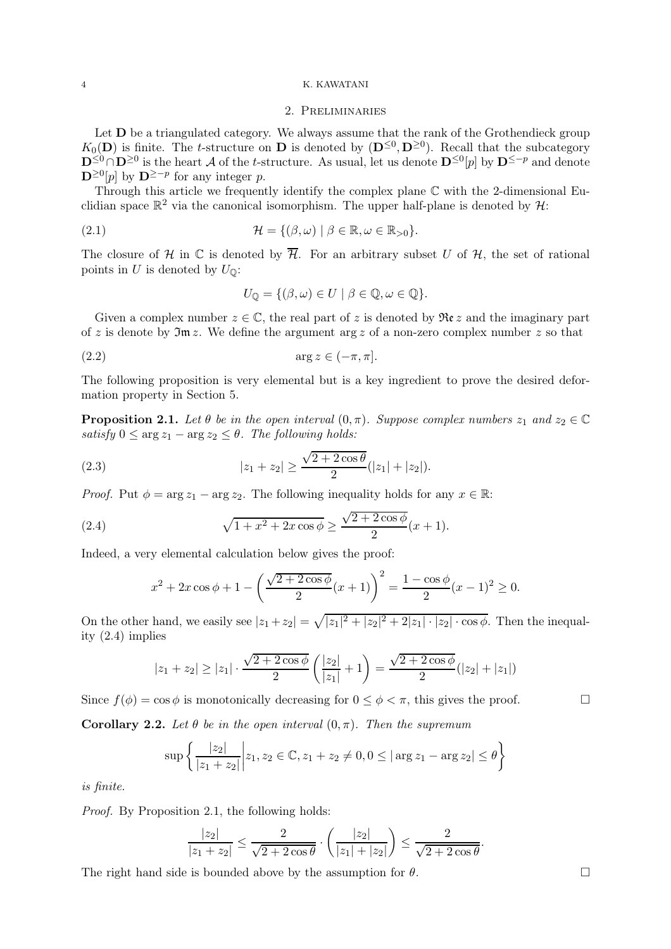# 2. Preliminaries

Let  **be a triangulated category. We always assume that the rank of the Grothendieck group**  $K_0(D)$  is finite. The t-structure on D is denoted by  $(D^{\leq 0}, D^{\geq 0})$ . Recall that the subcategory  $\mathbf{D}^{\leq 0} \cap \mathbf{D}^{\geq 0}$  is the heart A of the t-structure. As usual, let us denote  $\mathbf{D}^{\leq 0}[p]$  by  $\mathbf{D}^{\leq -p}$  and denote  $\mathbf{D}^{\geq 0}[p]$  by  $\mathbf{D}^{\geq -p}$  for any integer p.

Through this article we frequently identify the complex plane  $\mathbb C$  with the 2-dimensional Euclidian space  $\mathbb{R}^2$  via the canonical isomorphism. The upper half-plane is denoted by  $\mathcal{H}$ :

(2.1) 
$$
\mathcal{H} = \{(\beta, \omega) \mid \beta \in \mathbb{R}, \omega \in \mathbb{R}_{>0}\}.
$$

The closure of H in  $\mathbb C$  is denoted by  $\overline{\mathcal{H}}$ . For an arbitrary subset U of H, the set of rational points in U is denoted by  $U_{\mathbb{Q}}$ :

$$
U_{\mathbb{Q}} = \{ (\beta, \omega) \in U \mid \beta \in \mathbb{Q}, \omega \in \mathbb{Q} \}.
$$

Given a complex number  $z \in \mathbb{C}$ , the real part of z is denoted by  $\Re(z)$  and the imaginary part of z is denote by  $\mathfrak{Im} z$ . We define the argument arg z of a non-zero complex number z so that

$$
(2.2) \t\t arg z \in (-\pi, \pi].
$$

The following proposition is very elemental but is a key ingredient to prove the desired deformation property in Section 5.

**Proposition 2.1.** Let  $\theta$  be in the open interval  $(0, \pi)$ . Suppose complex numbers  $z_1$  and  $z_2 \in \mathbb{C}$ satisfy  $0 \le \arg z_1 - \arg z_2 \le \theta$ . The following holds:

(2.3) 
$$
|z_1 + z_2| \ge \frac{\sqrt{2 + 2\cos\theta}}{2} (|z_1| + |z_2|).
$$

*Proof.* Put  $\phi = \arg z_1 - \arg z_2$ . The following inequality holds for any  $x \in \mathbb{R}$ :

(2.4) 
$$
\sqrt{1+x^2+2x\cos\phi} \ge \frac{\sqrt{2+2\cos\phi}}{2}(x+1).
$$

Indeed, a very elemental calculation below gives the proof:

$$
x^{2} + 2x \cos \phi + 1 - \left(\frac{\sqrt{2 + 2 \cos \phi}}{2}(x+1)\right)^{2} = \frac{1 - \cos \phi}{2}(x-1)^{2} \ge 0.
$$

On the other hand, we easily see  $|z_1+z_2| = \sqrt{|z_1|^2 + |z_2|^2 + 2|z_1|\cdot|z_2|\cdot\cos\phi}$ . Then the inequality (2.4) implies

$$
|z_1 + z_2| \ge |z_1| \cdot \frac{\sqrt{2 + 2\cos\phi}}{2} \left(\frac{|z_2|}{|z_1|} + 1\right) = \frac{\sqrt{2 + 2\cos\phi}}{2} (|z_2| + |z_1|)
$$

Since  $f(\phi) = \cos \phi$  is monotonically decreasing for  $0 \le \phi \le \pi$ , this gives the proof.

Corollary 2.2. Let  $\theta$  be in the open interval  $(0, \pi)$ . Then the supremum

$$
\sup \left\{ \frac{|z_2|}{|z_1 + z_2|} \middle| z_1, z_2 \in \mathbb{C}, z_1 + z_2 \neq 0, 0 \le |\arg z_1 - \arg z_2| \le \theta \right\}
$$

is finite.

Proof. By Proposition 2.1, the following holds:

$$
\frac{|z_2|}{|z_1+z_2|} \le \frac{2}{\sqrt{2+2\cos\theta}} \cdot \left(\frac{|z_2|}{|z_1|+|z_2|}\right) \le \frac{2}{\sqrt{2+2\cos\theta}}.
$$

The right hand side is bounded above by the assumption for  $\theta$ .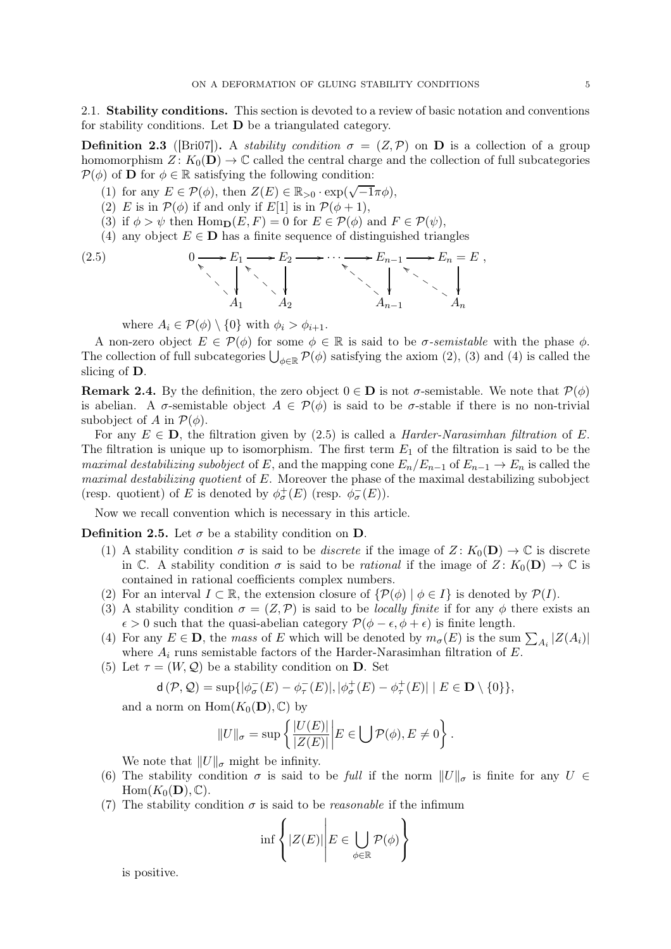2.1. Stability conditions. This section is devoted to a review of basic notation and conventions for stability conditions. Let  $\bf{D}$  be a triangulated category.

**Definition 2.3** ([Bri07]). A *stability condition*  $\sigma = (Z, \mathcal{P})$  on **D** is a collection of a group homomorphism  $Z: K_0(D) \to \mathbb{C}$  called the central charge and the collection of full subcategories  $P(\phi)$  of **D** for  $\phi \in \mathbb{R}$  satisfying the following condition:

- (1) for any  $E \in \mathcal{P}(\phi)$ , then  $Z(E) \in \mathbb{R}_{>0} \cdot \exp(\sqrt{-1}\pi\phi)$ ,
- (2) E is in  $\mathcal{P}(\phi)$  if and only if E[1] is in  $\mathcal{P}(\phi+1)$ ,
- (3) if  $\phi > \psi$  then Hom<sub>p</sub> $(E, F) = 0$  for  $E \in \mathcal{P}(\phi)$  and  $F \in \mathcal{P}(\psi)$ ,
- (4) any object  $E \in \mathbf{D}$  has a finite sequence of distinguished triangles

$$
0 \longrightarrow E_1 \longrightarrow E_2 \longrightarrow \cdots \longrightarrow E_{n-1} \longrightarrow E_n = E,
$$
  
\n
$$
A_1 \qquad A_2 \qquad \qquad A_{n-1} \qquad A_n
$$

where  $A_i \in \mathcal{P}(\phi) \setminus \{0\}$  with  $\phi_i > \phi_{i+1}$ .

 $(2.5)$ 

A non-zero object  $E \in \mathcal{P}(\phi)$  for some  $\phi \in \mathbb{R}$  is said to be  $\sigma$ -semistable with the phase  $\phi$ . The collection of full subcategories  $\bigcup_{\phi \in \mathbb{R}} \mathcal{P}(\phi)$  satisfying the axiom (2), (3) and (4) is called the slicing of D.

**Remark 2.4.** By the definition, the zero object  $0 \in \mathbf{D}$  is not  $\sigma$ -semistable. We note that  $\mathcal{P}(\phi)$ is abelian. A  $\sigma$ -semistable object  $A \in \mathcal{P}(\phi)$  is said to be  $\sigma$ -stable if there is no non-trivial subobject of A in  $\mathcal{P}(\phi)$ .

For any  $E \in \mathbf{D}$ , the filtration given by (2.5) is called a *Harder-Narasimhan filtration* of E. The filtration is unique up to isomorphism. The first term  $E_1$  of the filtration is said to be the maximal destabilizing subobject of E, and the mapping cone  $E_n/E_{n-1}$  of  $E_{n-1} \to E_n$  is called the maximal destabilizing quotient of  $E$ . Moreover the phase of the maximal destabilizing subobject (resp. quotient) of E is denoted by  $\phi_{\sigma}^{+}(E)$  (resp.  $\phi_{\sigma}^{-}(E)$ ).

Now we recall convention which is necessary in this article.

**Definition 2.5.** Let  $\sigma$  be a stability condition on **D**.

- (1) A stability condition  $\sigma$  is said to be *discrete* if the image of  $Z: K_0(\mathbf{D}) \to \mathbb{C}$  is discrete in C. A stability condition  $\sigma$  is said to be *rational* if the image of  $Z: K_0(\mathbf{D}) \to \mathbb{C}$  is contained in rational coefficients complex numbers.
- (2) For an interval  $I \subset \mathbb{R}$ , the extension closure of  $\{\mathcal{P}(\phi) \mid \phi \in I\}$  is denoted by  $\mathcal{P}(I)$ .
- (3) A stability condition  $\sigma = (Z, \mathcal{P})$  is said to be *locally finite* if for any  $\phi$  there exists an  $\epsilon > 0$  such that the quasi-abelian category  $\mathcal{P}(\phi - \epsilon, \phi + \epsilon)$  is finite length.
- (4) For any  $E \in \mathbf{D}$ , the mass of E which will be denoted by  $m_{\sigma}(E)$  is the sum  $\sum_{A_i} |Z(A_i)|$ where  $A_i$  runs semistable factors of the Harder-Narasimhan filtration of  $E$ .
- (5) Let  $\tau = (W, \mathcal{Q})$  be a stability condition on **D**. Set

$$
\mathsf{d}\left(\mathcal{P},\mathcal{Q}\right) = \sup\{|\phi_{\sigma}^{-}(E) - \phi_{\tau}^{-}(E)|, |\phi_{\sigma}^{+}(E) - \phi_{\tau}^{+}(E)| \mid E \in \mathbf{D}\setminus\{0\}\},\
$$

and a norm on  $\text{Hom}(K_0(\mathbf{D}), \mathbb{C})$  by

$$
||U||_{\sigma} = \sup \left\{ \frac{|U(E)|}{|Z(E)|} \middle| E \in \bigcup \mathcal{P}(\phi), E \neq 0 \right\}.
$$

We note that  $||U||_{\sigma}$  might be infinity.

- (6) The stability condition  $\sigma$  is said to be full if the norm  $||U||_{\sigma}$  is finite for any  $U \in$  $Hom(K_0(D), \mathbb{C}).$
- (7) The stability condition  $\sigma$  is said to be *reasonable* if the infimum

$$
\inf \left\{ |Z(E)| \middle| E \in \bigcup_{\phi \in \mathbb{R}} \mathcal{P}(\phi) \right\}
$$

is positive.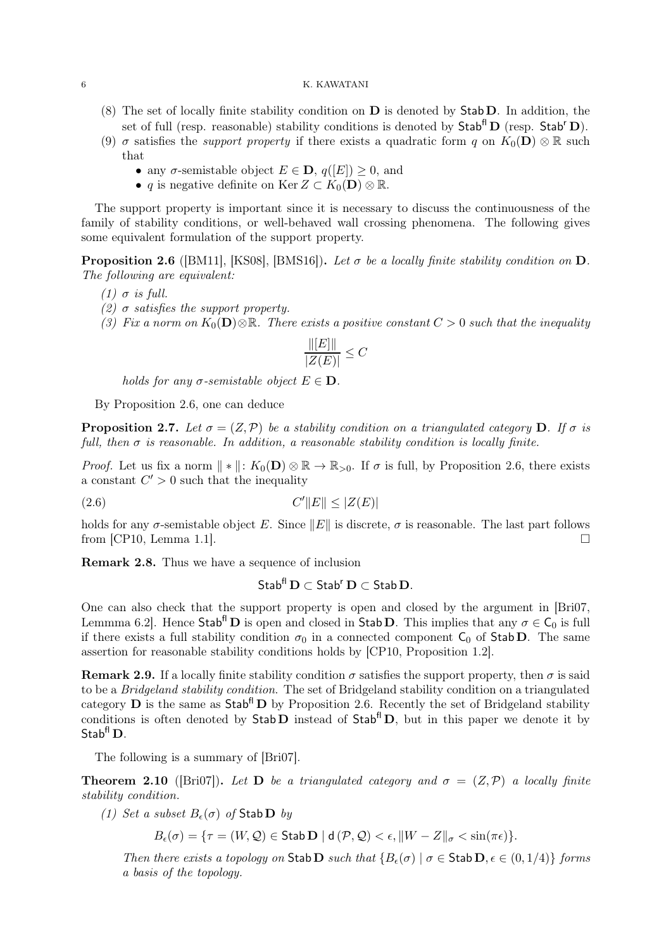- (8) The set of locally finite stability condition on  $\bf{D}$  is denoted by  $\bf{Stab}\bf{D}$ . In addition, the set of full (resp. reasonable) stability conditions is denoted by  $\mathsf{Stab}^{\mathsf{fl}}\mathbf{D}$  (resp.  $\mathsf{Stab}^{\mathsf{r}}\mathbf{D}$ ).
- (9)  $\sigma$  satisfies the *support property* if there exists a quadratic form q on  $K_0(\mathbf{D}) \otimes \mathbb{R}$  such that
	- any  $\sigma$ -semistable object  $E \in \mathbf{D}$ ,  $q([E]) \geq 0$ , and
	- q is negative definite on Ker  $Z \subset K_0(D) \otimes \mathbb{R}$ .

The support property is important since it is necessary to discuss the continuousness of the family of stability conditions, or well-behaved wall crossing phenomena. The following gives some equivalent formulation of the support property.

**Proposition 2.6** ([BM11], [KS08], [BMS16]). Let  $\sigma$  be a locally finite stability condition on  $D$ . The following are equivalent:

- (1)  $\sigma$  is full.
- (2)  $\sigma$  satisfies the support property.
- (3) Fix a norm on  $K_0(D)\otimes\mathbb{R}$ . There exists a positive constant  $C>0$  such that the inequality

$$
\frac{\| [E] \|}{|Z(E)|} \leq C
$$

holds for any  $\sigma$ -semistable object  $E \in \mathbf{D}$ .

By Proposition 2.6, one can deduce

**Proposition 2.7.** Let  $\sigma = (Z, \mathcal{P})$  be a stability condition on a triangulated category **D**. If  $\sigma$  is full, then  $\sigma$  is reasonable. In addition, a reasonable stability condition is locally finite.

*Proof.* Let us fix a norm  $\|\cdot\|$ :  $K_0(\mathbf{D}) \otimes \mathbb{R} \to \mathbb{R}_{>0}$ . If  $\sigma$  is full, by Proposition 2.6, there exists a constant  $C' > 0$  such that the inequality

$$
(2.6)\qquad \qquad C'\|E\| \le |Z(E)|
$$

holds for any  $\sigma$ -semistable object E. Since  $||E||$  is discrete,  $\sigma$  is reasonable. The last part follows from ICP10, Lemma 1.1 from [CP10, Lemma 1.1].

Remark 2.8. Thus we have a sequence of inclusion

# $Stab^f$   $D \subset Stab^r$   $D \subset Stab$  D.

One can also check that the support property is open and closed by the argument in [Bri07, Lemmma 6.2]. Hence Stab<sup>fl</sup> **D** is open and closed in Stab **D**. This implies that any  $\sigma \in C_0$  is full if there exists a full stability condition  $\sigma_0$  in a connected component  $C_0$  of Stab D. The same assertion for reasonable stability conditions holds by [CP10, Proposition 1.2].

**Remark 2.9.** If a locally finite stability condition  $\sigma$  satisfies the support property, then  $\sigma$  is said to be a Bridgeland stability condition. The set of Bridgeland stability condition on a triangulated category **D** is the same as  $\mathsf{Stab}^{\mathsf{fl}}$  **D** by Proposition 2.6. Recently the set of Bridgeland stability conditions is often denoted by  $Stab D$  instead of  $Stab^{\dagger} D$ , but in this paper we denote it by Stab<sup>fl</sup> D.

The following is a summary of [Bri07].

**Theorem 2.10** ([Bri07]). Let **D** be a triangulated category and  $\sigma = (Z, \mathcal{P})$  a locally finite stability condition.

(1) Set a subset  $B_{\epsilon}(\sigma)$  of Stab D by

 $B_{\epsilon}(\sigma) = \{\tau = (W, \mathcal{Q}) \in \mathsf{Stab}\,\mathbf{D} \mid \mathsf{d}\,(\mathcal{P}, \mathcal{Q}) < \epsilon, \|W - Z\|_{\sigma} < \sin(\pi\epsilon)\}.$ 

Then there exists a topology on Stab D such that  ${B<sub>e</sub>(\sigma) | \sigma \in \text{Stab D}, \epsilon \in (0, 1/4) }$  forms a basis of the topology.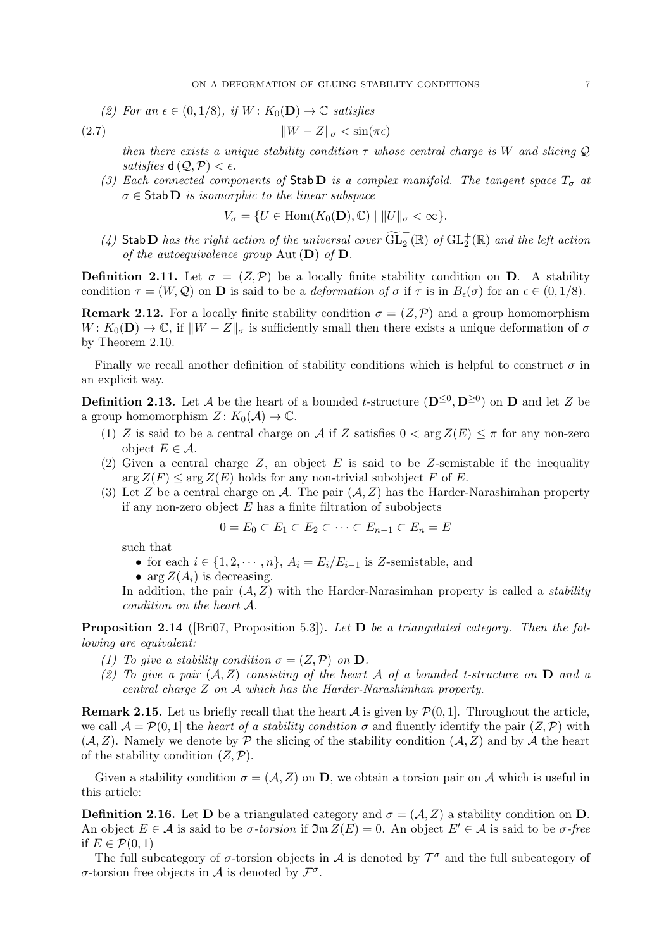(2) For an  $\epsilon \in (0, 1/8)$ , if  $W: K_0(\mathbf{D}) \to \mathbb{C}$  satisfies

$$
\|W - Z\|_{\sigma} < \sin(\pi \epsilon)
$$

then there exists a unique stability condition  $\tau$  whose central charge is W and slicing Q satisfies  $d(Q, P) < \epsilon$ .

(3) Each connected components of Stab D is a complex manifold. The tangent space  $T_{\sigma}$  at  $\sigma \in$  Stab D is isomorphic to the linear subspace

$$
V_{\sigma} = \{ U \in \text{Hom}(K_0(\mathbf{D}), \mathbb{C}) \mid ||U||_{\sigma} < \infty \}.
$$

(4) Stab D has the right action of the universal cover  $\widetilde{GL}_2^+(\mathbb{R})$  of  $GL_2^+(\mathbb{R})$  and the left action of the autoequivalence group  $\text{Aut}(\mathbf{D})$  of  $\mathbf{D}$ .

**Definition 2.11.** Let  $\sigma = (Z, \mathcal{P})$  be a locally finite stability condition on **D**. A stability condition  $\tau = (W, \mathcal{Q})$  on **D** is said to be a *deformation of*  $\sigma$  if  $\tau$  is in  $B_{\epsilon}(\sigma)$  for an  $\epsilon \in (0, 1/8)$ .

**Remark 2.12.** For a locally finite stability condition  $\sigma = (Z, \mathcal{P})$  and a group homomorphism  $W: K_0(\mathbf{D}) \to \mathbb{C}$ , if  $||W - Z||_{\sigma}$  is sufficiently small then there exists a unique deformation of  $\sigma$ by Theorem 2.10.

Finally we recall another definition of stability conditions which is helpful to construct  $\sigma$  in an explicit way.

**Definition 2.13.** Let A be the heart of a bounded t-structure  $(D^{\leq 0}, D^{\geq 0})$  on **D** and let Z be a group homomorphism  $Z: K_0(\mathcal{A}) \to \mathbb{C}$ .

- (1) Z is said to be a central charge on A if Z satisfies  $0 < \arg Z(E) \leq \pi$  for any non-zero object  $E \in \mathcal{A}$ .
- (2) Given a central charge  $Z$ , an object  $E$  is said to be  $Z$ -semistable if the inequality  $\arg Z(F) \leq \arg Z(E)$  holds for any non-trivial subobject F of E.
- (3) Let Z be a central charge on A. The pair  $(A, Z)$  has the Harder-Narashimhan property if any non-zero object  $E$  has a finite filtration of subobjects

$$
0 = E_0 \subset E_1 \subset E_2 \subset \cdots \subset E_{n-1} \subset E_n = E
$$

such that

- for each  $i \in \{1, 2, \dots, n\}$ ,  $A_i = E_i/E_{i-1}$  is Z-semistable, and
- arg  $Z(A_i)$  is decreasing.

In addition, the pair  $(A, Z)$  with the Harder-Narasimhan property is called a *stability* condition on the heart A.

**Proposition 2.14** ( $\text{Bri07}$ , Proposition 5.3). Let **D** be a triangulated category. Then the following are equivalent:

- (1) To give a stability condition  $\sigma = (Z, \mathcal{P})$  on  $\mathbf{D}$ .
- (2) To give a pair  $(A, Z)$  consisting of the heart A of a bounded t-structure on  $D$  and a central charge Z on A which has the Harder-Narashimhan property.

**Remark 2.15.** Let us briefly recall that the heart A is given by  $\mathcal{P}(0, 1]$ . Throughout the article, we call  $\mathcal{A} = \mathcal{P}(0, 1]$  the heart of a stability condition  $\sigma$  and fluently identify the pair  $(Z, \mathcal{P})$  with  $(\mathcal{A}, Z)$ . Namely we denote by P the slicing of the stability condition  $(\mathcal{A}, Z)$  and by A the heart of the stability condition  $(Z, \mathcal{P})$ .

Given a stability condition  $\sigma = (\mathcal{A}, Z)$  on **D**, we obtain a torsion pair on  $\mathcal{A}$  which is useful in this article:

**Definition 2.16.** Let **D** be a triangulated category and  $\sigma = (\mathcal{A}, Z)$  a stability condition on **D**. An object  $E \in \mathcal{A}$  is said to be  $\sigma$ -torsion if  $\mathfrak{Im} Z(E) = 0$ . An object  $E' \in \mathcal{A}$  is said to be  $\sigma$ -free if  $E \in \mathcal{P}(0,1)$ 

The full subcategory of  $\sigma$ -torsion objects in  $\mathcal A$  is denoted by  $\mathcal T^{\sigma}$  and the full subcategory of  $\sigma$ -torsion free objects in  $\mathcal A$  is denoted by  $\mathcal F^{\sigma}$ .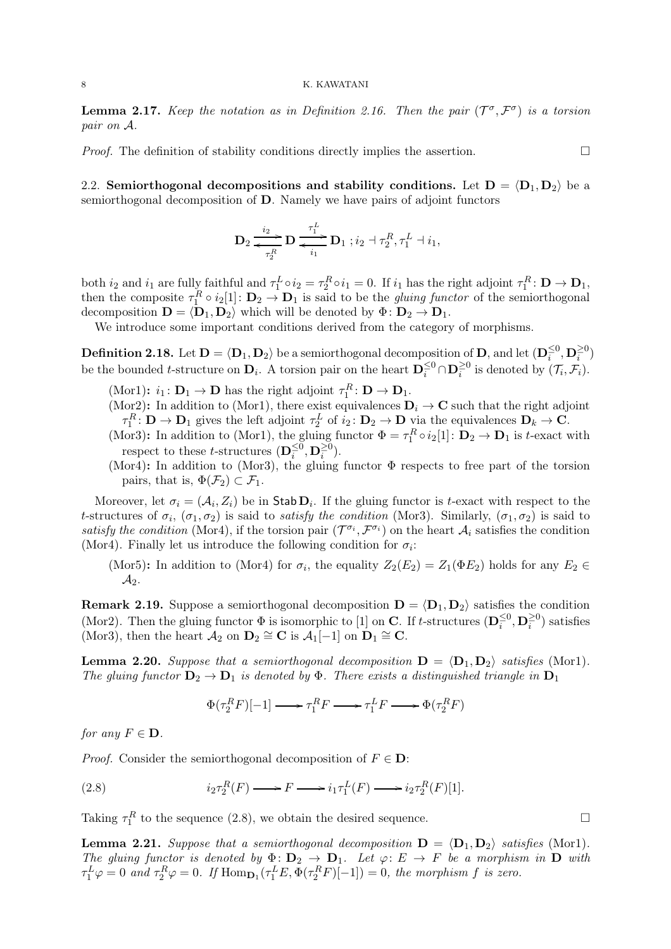**Lemma 2.17.** Keep the notation as in Definition 2.16. Then the pair  $(\mathcal{T}^{\sigma}, \mathcal{F}^{\sigma})$  is a torsion pair on A.

*Proof.* The definition of stability conditions directly implies the assertion.  $\Box$ 

2.2. Semiorthogonal decompositions and stability conditions. Let  $D = \langle D_1, D_2 \rangle$  be a semiorthogonal decomposition of D. Namely we have pairs of adjoint functors

$$
\mathbf{D}_2 \stackrel{i_2}{\underset{\tau_2^R}{\longleftrightarrow}} \mathbf{D} \stackrel{\tau_1^L}{\underset{i_1}{\longleftrightarrow}} \mathbf{D}_1 ; i_2 + \tau_2^R, \tau_1^L + i_1,
$$

both  $i_2$  and  $i_1$  are fully faithful and  $\tau_1^L \circ i_2 = \tau_2^R \circ i_1 = 0$ . If  $i_1$  has the right adjoint  $\tau_1^R \colon \mathbf{D} \to \mathbf{D}_1$ , then the composite  $\tau_1^R \circ i_2[1] \colon \mathbf{D}_2 \to \mathbf{D}_1$  is said to be the *gluing functor* of the semiorthogonal decomposition  $\mathbf{D} = \langle \mathbf{D}_1, \mathbf{D}_2 \rangle$  which will be denoted by  $\Phi \colon \mathbf{D}_2 \to \mathbf{D}_1$ .

We introduce some important conditions derived from the category of morphisms.

**Definition 2.18.** Let  $\mathbf{D} = \langle \mathbf{D}_1, \mathbf{D}_2 \rangle$  be a semiorthogonal decomposition of  $\mathbf{D}$ , and let  $(\mathbf{D}_i^{\leq 0}, \mathbf{D}_i^{\geq 0})$ be the bounded *t*-structure on  $\mathbf{D}_i$ . A torsion pair on the heart  $\mathbf{D}_i^{\leq 0} \cap \mathbf{D}_i^{\geq 0}$  is denoted by  $(\mathcal{T}_i, \mathcal{F}_i)$ .

- (Mor1):  $i_1: \mathbf{D}_1 \to \mathbf{D}$  has the right adjoint  $\tau_1^R: \mathbf{D} \to \mathbf{D}_1$ .
- (Mor2): In addition to (Mor1), there exist equivalences  $D_i \rightarrow C$  such that the right adjoint  $\tau_1^R: \mathbf{D} \to \mathbf{D}_1$  gives the left adjoint  $\tau_2^L$  of  $i_2: \mathbf{D}_2 \to \mathbf{D}$  via the equivalences  $\mathbf{D}_k \to \mathbf{C}$ .
- (Mor3): In addition to (Mor1), the gluing functor  $\Phi = \tau_1^R \circ i_2[1] : \mathbf{D}_2 \to \mathbf{D}_1$  is t-exact with respect to these t-structures  $(\mathbf{D}_i^{\leq 0}, \mathbf{D}_i^{\geq 0})$ .
- (Mor4): In addition to (Mor3), the gluing functor  $\Phi$  respects to free part of the torsion pairs, that is,  $\Phi(\mathcal{F}_2) \subset \mathcal{F}_1$ .

Moreover, let  $\sigma_i = (\mathcal{A}_i, Z_i)$  be in Stab  $D_i$ . If the gluing functor is t-exact with respect to the t-structures of  $\sigma_i$ ,  $(\sigma_1, \sigma_2)$  is said to *satisfy the condition* (Mor3). Similarly,  $(\sigma_1, \sigma_2)$  is said to satisfy the condition (Mor4), if the torsion pair  $(\mathcal{T}^{\sigma_i}, \mathcal{F}^{\sigma_i})$  on the heart  $\mathcal{A}_i$  satisfies the condition (Mor4). Finally let us introduce the following condition for  $\sigma_i$ :

(Mor5): In addition to (Mor4) for  $\sigma_i$ , the equality  $Z_2(E_2) = Z_1(\Phi E_2)$  holds for any  $E_2 \in$  $\mathcal{A}_2$ .

**Remark 2.19.** Suppose a semiorthogonal decomposition  $D = \langle D_1, D_2 \rangle$  satisfies the condition (Mor2). Then the gluing functor  $\Phi$  is isomorphic to [1] on **C**. If t-structures  $(D_i^{\leq 0}, D_i^{\geq 0})$  satisfies (Mor3), then the heart  $\mathcal{A}_2$  on  $\mathbf{D}_2 \cong \mathbf{C}$  is  $\mathcal{A}_1[-1]$  on  $\mathbf{D}_1 \cong \mathbf{C}$ .

**Lemma 2.20.** Suppose that a semiorthogonal decomposition  $\mathbf{D} = \langle \mathbf{D}_1, \mathbf{D}_2 \rangle$  satisfies (Mor1). The gluing functor  $D_2 \to D_1$  is denoted by  $\Phi$ . There exists a distinguished triangle in  $D_1$ 

$$
\Phi(\tau_2^R F)[-1] \mathchoice{\longrightarrow}{\rightarrow}{\rightarrow}{\rightarrow} \tau_1^R F \mathchoice{\longrightarrow}{\rightarrow}{\rightarrow}{\rightarrow} \tau_1^L F \mathchoice{\longrightarrow}{\rightarrow}{\rightarrow}{\rightarrow} \Phi(\tau_2^R F)
$$

for any  $F \in \mathbf{D}$ .

*Proof.* Consider the semiorthogonal decomposition of  $F \in \mathbf{D}$ :

(2.8) 
$$
i_2 \tau_2^R(F) \longrightarrow F \longrightarrow i_1 \tau_1^L(F) \longrightarrow i_2 \tau_2^R(F)[1].
$$

Taking  $\tau_1^R$  to the sequence (2.8), we obtain the desired sequence.

**Lemma 2.21.** Suppose that a semiorthogonal decomposition  $D = \langle D_1, D_2 \rangle$  satisfies (Mor1). The gluing functor is denoted by  $\Phi: \mathbf{D}_2 \to \mathbf{D}_1$ . Let  $\varphi: E \to F$  be a morphism in  $\mathbf{D}$  with  $\tau_1^L \varphi = 0$  and  $\tau_2^R \varphi = 0$ . If  $\text{Hom}_{\mathbf{D}_1}(\tau_1^L E, \Phi(\tau_2^R F)[-1]) = 0$ , the morphism f is zero.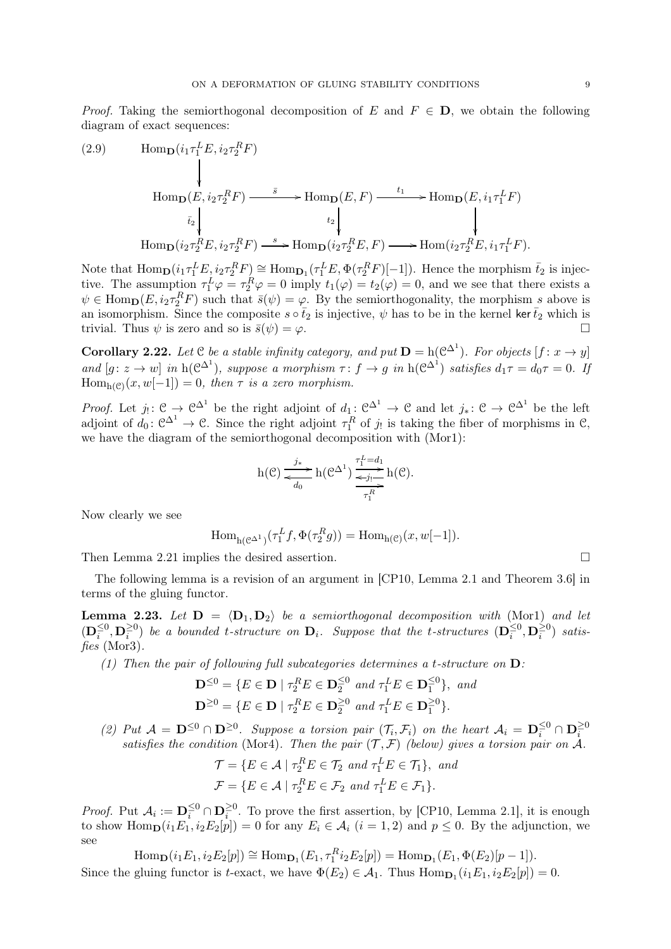*Proof.* Taking the semiorthogonal decomposition of E and  $F \in D$ , we obtain the following diagram of exact sequences:

(2.9) 
$$
\operatorname{Hom}_{\mathbf{D}}(i_{1}\tau_{1}^{L}E, i_{2}\tau_{2}^{R}F)
$$
  
\n
$$
\downarrow \qquad \operatorname{Hom}_{\mathbf{D}}(E, i_{2}\tau_{2}^{R}F) \xrightarrow{\bar{s}} \operatorname{Hom}_{\mathbf{D}}(E, F) \xrightarrow{t_{1}} \operatorname{Hom}_{\mathbf{D}}(E, i_{1}\tau_{1}^{L}F)
$$
  
\n
$$
i_{2} \downarrow \qquad \qquad \downarrow \qquad \qquad \downarrow
$$
  
\n
$$
\operatorname{Hom}_{\mathbf{D}}(i_{2}\tau_{2}^{R}E, i_{2}\tau_{2}^{R}F) \xrightarrow{s} \operatorname{Hom}_{\mathbf{D}}(i_{2}\tau_{2}^{R}E, F) \longrightarrow \operatorname{Hom}(i_{2}\tau_{2}^{R}E, i_{1}\tau_{1}^{L}F).
$$

Note that  $\text{Hom}_{\mathbf{D}}(i_1 \tau_1^L E, i_2 \tau_2^R F) \cong \text{Hom}_{\mathbf{D}_1}(\tau_1^L E, \Phi(\tau_2^R F)[-1])$ . Hence the morphism  $\bar{t}_2$  is injective. The assumption  $\tau_1^L \varphi = \tau_2^R \varphi = 0$  imply  $t_1(\varphi) = t_2(\varphi) = 0$ , and we see that there exists a  $\psi \in \text{Hom}_{\mathbf{D}}(E, i_2 \tau_2^R F)$  such that  $\bar{s}(\psi) = \varphi$ . By the semiorthogonality, the morphism s above is an isomorphism. Since the composite  $s \circ \bar{t}_2$  is injective,  $\psi$  has to be in the kernel ker  $\bar{t}_2$  which is trivial. Thus  $\psi$  is zero and so is  $\bar{s}(\psi) = \varphi$ . trivial. Thus  $\psi$  is zero and so is  $\bar{s}(\psi) = \varphi$ .

**Corollary 2.22.** Let  $C$  be a stable infinity category, and put  $D = h(C^{\Delta^1})$ . For objects  $[f: x \to y]$ and  $[g: z \to w]$  in  $h(\mathcal{C}^{\Delta^1})$ , suppose a morphism  $\tau: f \to g$  in  $h(\mathcal{C}^{\Delta^1})$  satisfies  $d_1\tau = d_0\tau = 0$ . If  $Hom_{h(\mathcal{C})}(x,w[-1]) = 0$ , then  $\tau$  is a zero morphism.

*Proof.* Let  $j_! : \mathcal{C} \to \mathcal{C}^{\Delta^1}$  be the right adjoint of  $d_1 : \mathcal{C}^{\Delta^1} \to \mathcal{C}$  and let  $j_* : \mathcal{C} \to \mathcal{C}^{\Delta^1}$  be the left adjoint of  $d_0: \mathcal{C}^{\Delta^1} \to \mathcal{C}$ . Since the right adjoint  $\tau_1^R$  of  $j_!$  is taking the fiber of morphisms in  $\mathcal{C}$ , we have the diagram of the semiorthogonal decomposition with (Mor1):

$$
h(\mathcal{C}) \xrightarrow[d_0]{j_*} h(\mathcal{C}^{\Delta^1}) \xrightarrow[\tau_1^R]{\tau_1^L = d_1} h(\mathcal{C}).
$$

Now clearly we see

$$
\text{Hom}_{h(\mathcal{C}^{\Delta 1})}(\tau_1^L f, \Phi(\tau_2^R g)) = \text{Hom}_{h(\mathcal{C})}(x, w[-1]).
$$

Then Lemma 2.21 implies the desired assertion.

The following lemma is a revision of an argument in [CP10, Lemma 2.1 and Theorem 3.6] in terms of the gluing functor.

**Lemma 2.23.** Let  $D = \langle D_1, D_2 \rangle$  be a semiorthogonal decomposition with (Mor1) and let  $(D_i^{\leq 0}, D_i^{\geq 0})$  be a bounded t-structure on  $D_i$ . Suppose that the t-structures  $(D_i^{\leq 0}, D_i^{\geq 0})$  satisfies (Mor3).

(1) Then the pair of following full subcategories determines a t-structure on  $\mathbf{D}$ :

$$
\mathbf{D}^{\leq 0} = \{ E \in \mathbf{D} \mid \tau_2^R E \in \mathbf{D}_2^{\leq 0} \text{ and } \tau_1^L E \in \mathbf{D}_1^{\leq 0} \}, \text{ and}
$$

$$
\mathbf{D}^{\geq 0} = \{ E \in \mathbf{D} \mid \tau_2^R E \in \mathbf{D}_2^{\geq 0} \text{ and } \tau_1^L E \in \mathbf{D}_1^{\geq 0} \}.
$$

(2) Put  $\mathcal{A} = \mathbf{D}^{\leq 0} \cap \mathbf{D}^{\geq 0}$ . Suppose a torsion pair  $(\mathcal{T}_i, \mathcal{F}_i)$  on the heart  $\mathcal{A}_i = \mathbf{D}_i^{\leq 0} \cap \mathbf{D}_i^{\geq 0}$ satisfies the condition (Mor4). Then the pair  $(\mathcal{T}, \mathcal{F})$  (below) gives a torsion pair on  $\mathcal{A}$ .

$$
\mathcal{T} = \{ E \in \mathcal{A} \mid \tau_2^R E \in \mathcal{T}_2 \text{ and } \tau_1^L E \in \mathcal{T}_1 \}, \text{ and}
$$

$$
\mathcal{F} = \{ E \in \mathcal{A} \mid \tau_2^R E \in \mathcal{F}_2 \text{ and } \tau_1^L E \in \mathcal{F}_1 \}.
$$

*Proof.* Put  $A_i := \mathbf{D}_i^{\leq 0} \cap \mathbf{D}_i^{\geq 0}$ . To prove the first assertion, by [CP10, Lemma 2.1], it is enough to show  $\text{Hom}_{\mathbf{D}}(i_1E_1, i_2E_2[p]) = 0$  for any  $E_i \in \mathcal{A}_i$   $(i = 1, 2)$  and  $p \leq 0$ . By the adjunction, we see

 $\text{Hom}_{\mathbf{D}}(i_1E_1, i_2E_2[p]) \cong \text{Hom}_{\mathbf{D}_1}(E_1, \tau_1^R i_2E_2[p]) = \text{Hom}_{\mathbf{D}_1}(E_1, \Phi(E_2)[p-1]).$ Since the gluing functor is *t*-exact, we have  $\Phi(E_2) \in \mathcal{A}_1$ . Thus  $\text{Hom}_{\mathbf{D}_1}(i_1E_1, i_2E_2[p]) = 0$ .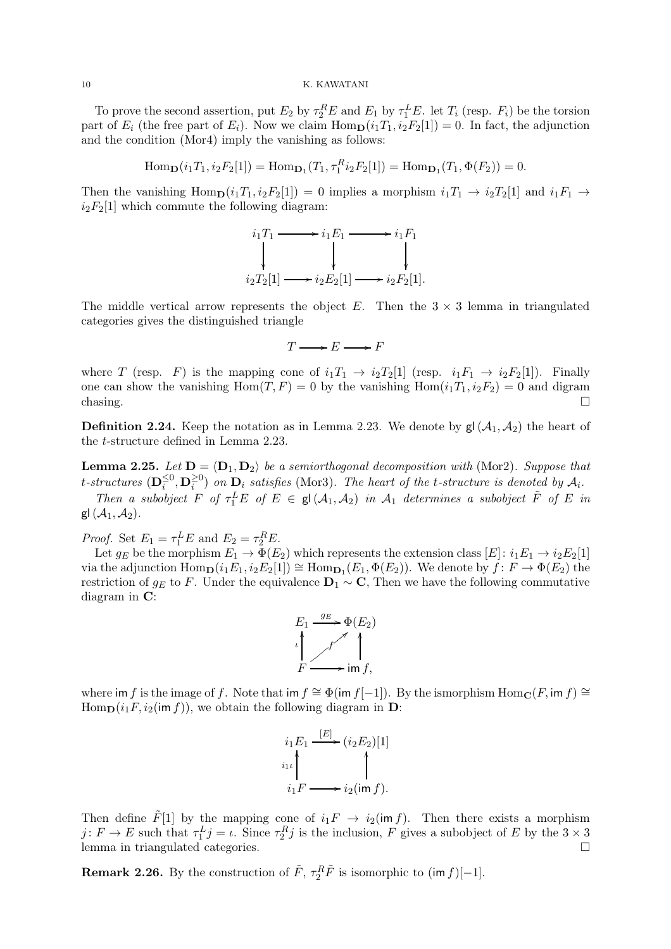To prove the second assertion, put  $E_2$  by  $\tau_2^E E$  and  $E_1$  by  $\tau_1^L E$ . let  $T_i$  (resp.  $F_i$ ) be the torsion part of  $E_i$  (the free part of  $E_i$ ). Now we claim  $\text{Hom}_{\mathbf{D}}(i_1T_1, i_2F_2[1]) = 0$ . In fact, the adjunction and the condition (Mor4) imply the vanishing as follows:

 $\text{Hom}_{\mathbf{D}}(i_1T_1, i_2F_2[1]) = \text{Hom}_{\mathbf{D}_1}(T_1, \tau_1^R i_2F_2[1]) = \text{Hom}_{\mathbf{D}_1}(T_1, \Phi(F_2)) = 0.$ 

Then the vanishing  $\text{Hom}_{\mathbf{D}}(i_1T_1, i_2F_2[1]) = 0$  implies a morphism  $i_1T_1 \rightarrow i_2T_2[1]$  and  $i_1F_1 \rightarrow$  $i_2F_2[1]$  which commute the following diagram:

$$
i_1T_1 \longrightarrow i_1E_1 \longrightarrow i_1F_1
$$
  
\n
$$
\downarrow \qquad \qquad \downarrow
$$
  
\n
$$
i_2T_2[1] \longrightarrow i_2E_2[1] \longrightarrow i_2F_2[1].
$$

The middle vertical arrow represents the object E. Then the  $3 \times 3$  lemma in triangulated categories gives the distinguished triangle

 $T \longrightarrow E \longrightarrow F$ 

where T (resp. F) is the mapping cone of  $i_1T_1 \rightarrow i_2T_2[1]$  (resp.  $i_1F_1 \rightarrow i_2F_2[1]$ ). Finally one can show the vanishing  $Hom(T, F) = 0$  by the vanishing  $Hom(i_1T_1, i_2F_2) = 0$  and digram chasing.  $\square$ 

**Definition 2.24.** Keep the notation as in Lemma 2.23. We denote by  $\mathsf{gl}(\mathcal{A}_1, \mathcal{A}_2)$  the heart of the t-structure defined in Lemma 2.23.

**Lemma 2.25.** Let  $D = \langle D_1, D_2 \rangle$  be a semiorthogonal decomposition with (Mor2). Suppose that t-structures  $(\mathbf{D}_i^{\leq 0}, \mathbf{D}_i^{\geq 0})$  on  $\mathbf{D}_i$  satisfies (Mor3). The heart of the t-structure is denoted by  $\mathcal{A}_i$ .

Then a subobject  $F$  of  $\tau_1^L E$  of  $E \in \mathsf{gl}(\mathcal{A}_1, \mathcal{A}_2)$  in  $\mathcal{A}_1$  determines a subobject  $\tilde{F}$  of  $E$  in gl $(\mathcal{A}_1, \mathcal{A}_2)$ .

*Proof.* Set  $E_1 = \tau_1^L E$  and  $E_2 = \tau_2^R E$ .

Let  $g_E$  be the morphism  $E_1 \to \overline{\Phi}(E_2)$  which represents the extension class  $[E]: i_1E_1 \to i_2E_2[1]$ via the adjunction  $\text{Hom}_{\mathbf{D}}(i_1E_1, i_2E_2[1]) \cong \text{Hom}_{\mathbf{D}_1}(E_1, \Phi(E_2))$ . We denote by  $f \colon F \to \Phi(E_2)$  the restriction of  $g_E$  to F. Under the equivalence  $D_1 \sim C$ , Then we have the following commutative diagram in C:



where im f is the image of f. Note that im  $f \cong \Phi(\text{im } f[-1])$ . By the ismorphism  $\text{Hom}_{\mathbf{C}}(F, \text{im } f) \cong$  $\text{Hom}_{\mathbf{D}}(i_1F, i_2(\text{im } f)),$  we obtain the following diagram in  $\mathbf{D}$ :

$$
i_1 E_1 \xrightarrow{[E]} (i_2 E_2)[1]
$$
  
\n
$$
i_1 \iota \qquad \qquad \downarrow
$$
  
\n
$$
i_1 F \longrightarrow i_2(\text{im } f).
$$

Then define  $\tilde{F}[1]$  by the mapping cone of  $i_1F \rightarrow i_2(\text{im } f)$ . Then there exists a morphism  $j: F \to E$  such that  $\tau_1^L j = \iota$ . Since  $\tau_2^R j$  is the inclusion, F gives a subobject of E by the  $3 \times 3$ lemma in triangulated categories.

**Remark 2.26.** By the construction of  $\tilde{F}$ ,  $\tau_2^R \tilde{F}$  is isomorphic to  $(\text{im } f)[-1]$ .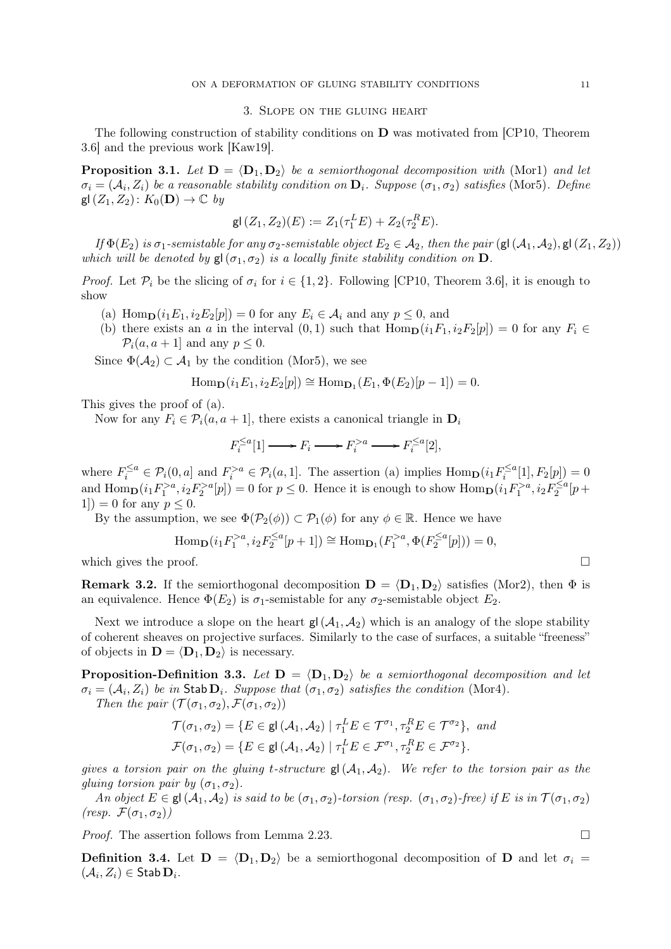### 3. Slope on the gluing heart

The following construction of stability conditions on  $\bf{D}$  was motivated from [CP10, Theorem 3.6] and the previous work [Kaw19].

**Proposition 3.1.** Let  $\mathbf{D} = \langle \mathbf{D}_1, \mathbf{D}_2 \rangle$  be a semiorthogonal decomposition with (Mor1) and let  $\sigma_i = (\mathcal{A}_i, Z_i)$  be a reasonable stability condition on  $\mathbf{D}_i$ . Suppose  $(\sigma_1, \sigma_2)$  satisfies (Mor5). Define  $gl(Z_1, Z_2)$ :  $K_0(D) \rightarrow \mathbb{C}$  by

$$
\mathsf{gl}(Z_1, Z_2)(E) := Z_1(\tau_1^L E) + Z_2(\tau_2^R E).
$$

If  $\Phi(E_2)$  is  $\sigma_1$ -semistable for any  $\sigma_2$ -semistable object  $E_2 \in \mathcal{A}_2$ , then the pair (gl( $\mathcal{A}_1, \mathcal{A}_2$ ), gl( $Z_1, Z_2$ )) which will be denoted by  $\mathsf{g}(\sigma_1, \sigma_2)$  is a locally finite stability condition on  $\mathbf D$ .

*Proof.* Let  $\mathcal{P}_i$  be the slicing of  $\sigma_i$  for  $i \in \{1, 2\}$ . Following [CP10, Theorem 3.6], it is enough to show

- (a) Hom $\mathbf{p}(i_1E_1, i_2E_2[p]) = 0$  for any  $E_i \in \mathcal{A}_i$  and any  $p \leq 0$ , and
- (b) there exists an a in the interval  $(0, 1)$  such that  $\text{Hom}_{\mathbf{D}}(i_1F_1, i_2F_2[p]) = 0$  for any  $F_i \in$  $\mathcal{P}_i(a, a+1]$  and any  $p \leq 0$ .

Since  $\Phi(\mathcal{A}_2) \subset \mathcal{A}_1$  by the condition (Mor5), we see

$$
\operatorname{Hom}_{\mathbf{D}}(i_1E_1, i_2E_2[p]) \cong \operatorname{Hom}_{\mathbf{D}_1}(E_1, \Phi(E_2)[p-1]) = 0.
$$

This gives the proof of (a).

Now for any  $F_i \in \mathcal{P}_i(a, a+1]$ , there exists a canonical triangle in  $\mathbf{D}_i$ 

$$
F_i^{\le a}[1] \longrightarrow F_i \longrightarrow F_i^{>a} \longrightarrow F_i^{\le a}[2],
$$

where  $F_i^{\le a} \in \mathcal{P}_i(0, a]$  and  $F_i^{> a} \in \mathcal{P}_i(a, 1]$ . The assertion (a) implies  $\text{Hom}_{\mathbf{D}}(i_1 F_i^{\le a}[1], F_2[p]) = 0$ and  $\text{Hom}_{\mathbf{D}}(i_1 F_1^{>a}, i_2 F_2^{>a}[p]) = 0$  for  $p \leq 0$ . Hence it is enough to show  $\text{Hom}_{\mathbf{D}}(i_1 F_1^{>a}, i_2 F_2^{\leq a}[p +$ 1]) = 0 for any  $p < 0$ .

By the assumption, we see  $\Phi(\mathcal{P}_2(\phi)) \subset \mathcal{P}_1(\phi)$  for any  $\phi \in \mathbb{R}$ . Hence we have

Hom<sub>D</sub>
$$
(i_1 F_1^{>a}, i_2 F_2^{\le a}[p+1]) \cong \text{Hom}_{D_1}(F_1^{>a}, \Phi(F_2^{\le a}[p])) = 0,
$$

which gives the proof.  $\Box$ 

**Remark 3.2.** If the semiorthogonal decomposition  $\mathbf{D} = \langle \mathbf{D}_1, \mathbf{D}_2 \rangle$  satisfies (Mor2), then  $\Phi$  is an equivalence. Hence  $\Phi(E_2)$  is  $\sigma_1$ -semistable for any  $\sigma_2$ -semistable object  $E_2$ .

Next we introduce a slope on the heart  $g(d_1, \mathcal{A}_2)$  which is an analogy of the slope stability of coherent sheaves on projective surfaces. Similarly to the case of surfaces, a suitable "freeness" of objects in  $\mathbf{D} = \langle \mathbf{D}_1, \mathbf{D}_2 \rangle$  is necessary.

**Proposition-Definition 3.3.** Let  $D = \langle D_1, D_2 \rangle$  be a semiorthogonal decomposition and let  $\sigma_i = (\mathcal{A}_i, Z_i)$  be in Stab  $D_i$ . Suppose that  $(\sigma_1, \sigma_2)$  satisfies the condition (Mor4).

Then the pair  $(\mathcal{T}(\sigma_1, \sigma_2), \mathcal{F}(\sigma_1, \sigma_2))$ 

$$
\mathcal{T}(\sigma_1, \sigma_2) = \{ E \in \mathsf{gl}(\mathcal{A}_1, \mathcal{A}_2) \mid \tau_1^L E \in \mathcal{T}^{\sigma_1}, \tau_2^R E \in \mathcal{T}^{\sigma_2} \}, \text{ and}
$$

$$
\mathcal{F}(\sigma_1, \sigma_2) = \{ E \in \mathsf{gl}(\mathcal{A}_1, \mathcal{A}_2) \mid \tau_1^L E \in \mathcal{F}^{\sigma_1}, \tau_2^R E \in \mathcal{F}^{\sigma_2} \}.
$$

gives a torsion pair on the gluing t-structure  $gl(A_1, A_2)$ . We refer to the torsion pair as the gluing torsion pair by  $(\sigma_1, \sigma_2)$ .

An object  $E \in \mathsf{gl}(\mathcal{A}_1, \mathcal{A}_2)$  is said to be  $(\sigma_1, \sigma_2)$ -torsion (resp.  $(\sigma_1, \sigma_2)$ -free) if E is in  $\mathcal{T}(\sigma_1, \sigma_2)$  $(resp. \mathcal{F}(\sigma_1, \sigma_2))$ 

*Proof.* The assertion follows from Lemma 2.23.

**Definition 3.4.** Let  $D = \langle D_1, D_2 \rangle$  be a semiorthogonal decomposition of D and let  $\sigma_i =$  $(\mathcal{A}_i, Z_i) \in \mathsf{Stab}\,\mathbf{D}_i.$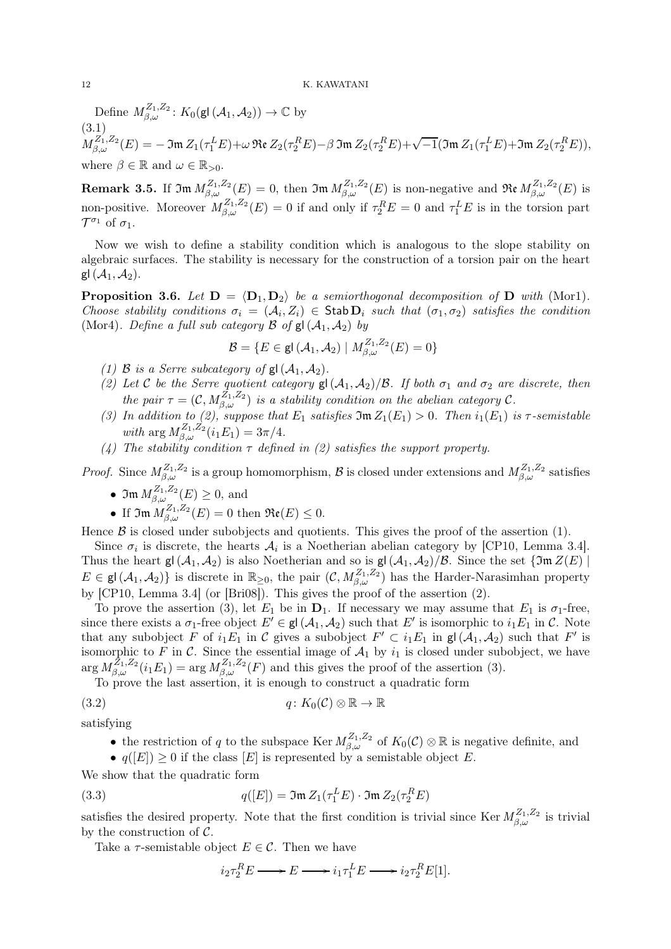Define  $M_{\beta,\omega}^{Z_1,Z_2}$ :  $K_0(\mathsf{gl}\,(\mathcal{A}_1,\mathcal{A}_2)) \to \mathbb{C}$  by (3.1)  $M^{Z_1',Z_2}_{\beta,\omega}(E)=-\mathfrak{Im}\,Z_1(\tau^L_1 E)+\omega \, \mathfrak{Re}\,Z_2(\tau^R_2 E)-\beta \, \mathfrak{Im}\,Z_2(\tau^R_2 E)+\sqrt{-1} (\mathfrak{Im}\,Z_1(\tau^L_1 E)+\mathfrak{Im}\,Z_2(\tau^R_2 E)),$ where  $\beta \in \mathbb{R}$  and  $\omega \in \mathbb{R}_{>0}$ .

**Remark 3.5.** If  $\mathfrak{Im} M_{\beta,\omega}^{Z_1,Z_2}(E) = 0$ , then  $\mathfrak{Im} M_{\beta,\omega}^{Z_1,Z_2}(E)$  is non-negative and  $\mathfrak{Re} M_{\beta,\omega}^{Z_1,Z_2}(E)$  is non-positive. Moreover  $M_{\beta,\omega}^{Z_1,Z_2}(E) = 0$  if and only if  $\tau_2^R E = 0$  and  $\tau_1^L E$  is in the torsion part  $\mathcal{T}^{\sigma_1}$  of  $\sigma_1$ .

Now we wish to define a stability condition which is analogous to the slope stability on algebraic surfaces. The stability is necessary for the construction of a torsion pair on the heart gl $(\mathcal{A}_1, \mathcal{A}_2)$ .

**Proposition 3.6.** Let  $D = \langle D_1, D_2 \rangle$  be a semiorthogonal decomposition of D with (Mor1). Choose stability conditions  $\sigma_i = (A_i, Z_i) \in$  Stab  $D_i$  such that  $(\sigma_1, \sigma_2)$  satisfies the condition (Mor4). Define a full sub category  $\mathcal B$  of  $gl(\mathcal A_1, \mathcal A_2)$  by

$$
\mathcal{B}=\{E\in \mathsf{gl}\left(\mathcal{A}_1,\mathcal{A}_2\right) \mid M_{\beta,\omega}^{Z_1,Z_2}(E)=0\}
$$

- 
- (1) B is a Serre subcategory of  $gl(A_1, A_2)$ .<br>(2) Let C be the Serre quotient category  $gl(A_1, A_2)/B$ . If both  $\sigma_1$  and  $\sigma_2$  are discrete, then (2) Let C be the Serre quotient category  $\mathsf{gl}(\mathcal{A}_1, \mathcal{A}_2)/\mathcal{B}$ . If both  $\sigma_1$  and  $\sigma_2$  are discrete, then the pair  $\tau = (\mathcal{C}, M_{\beta,\omega}^{Z_1,Z_2})$  is a stability condition on the abelian category  $\mathcal{C}$ .
- (3) In addition to (2), suppose that  $E_1$  satisfies  $\mathfrak{Im} Z_1(E_1) > 0$ . Then  $i_1(E_1)$  is  $\tau$ -semistable with  $\arg M_{\beta,\omega}^{Z_1,Z_2}(i_1E_1) = 3\pi/4.$
- (4) The stability condition  $\tau$  defined in (2) satisfies the support property.

*Proof.* Since  $M_{\beta,\omega}^{Z_1,Z_2}$  is a group homomorphism,  $\beta$  is closed under extensions and  $M_{\beta,\omega}^{Z_1,Z_2}$  satisfies

- $\mathfrak{Im}\, M_{\beta,\omega}^{Z_1,Z_2}(E) \geq 0$ , and
- If  $\mathfrak{Im} M_{\beta,\omega}^{Z_1,Z_2}(E) = 0$  then  $\Re(\mathfrak{e}(E) \leq 0$ .

Hence  $\beta$  is closed under subobjects and quotients. This gives the proof of the assertion (1).

Since  $\sigma_i$  is discrete, the hearts  $\mathcal{A}_i$  is a Noetherian abelian category by [CP10, Lemma 3.4]. Thus the heart  $gl(\mathcal{A}_1, \mathcal{A}_2)$  is also Noetherian and so is  $gl(\mathcal{A}_1, \mathcal{A}_2)/\mathcal{B}$ . Since the set  $\{\mathfrak{Im}\,Z(E)\}$  $E \in \mathsf{gl}(\mathcal{A}_1, \mathcal{A}_2)$  is discrete in  $\mathbb{R}_{\geq 0}$ , the pair  $(\mathcal{C}, M_{\beta,\omega}^{Z_1, Z_2})$  has the Harder-Narasimhan property by [CP10, Lemma 3.4] (or [Bri08]). This gives the proof of the assertion (2).

To prove the assertion (3), let  $E_1$  be in  $D_1$ . If necessary we may assume that  $E_1$  is  $\sigma_1$ -free, since there exists a  $\sigma_1$ -free object  $E' \in \mathsf{gl}(\mathcal{A}_1, \mathcal{A}_2)$  such that  $E'$  is isomorphic to  $i_1 E_1$  in C. Note that any subobject F of  $i_1E_1$  in C gives a subobject  $F' \subset i_1E_1$  in  $\mathsf{gl}(\mathcal{A}_1, \mathcal{A}_2)$  such that  $F'$  is isomorphic to F in C. Since the essential image of  $A_1$  by  $i_1$  is closed under subobject, we have  $\arg M_{\beta,\omega}^{Z_1,Z_2}(i_1E_1) = \arg M_{\beta,\omega}^{Z_1,Z_2}(F)$  and this gives the proof of the assertion (3).

To prove the last assertion, it is enough to construct a quadratic form

(3.2) 
$$
q: K_0(\mathcal{C}) \otimes \mathbb{R} \to \mathbb{R}
$$

satisfying

• the restriction of q to the subspace Ker  $M_{\beta,\omega}^{Z_1,Z_2}$  of  $K_0(\mathcal{C})\otimes\mathbb{R}$  is negative definite, and

•  $q([E]) \geq 0$  if the class  $[E]$  is represented by a semistable object E.

We show that the quadratic form

(3.3) 
$$
q([E]) = \mathfrak{Im} Z_1(\tau_1^L E) \cdot \mathfrak{Im} Z_2(\tau_2^R E)
$$

satisfies the desired property. Note that the first condition is trivial since Ker  $M_{\beta,\omega}^{Z_1,Z_2}$  is trivial by the construction of  $\mathcal{C}$ .

Take a  $\tau$ -semistable object  $E \in \mathcal{C}$ . Then we have

$$
i_2 \tau_2^R E \longrightarrow E \longrightarrow i_1 \tau_1^L E \longrightarrow i_2 \tau_2^R E[1].
$$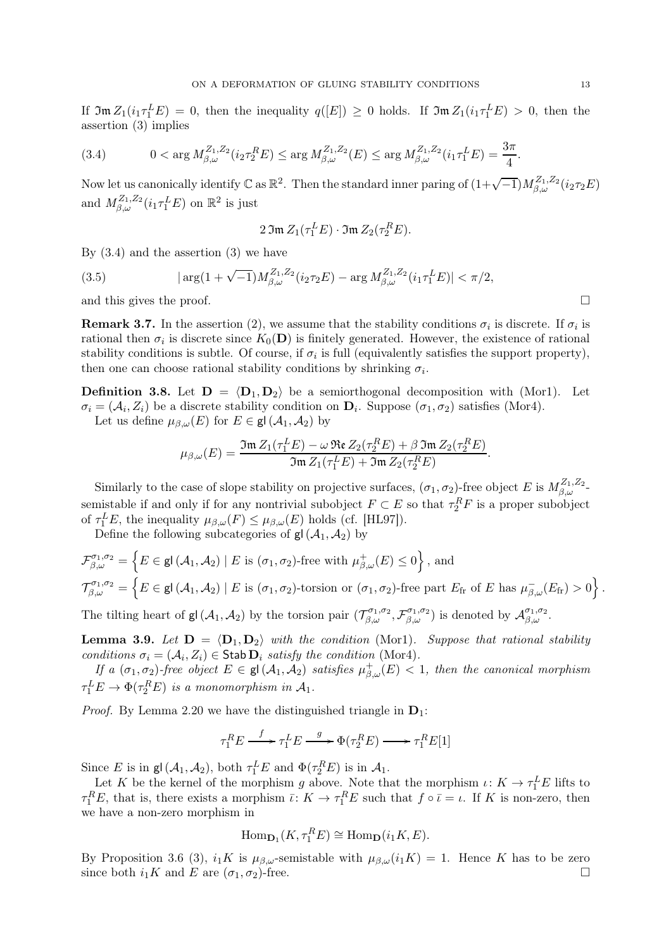If  $\mathfrak{Im} Z_1(i_1 \tau_1^L E) = 0$ , then the inequality  $q([E]) \geq 0$  holds. If  $\mathfrak{Im} Z_1(i_1 \tau_1^L E) > 0$ , then the assertion (3) implies

(3.4) 
$$
0 < \arg M_{\beta,\omega}^{Z_1,Z_2}(i_2 \tau_2^R E) \leq \arg M_{\beta,\omega}^{Z_1,Z_2}(E) \leq \arg M_{\beta,\omega}^{Z_1,Z_2}(i_1 \tau_1^L E) = \frac{3\pi}{4}.
$$

Now let us canonically identify  $\mathbb C$  as  $\mathbb R^2$ . Then the standard inner paring of  $(1+\sqrt{-1})M_{\beta,\omega}^{Z_1,Z_2}(i_2\tau_2E)$ and  $M_{\beta,\omega}^{Z_1,Z_2}(i_1\tau_1^L E)$  on  $\mathbb{R}^2$  is just

$$
2 \operatorname{Im} Z_1(\tau_1^L E) \cdot \operatorname{Im} Z_2(\tau_2^R E).
$$

By  $(3.4)$  and the assertion  $(3)$  we have

(3.5) 
$$
|\arg(1+\sqrt{-1})M_{\beta,\omega}^{Z_1,Z_2}(i_2\tau_2E) - \arg M_{\beta,\omega}^{Z_1,Z_2}(i_1\tau_1^L E)| < \pi/2,
$$
 and this gives the proof.

**Remark 3.7.** In the assertion (2), we assume that the stability conditions  $\sigma_i$  is discrete. If  $\sigma_i$  is rational then  $\sigma_i$  is discrete since  $K_0(\mathbf{D})$  is finitely generated. However, the existence of rational stability conditions is subtle. Of course, if  $\sigma_i$  is full (equivalently satisfies the support property), then one can choose rational stability conditions by shrinking  $\sigma_i$ .

**Definition 3.8.** Let  $D = \langle D_1, D_2 \rangle$  be a semiorthogonal decomposition with (Mor1). Let  $\sigma_i = (\mathcal{A}_i, Z_i)$  be a discrete stability condition on  $\mathbf{D}_i$ . Suppose  $(\sigma_1, \sigma_2)$  satisfies (Mor4).

Let us define  $\mu_{\beta,\omega}(E)$  for  $E \in \mathsf{gl}(\mathcal{A}_1, \mathcal{A}_2)$  by

$$
\mu_{\beta,\omega}(E) = \frac{\mathfrak{Im} Z_1(\tau_1^L E) - \omega \mathfrak{Re} Z_2(\tau_2^R E) + \beta \mathfrak{Im} Z_2(\tau_2^R E)}{\mathfrak{Im} Z_1(\tau_1^L E) + \mathfrak{Im} Z_2(\tau_2^R E)}
$$

.

Similarly to the case of slope stability on projective surfaces,  $(\sigma_1, \sigma_2)$ -free object E is  $M_{\beta,\omega}^{Z_1,Z_2}$ semistable if and only if for any nontrivial subobject  $F \subset E$  so that  $\tau_2^R F$  is a proper subobject of  $\tau_1^L E$ , the inequality  $\mu_{\beta,\omega}(F) \leq \mu_{\beta,\omega}(E)$  holds (cf. [HL97]).

Define the following subcategories of  $gl(\mathcal{A}_1, \mathcal{A}_2)$  by

$$
\mathcal{F}_{\beta,\omega}^{\sigma_1,\sigma_2} = \left\{ E \in \mathsf{gl}\left(\mathcal{A}_1,\mathcal{A}_2\right) \mid E \text{ is } (\sigma_1,\sigma_2)\text{-free with } \mu_{\beta,\omega}^+(E) \le 0 \right\}, \text{ and}
$$
\n
$$
\mathcal{T}_{\beta,\omega}^{\sigma_1,\sigma_2} = \left\{ E \in \mathsf{gl}\left(\mathcal{A}_1,\mathcal{A}_2\right) \mid E \text{ is } (\sigma_1,\sigma_2)\text{-torsion or } (\sigma_1,\sigma_2)\text{-free part } E_{\text{fr}} \text{ of } E \text{ has } \mu_{\beta,\omega}^-(E_{\text{fr}}) > 0 \right\}
$$

The tilting heart of  $gl(\mathcal{A}_1, \mathcal{A}_2)$  by the torsion pair  $(\mathcal{T}_{\beta,\omega}^{\sigma_1,\sigma_2}, \mathcal{F}_{\beta,\omega}^{\sigma_1,\sigma_2})$  is denoted by  $\mathcal{A}_{\beta,\omega}^{\sigma_1,\sigma_2}$ .

**Lemma 3.9.** Let  $D = \langle D_1, D_2 \rangle$  with the condition (Mor1). Suppose that rational stability conditions  $\sigma_i = (\mathcal{A}_i, Z_i) \in \mathsf{Stab}\,\mathbf{D}_i$  satisfy the condition (Mor4).

If a  $(\sigma_1, \sigma_2)$ -free object  $E \in \mathsf{gl}(\mathcal{A}_1, \mathcal{A}_2)$  satisfies  $\mu^+_{\beta,\omega}(E) < 1$ , then the canonical morphism  $\tau_1^L E \to \Phi(\tau_2^R E)$  is a monomorphism in  $\mathcal{A}_1$ .

*Proof.* By Lemma 2.20 we have the distinguished triangle in  $D_1$ :

$$
\tau_1^R E \xrightarrow{f} \tau_1^L E \xrightarrow{g} \Phi(\tau_2^R E) \longrightarrow \tau_1^R E[1]
$$

Since E is in  $\mathsf{gl}\,(\mathcal{A}_1, \mathcal{A}_2)$ , both  $\tau_1^L E$  and  $\Phi(\tau_2^R E)$  is in  $\mathcal{A}_1$ .

Let K be the kernel of the morphism g above. Note that the morphism  $\iota: K \to \tau_1^L E$  lifts to  $\tau_1^R E$ , that is, there exists a morphism  $\bar{\iota}: K \to \tau_1^R E$  such that  $f \circ \bar{\iota} = \iota$ . If K is non-zero, then we have a non-zero morphism in

$$
\mathrm{Hom}_{\mathbf{D}_1}(K, \tau_1^R E) \cong \mathrm{Hom}_{\mathbf{D}}(i_1 K, E).
$$

By Proposition 3.6 (3),  $i_1K$  is  $\mu_{\beta,\omega}$ -semistable with  $\mu_{\beta,\omega}(i_1K) = 1$ . Hence K has to be zero since both  $i_1K$  and E are  $(\sigma_1, \sigma_2)$ -free. .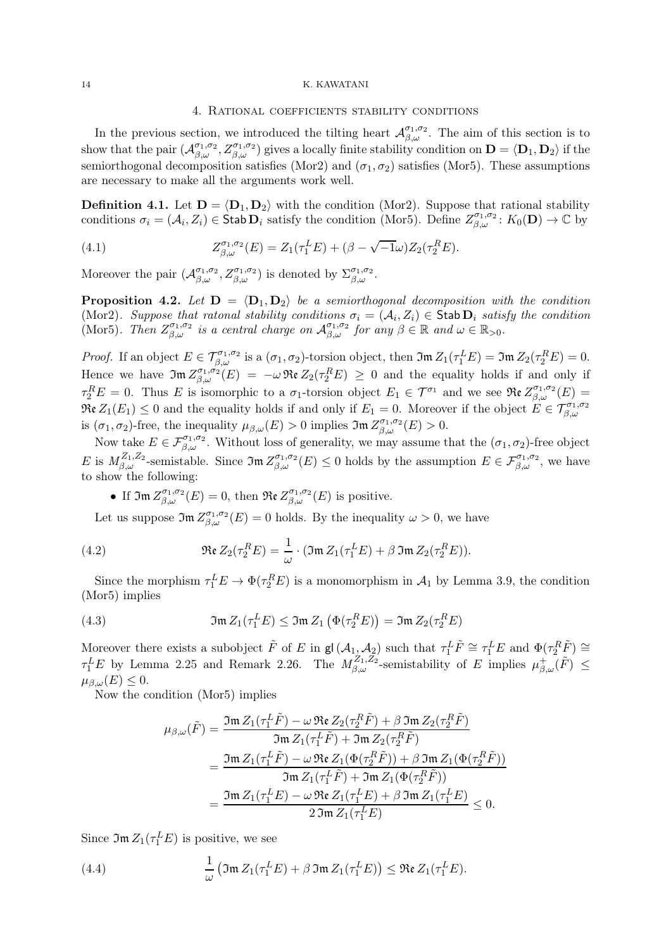### 4. Rational coefficients stability conditions

In the previous section, we introduced the tilting heart  $\mathcal{A}_{\beta,\omega}^{\sigma_1,\sigma_2}$ . The aim of this section is to show that the pair  $(\mathcal{A}_{\beta,\omega}^{\sigma_1,\sigma_2}, Z_{\beta,\omega}^{\sigma_1,\sigma_2})$  gives a locally finite stability condition on  $\mathbf{D} = \langle \mathbf{D}_1, \mathbf{D}_2 \rangle$  if the semiorthogonal decomposition satisfies (Mor2) and  $(\sigma_1, \sigma_2)$  satisfies (Mor5). These assumptions are necessary to make all the arguments work well.

**Definition 4.1.** Let  $\mathbf{D} = \langle \mathbf{D}_1, \mathbf{D}_2 \rangle$  with the condition (Mor2). Suppose that rational stability conditions  $\sigma_i = (\mathcal{A}_i, Z_i) \in \mathsf{Stab} \,\mathbf{D}_i$  satisfy the condition (Mor5). Define  $Z_{\beta,\omega}^{\sigma_1,\sigma_2} : K_0(\mathbf{D}) \to \mathbb{C}$  by

(4.1) 
$$
Z_{\beta,\omega}^{\sigma_1,\sigma_2}(E) = Z_1(\tau_1^L E) + (\beta - \sqrt{-1}\omega)Z_2(\tau_2^R E).
$$

Moreover the pair  $(\mathcal{A}_{\beta,\omega}^{\sigma_1,\sigma_2}, Z_{\beta,\omega}^{\sigma_1,\sigma_2})$  is denoted by  $\Sigma_{\beta,\omega}^{\sigma_1,\sigma_2}$ .

**Proposition 4.2.** Let  $D = \langle D_1, D_2 \rangle$  be a semiorthogonal decomposition with the condition (Mor2). Suppose that ratonal stability conditions  $\sigma_i = (\mathcal{A}_i, Z_i) \in \text{Stab } \mathbf{D}_i$  satisfy the condition (Mor5). Then  $Z_{\beta,\omega}^{\sigma_1,\sigma_2}$  is a central charge on  $\mathcal{A}_{\beta,\omega}^{\sigma_1,\sigma_2}$  for any  $\beta \in \mathbb{R}$  and  $\omega \in \mathbb{R}_{>0}$ .

Proof. If an object  $E \in \mathcal{T}_{\beta,\omega}^{\sigma_1,\sigma_2}$  is a  $(\sigma_1,\sigma_2)$ -torsion object, then  $\mathfrak{Im} Z_1(\tau_1^L E) = \mathfrak{Im} Z_2(\tau_2^R E) = 0$ . Hence we have  $\mathfrak{Im} Z_{\beta,\omega}^{\sigma_1,\sigma_2}(E) = -\omega \mathfrak{Re} Z_2(\tau_2^R E) \geq 0$  and the equality holds if and only if  $\tau_2^R E = 0$ . Thus E is isomorphic to a  $\sigma_1$ -torsion object  $E_1 \in \mathcal{T}^{\sigma_1}$  and we see  $\Re(z) \mathcal{Z}^{\sigma_1, \sigma_2}_{\beta, \omega}(E) =$  $\Re$ **c**  $Z_1(E_1) \leq 0$  and the equality holds if and only if  $E_1 = 0$ . Moreover if the object  $E \in \mathcal{T}_{\beta,\omega}^{\sigma_1,\sigma_2}$ is  $(\sigma_1, \sigma_2)$ -free, the inequality  $\mu_{\beta,\omega}(E) > 0$  implies  $\mathfrak{Im} Z_{\beta,\omega}^{\sigma_1,\sigma_2}(E) > 0$ .

Now take  $E \in \mathcal{F}_{\beta,\omega}^{\sigma_1,\sigma_2}$ . Without loss of generality, we may assume that the  $(\sigma_1,\sigma_2)$ -free object E is  $M_{\beta,\omega}^{Z_1,Z_2}$ -semistable. Since  $\mathfrak{Im} Z_{\beta,\omega}^{\sigma_1,\sigma_2}(E) \leq 0$  holds by the assumption  $E \in \mathcal{F}_{\beta,\omega}^{\sigma_1,\sigma_2}$ , we have to show the following:

• If  $\mathfrak{Im} Z_{\beta,\omega}^{\sigma_1,\sigma_2}(E) = 0$ , then  $\mathfrak{Re} Z_{\beta,\omega}^{\sigma_1,\sigma_2}(E)$  is positive.

Let us suppose  $\mathfrak{Im} Z_{\beta,\omega}^{\sigma_1,\sigma_2}(E) = 0$  holds. By the inequality  $\omega > 0$ , we have

(4.2) 
$$
\mathfrak{Re} Z_2(\tau_2^R E) = \frac{1}{\omega} \cdot (\mathfrak{Im} Z_1(\tau_1^L E) + \beta \mathfrak{Im} Z_2(\tau_2^R E)).
$$

Since the morphism  $\tau_1^L E \to \Phi(\tau_2^R E)$  is a monomorphism in  $\mathcal{A}_1$  by Lemma 3.9, the condition (Mor5) implies

(4.3) 
$$
\mathfrak{Im} Z_1(\tau_1^L E) \leq \mathfrak{Im} Z_1 \left( \Phi(\tau_2^R E) \right) = \mathfrak{Im} Z_2(\tau_2^R E)
$$

Moreover there exists a subobject  $\tilde{F}$  of E in gl( $\mathcal{A}_{1}$ ,  $\mathcal{A}_{2}$ ) such that  $\tau_1^L \tilde{F} \cong \tau_1^L E$  and  $\Phi(\tau_2^R \tilde{F}) \cong$  $\tau_1^L E$  by Lemma 2.25 and Remark 2.26. The  $M_{\beta,\omega}^{Z_1,Z_2}$ -semistability of E implies  $\mu_{\beta,\omega}^+(\tilde{F}) \leq$  $\mu_{\beta,\omega}(E) \leq 0.$ 

Now the condition (Mor5) implies

$$
\mu_{\beta,\omega}(\tilde{F}) = \frac{\Im \mathfrak{m} Z_1(\tau_1^L \tilde{F}) - \omega \operatorname{Re} Z_2(\tau_2^R \tilde{F}) + \beta \Im \mathfrak{m} Z_2(\tau_2^R \tilde{F})}{\Im \mathfrak{m} Z_1(\tau_1^L \tilde{F}) + \Im \mathfrak{m} Z_2(\tau_2^R \tilde{F})}
$$
\n
$$
= \frac{\Im \mathfrak{m} Z_1(\tau_1^L \tilde{F}) - \omega \operatorname{Re} Z_1(\Phi(\tau_2^R \tilde{F})) + \beta \Im \mathfrak{m} Z_1(\Phi(\tau_2^R \tilde{F}))}{\Im \mathfrak{m} Z_1(\tau_1^L \tilde{F}) + \Im \mathfrak{m} Z_1(\Phi(\tau_2^R \tilde{F}))}
$$
\n
$$
= \frac{\Im \mathfrak{m} Z_1(\tau_1^L E) - \omega \operatorname{Re} Z_1(\tau_1^L E) + \beta \Im \mathfrak{m} Z_1(\tau_1^L E)}{2 \Im \mathfrak{m} Z_1(\tau_1^L E)} \le 0.
$$

Since  $\mathfrak{Im} Z_1(\tau_1^L E)$  is positive, we see

(4.4) 
$$
\frac{1}{\omega} \left( \mathfrak{Im} Z_1(\tau_1^L E) + \beta \mathfrak{Im} Z_1(\tau_1^L E) \right) \leq \mathfrak{Re} Z_1(\tau_1^L E).
$$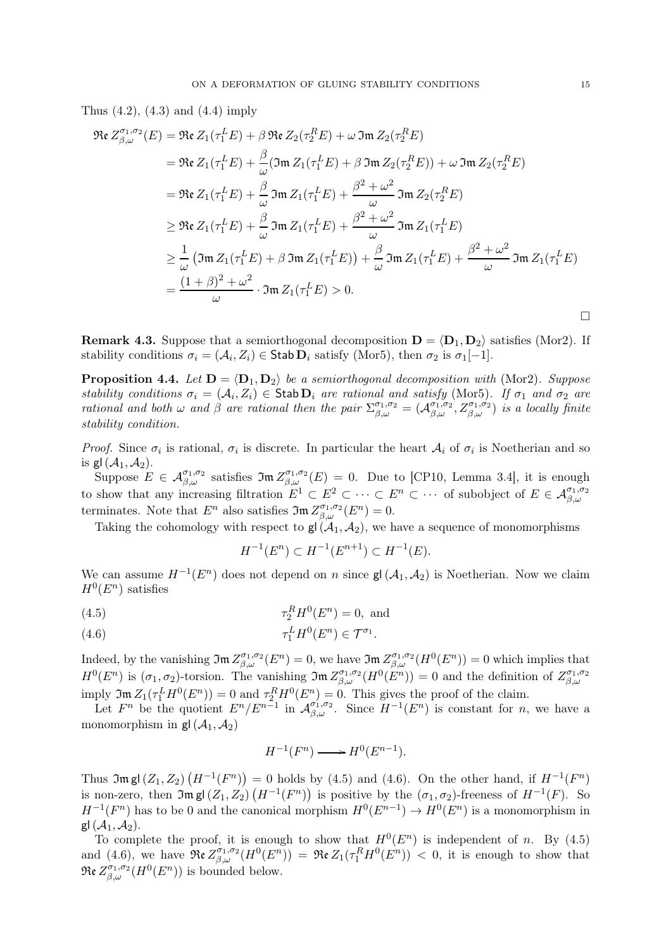Thus (4.2), (4.3) and (4.4) imply

$$
\Re \epsilon Z_{\beta,\omega}^{\sigma_1,\sigma_2}(E) = \Re \epsilon Z_1(\tau_1^L E) + \beta \Re \epsilon Z_2(\tau_2^R E) + \omega \Im \omega Z_2(\tau_2^R E)
$$
  
\n
$$
= \Re \epsilon Z_1(\tau_1^L E) + \frac{\beta}{\omega} (\Im \omega Z_1(\tau_1^L E) + \beta \Im \omega Z_2(\tau_2^R E)) + \omega \Im \omega Z_2(\tau_2^R E)
$$
  
\n
$$
= \Re \epsilon Z_1(\tau_1^L E) + \frac{\beta}{\omega} \Im \omega Z_1(\tau_1^L E) + \frac{\beta^2 + \omega^2}{\omega} \Im \omega Z_2(\tau_2^R E)
$$
  
\n
$$
\geq \Re \epsilon Z_1(\tau_1^L E) + \frac{\beta}{\omega} \Im \omega Z_1(\tau_1^L E) + \frac{\beta^2 + \omega^2}{\omega} \Im \omega Z_1(\tau_1^L E)
$$
  
\n
$$
\geq \frac{1}{\omega} (\Im \omega Z_1(\tau_1^L E) + \beta \Im \omega Z_1(\tau_1^L E)) + \frac{\beta}{\omega} \Im \omega Z_1(\tau_1^L E) + \frac{\beta^2 + \omega^2}{\omega} \Im \omega Z_1(\tau_1^L E)
$$
  
\n
$$
= \frac{(1 + \beta)^2 + \omega^2}{\omega} \cdot \Im \omega Z_1(\tau_1^L E) > 0.
$$

**Remark 4.3.** Suppose that a semiorthogonal decomposition  $\mathbf{D} = \langle \mathbf{D}_1, \mathbf{D}_2 \rangle$  satisfies (Mor2). If stability conditions  $\sigma_i = (\mathcal{A}_i, Z_i) \in \mathsf{Stab} \,\mathbf{D}_i$  satisfy (Mor5), then  $\sigma_2$  is  $\sigma_1[-1]$ .

**Proposition 4.4.** Let  $D = \langle D_1, D_2 \rangle$  be a semiorthogonal decomposition with (Mor2). Suppose stability conditions  $\sigma_i = (A_i, Z_i) \in$  Stab  $D_i$  are rational and satisfy (Mor5). If  $\sigma_1$  and  $\sigma_2$  are rational and both  $\omega$  and  $\hat{\beta}$  are rational then the pair  $\Sigma_{\beta,\omega}^{\sigma_1,\sigma_2} = (\mathcal{A}_{\beta,\omega}^{\sigma_1,\sigma_2}, Z_{\beta,\omega}^{\sigma_1,\sigma_2})$  is a locally finite stability condition.

*Proof.* Since  $\sigma_i$  is rational,  $\sigma_i$  is discrete. In particular the heart  $A_i$  of  $\sigma_i$  is Noetherian and so is gl $(\mathcal{A}_1, \mathcal{A}_2)$ .

Suppose  $E \in \mathcal{A}_{\beta,\omega}^{\sigma_1,\sigma_2}$  satisfies  $\mathfrak{Im} Z_{\beta,\omega}^{\sigma_1,\sigma_2}(E) = 0$ . Due to [CP10, Lemma 3.4], it is enough to show that any increasing filtration  $E^1 \subset E^2 \subset \cdots \subset E^n \subset \cdots$  of subobject of  $E \in \mathcal{A}_{\beta,\omega}^{\sigma_1,\sigma_2}$ terminates. Note that  $E^n$  also satisfies  $\mathfrak{Im} Z^{\sigma_1,\sigma_2}_{\beta,\omega}(E^n) = 0$ .

Taking the cohomology with respect to  $\mathsf{gl}(\mathcal{A}_1, \mathcal{A}_2)$ , we have a sequence of monomorphisms

$$
H^{-1}(E^n) \subset H^{-1}(E^{n+1}) \subset H^{-1}(E).
$$

We can assume  $H^{-1}(E^n)$  does not depend on n since  $\mathsf{gl}(\mathcal{A}_1, \mathcal{A}_2)$  is Noetherian. Now we claim  $H^0(E^n)$  satisfies

(4.5) 
$$
\tau_2^R H^0(E^n) = 0, \text{ and}
$$

τ L <sup>1</sup> H<sup>0</sup> (E n ) ∈ T <sup>σ</sup><sup>1</sup> (4.6) .

Indeed, by the vanishing  $\mathfrak{Im} Z^{\sigma_1,\sigma_2}_{\beta,\omega}(E^n) = 0$ , we have  $\mathfrak{Im} Z^{\sigma_1,\sigma_2}_{\beta,\omega}(H^0(E^n)) = 0$  which implies that  $H^0(E^n)$  is  $(\sigma_1, \sigma_2)$ -torsion. The vanishing  $\mathfrak{Im} Z^{\sigma_1, \sigma_2}_{\beta, \omega}(H^0(E^n)) = 0$  and the definition of  $Z^{\sigma_1, \sigma_2}_{\beta, \omega}$  $_{\beta,\omega}$ imply  $\mathfrak{Im} Z_1(\tau_1^L H^0(E^n)) = 0$  and  $\tau_2^R H^0(E^n) = 0$ . This gives the proof of the claim.

Let  $F^n$  be the quotient  $E^n/E^{n-1}$  in  $\mathcal{A}_{\beta,\omega}^{\sigma_1,\sigma_2}$ . Since  $H^{-1}(E^n)$  is constant for n, we have a monomorphism in  $gl(\mathcal{A}_1, \mathcal{A}_2)$ 

$$
H^{-1}(F^n) \longrightarrow H^0(E^{n-1}).
$$

Thus  $\mathfrak{Im} \, \mathsf{gl} \, (Z_1, Z_2) \, (H^{-1}(F^n)) = 0$  holds by (4.5) and (4.6). On the other hand, if  $H^{-1}(F^n)$ is non-zero, then  $\mathfrak{Im} \text{gl}(Z_1, Z_2)$   $(H^{-1}(F^n))$  is positive by the  $(\sigma_1, \sigma_2)$ -freeness of  $H^{-1}(F)$ . So  $H^{-1}(F^n)$  has to be 0 and the canonical morphism  $H^0(E^{n-1}) \to H^0(E^n)$  is a monomorphism in gl $(\mathcal{A}_1, \mathcal{A}_2)$ .

To complete the proof, it is enough to show that  $H^0(E^n)$  is independent of n. By (4.5) and (4.6), we have  $\mathfrak{Re} Z_{\beta,\omega}^{\sigma_1,\sigma_2}(H^0(E^n)) = \mathfrak{Re} Z_1(\tau_1^R H^0(E^n)) < 0$ , it is enough to show that  $\mathfrak{Re}\,Z_{\beta,\omega}^{\sigma_1,\sigma_2}(H^0(E^n))$  is bounded below.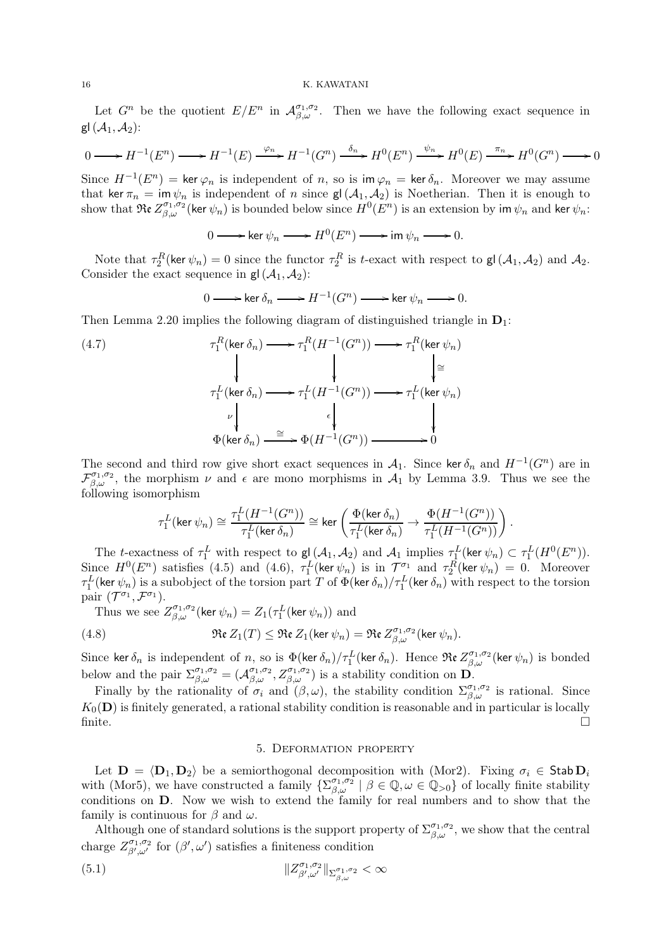Let  $G^n$  be the quotient  $E/E^n$  in  $\mathcal{A}_{\beta,\omega}^{\sigma_1,\sigma_2}$ . Then we have the following exact sequence in gl $(\mathcal{A}_1, \mathcal{A}_2)$ :

$$
0 \longrightarrow H^{-1}(E^n) \longrightarrow H^{-1}(E) \xrightarrow{\varphi_n} H^{-1}(G^n) \xrightarrow{\delta_n} H^0(E^n) \xrightarrow{\psi_n} H^0(E) \xrightarrow{\pi_n} H^0(G^n) \longrightarrow 0
$$

Since  $H^{-1}(E^n) = \ker \varphi_n$  is independent of n, so is im  $\varphi_n = \ker \delta_n$ . Moreover we may assume that ker  $\pi_n = \text{im } \psi_n$  is independent of n since  $\mathsf{gl}(\mathcal{A}_1, \mathcal{A}_2)$  is Noetherian. Then it is enough to show that  $\mathfrak{Re} Z_{\beta,\omega}^{\sigma_1,\sigma_2}(\ker \psi_n)$  is bounded below since  $H^0(E^n)$  is an extension by im  $\psi_n$  and ker  $\psi_n$ :

$$
0 \longrightarrow \ker \psi_n \longrightarrow H^0(E^n) \longrightarrow \operatorname{im} \psi_n \longrightarrow 0.
$$

Note that  $\tau_2^R$ (ker  $\psi_n$ ) = 0 since the functor  $\tau_2^R$  is t-exact with respect to  $\mathsf{gl}(\mathcal{A}_1, \mathcal{A}_2)$  and  $\mathcal{A}_2$ . Consider the exact sequence in  $gl(\mathcal{A}_1, \mathcal{A}_2)$ :

$$
0 \longrightarrow \ker \delta_n \longrightarrow H^{-1}(G^n) \longrightarrow \ker \psi_n \longrightarrow 0.
$$

Then Lemma 2.20 implies the following diagram of distinguished triangle in  $D_1$ :

(4.7) 
$$
\tau_1^R(\ker \delta_n) \longrightarrow \tau_1^R(H^{-1}(G^n)) \longrightarrow \tau_1^R(\ker \psi_n)
$$
\n
$$
\downarrow \qquad \qquad \downarrow \qquad \qquad \downarrow \qquad \downarrow \qquad \downarrow \qquad \downarrow
$$
\n
$$
\tau_1^L(\ker \delta_n) \longrightarrow \tau_1^L(H^{-1}(G^n)) \longrightarrow \tau_1^L(\ker \psi_n)
$$
\n
$$
\downarrow \qquad \qquad \downarrow
$$
\n
$$
\Phi(\ker \delta_n) \longrightarrow \Phi(H^{-1}(G^n)) \longrightarrow 0
$$

The second and third row give short exact sequences in  $\mathcal{A}_1$ . Since ker  $\delta_n$  and  $H^{-1}(G^n)$  are in  $\mathcal{F}_{\beta,\omega}^{\sigma_1,\sigma_2}$ , the morphism  $\nu$  and  $\epsilon$  are mono morphisms in  $\mathcal{A}_1$  by Lemma 3.9. Thus we see the following isomorphism

$$
\tau_1^L(\ker\psi_n)\cong\frac{\tau_1^L(H^{-1}(G^n))}{\tau_1^L(\ker\delta_n)}\cong\ker\left(\frac{\Phi(\ker\delta_n)}{\tau_1^L(\ker\delta_n)}\to\frac{\Phi(H^{-1}(G^n))}{\tau_1^L(H^{-1}(G^n))}\right).
$$

The t-exactness of  $\tau_1^L$  with respect to  $g(\mathcal{A}_1, \mathcal{A}_2)$  and  $\mathcal{A}_1$  implies  $\tau_1^L(\ker \psi_n) \subset \tau_1^L(H^0(E^n)).$ Since  $H^0(E^n)$  satisfies (4.5) and (4.6),  $\tau_1^L(\ker \psi_n)$  is in  $\mathcal{T}^{\sigma_1}$  and  $\tau_2^R(\ker \psi_n) = 0$ . Moreover  $\tau^L_1$ (ker  $\psi_n)$  is a subobject of the torsion part  $T$  of  $\Phi$ (ker  $\delta_n)/\tau^L_1$ (ker  $\delta_n)$  with respect to the torsion pair  $(\mathcal{T}^{\sigma_1}, \mathcal{F}^{\sigma_1}).$ 

Thus we see  $Z_{\beta,\omega}^{\sigma_1,\sigma_2}$  (ker  $\psi_n$ ) =  $Z_1(\tau_1^L(\ker \psi_n))$  and

(4.8) 
$$
\mathfrak{Re} Z_1(T) \leq \mathfrak{Re} Z_1(\ker \psi_n) = \mathfrak{Re} Z_{\beta,\omega}^{\sigma_1,\sigma_2}(\ker \psi_n).
$$

Since ker  $\delta_n$  is independent of n, so is  $\Phi(\ker \delta_n)/\tau_1^L$  (ker  $\delta_n$ ). Hence  $\Re$ e  $Z_{\beta,\omega}^{\sigma_1,\sigma_2}$  (ker  $\psi_n$ ) is bonded below and the pair  $\Sigma_{\beta,\omega}^{\sigma_1,\sigma_2} = (\mathcal{A}_{\beta,\omega}^{\sigma_1,\sigma_2}, Z_{\beta,\omega}^{\sigma_1,\sigma_2})$  is a stability condition on  $\mathbf{D}$ .

Finally by the rationality of  $\sigma_i$  and  $(\beta,\omega)$ , the stability condition  $\Sigma_{\beta,\omega}^{\sigma_1,\sigma_2}$  is rational. Since  $K_0(\mathbf{D})$  is finitely generated, a rational stability condition is reasonable and in particular is locally finite.  $\square$ 

### 5. Deformation property

Let  $\mathbf{D} = \langle \mathbf{D}_1, \mathbf{D}_2 \rangle$  be a semiorthogonal decomposition with (Mor2). Fixing  $\sigma_i \in \mathsf{Stab} \mathbf{D}_i$ with (Mor5), we have constructed a family  $\{\Sigma_{\beta,\omega}^{\sigma_1,\sigma_2} \mid \beta \in \mathbb{Q}, \omega \in \mathbb{Q}_{>0}\}\)$  of locally finite stability conditions on D. Now we wish to extend the family for real numbers and to show that the family is continuous for  $\beta$  and  $\omega$ .

Although one of standard solutions is the support property of  $\Sigma_{\beta,\omega}^{\sigma_1,\sigma_2}$ , we show that the central charge  $Z^{\sigma_1,\sigma_2}_{\beta',\omega'}$  for  $(\beta',\omega')$  satisfies a finiteness condition

(5.1) kZ σ1,σ2 β′ ,ω′ kΣ σ1,σ2 β,ω < ∞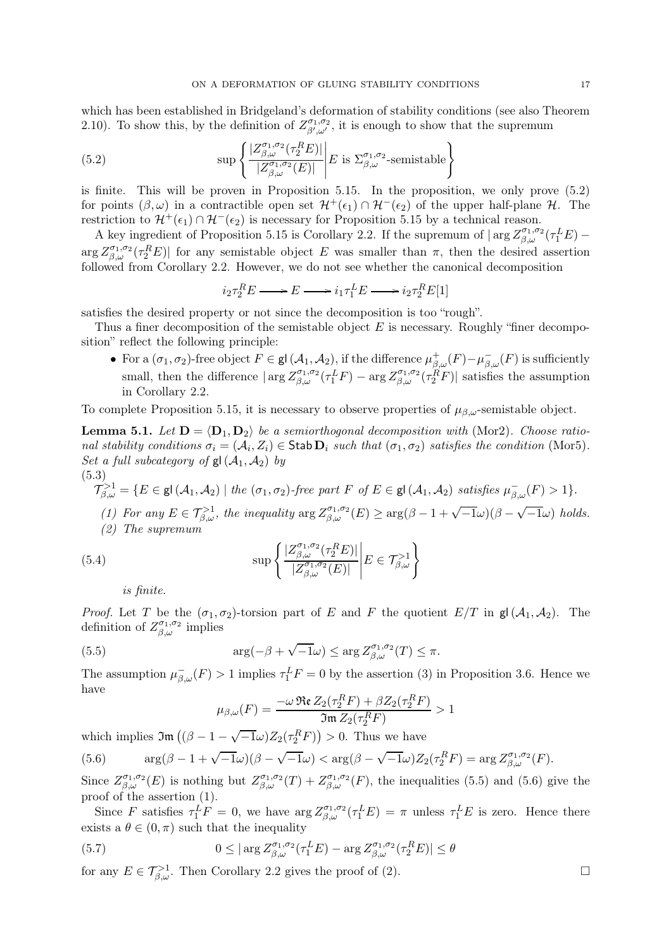which has been established in Bridgeland's deformation of stability conditions (see also Theorem 2.10). To show this, by the definition of  $Z_{\beta',\omega'}^{\sigma_1,\sigma_2}$ , it is enough to show that the supremum

(5.2) 
$$
\sup \left\{ \frac{|Z^{\sigma_1,\sigma_2}_{\beta,\omega}(\tau_2^RE)|}{|Z^{\sigma_1,\sigma_2}_{\beta,\omega}(E)|} \middle| E \text{ is } \Sigma^{\sigma_1,\sigma_2}_{\beta,\omega}\text{-semistable} \right\}
$$

is finite. This will be proven in Proposition 5.15. In the proposition, we only prove (5.2) for points  $(\beta, \omega)$  in a contractible open set  $\mathcal{H}^+(\epsilon_1) \cap \mathcal{H}^-(\epsilon_2)$  of the upper half-plane  $\mathcal{H}$ . The restriction to  $\mathcal{H}^+(\epsilon_1) \cap \mathcal{H}^-(\epsilon_2)$  is necessary for Proposition 5.15 by a technical reason.

A key ingredient of Proposition 5.15 is Corollary 2.2. If the supremum of  $|\arg Z^{\sigma_1,\sigma_2}_{\beta,\omega}(\tau_1^L E) \arg Z^{\sigma_1,\sigma_2}_{\beta,\omega}(\tau_2^R E)$  for any semistable object E was smaller than  $\pi$ , then the desired assertion followed from Corollary 2.2. However, we do not see whether the canonical decomposition

$$
i_2 \tau_2^R E \longrightarrow E \longrightarrow i_1 \tau_1^L E \longrightarrow i_2 \tau_2^R E[1]
$$

satisfies the desired property or not since the decomposition is too "rough".

Thus a finer decomposition of the semistable object  $E$  is necessary. Roughly "finer decomposition" reflect the following principle:

• For a  $(\sigma_1, \sigma_2)$ -free object  $F \in \mathsf{gl}(\mathcal{A}_1, \mathcal{A}_2)$ , if the difference  $\mu^+_{\beta,\omega}(F) - \mu^-_{\beta,\omega}(F)$  is sufficiently small, then the difference  $|\arg Z_{\beta,\omega}^{\sigma_1,\sigma_2}(\tau_1^L F) - \arg Z_{\beta,\omega}^{\sigma_1,\sigma_2}(\tau_2^R F)|$  satisfies the assumption in Corollary 2.2.

To complete Proposition 5.15, it is necessary to observe properties of  $\mu_{\beta,\omega}$ -semistable object.

**Lemma 5.1.** Let  $D = \langle D_1, D_2 \rangle$  be a semiorthogonal decomposition with (Mor2). Choose rational stability conditions  $\sigma_i = (A_i, Z_i) \in \text{Stab } \mathbf{D}_i$  such that  $(\sigma_1, \sigma_2)$  satisfies the condition (Mor5). Set a full subcategory of  $gl(\mathcal{A}_1, \mathcal{A}_2)$  by (5.3)

$$
\mathcal{T}_{\beta,\omega}^{>1} = \{ E \in \mathsf{gl}(\mathcal{A}_1,\mathcal{A}_2) \mid \text{the } (\sigma_1,\sigma_2)\text{-free part } F \text{ of } E \in \mathsf{gl}(\mathcal{A}_1,\mathcal{A}_2) \text{ satisfies } \mu_{\beta,\omega}^{-}(F) > 1 \}.
$$

(1) For any  $E \in \mathcal{T}_{\beta,\omega}^{>1}$ , the inequality  $\arg Z_{\beta,\omega}^{\sigma_1,\sigma_2}(E) \geq \arg(\beta - 1 + \sqrt{-1}\omega)(\beta - \sqrt{-1}\omega)$  holds. (2) The supremum

(5.4) 
$$
\sup \left\{ \frac{|Z^{\sigma_1,\sigma_2}_{\beta,\omega}(\tau_2^RE)|}{|Z^{\sigma_1,\sigma_2}_{\beta,\omega}(E)|} \middle| E \in \mathcal{T}^{>1}_{\beta,\omega} \right\}
$$

is finite.

*Proof.* Let T be the  $(\sigma_1, \sigma_2)$ -torsion part of E and F the quotient  $E/T$  in  $\mathsf{gl}(\mathcal{A}_1, \mathcal{A}_2)$ . The definition of  $Z_{\beta,\omega}^{\sigma_1,\sigma_2}$  implies

(5.5) 
$$
\arg(-\beta + \sqrt{-1}\omega) \leq \arg Z_{\beta,\omega}^{\sigma_1,\sigma_2}(T) \leq \pi.
$$

The assumption  $\mu_{\beta,\omega}^{-}(F) > 1$  implies  $\tau_1^L F = 0$  by the assertion (3) in Proposition 3.6. Hence we have

$$
\mu_{\beta,\omega}(F) = \frac{-\omega \mathfrak{Re} Z_2(\tau_2^R F) + \beta Z_2(\tau_2^R F)}{\mathfrak{Im} Z_2(\tau_2^R F)} > 1
$$

which implies  $\mathfrak{Im}((\beta - 1 - \sqrt{-1}\omega)Z_2(\tau_2^R F)) > 0$ . Thus we have

(5.6) 
$$
\arg(\beta - 1 + \sqrt{-1}\omega)(\beta - \sqrt{-1}\omega) < \arg(\beta - \sqrt{-1}\omega)Z_2(\tau_2^R F) = \arg Z_{\beta,\omega}^{\sigma_1, \sigma_2}(F).
$$

Since  $Z_{\beta,\omega}^{\sigma_1,\sigma_2}(E)$  is nothing but  $Z_{\beta,\omega}^{\sigma_1,\sigma_2}(T) + Z_{\beta,\omega}^{\sigma_1,\sigma_2}(F)$ , the inequalities (5.5) and (5.6) give the proof of the assertion (1).

Since F satisfies  $\tau_1^L F = 0$ , we have  $\arg Z_{\beta,\omega}^{\sigma_1,\sigma_2}(\tau_1^L E) = \pi$  unless  $\tau_1^L E$  is zero. Hence there exists a  $\theta \in (0, \pi)$  such that the inequality

(5.7) 
$$
0 \leq |\arg Z^{\sigma_1, \sigma_2}_{\beta, \omega}(\tau_1^L E) - \arg Z^{\sigma_1, \sigma_2}_{\beta, \omega}(\tau_2^R E)| \leq \theta
$$

for any  $E \in \mathcal{T}^{>1}_{\beta,\omega}$ . Then Corollary 2.2 gives the proof of (2).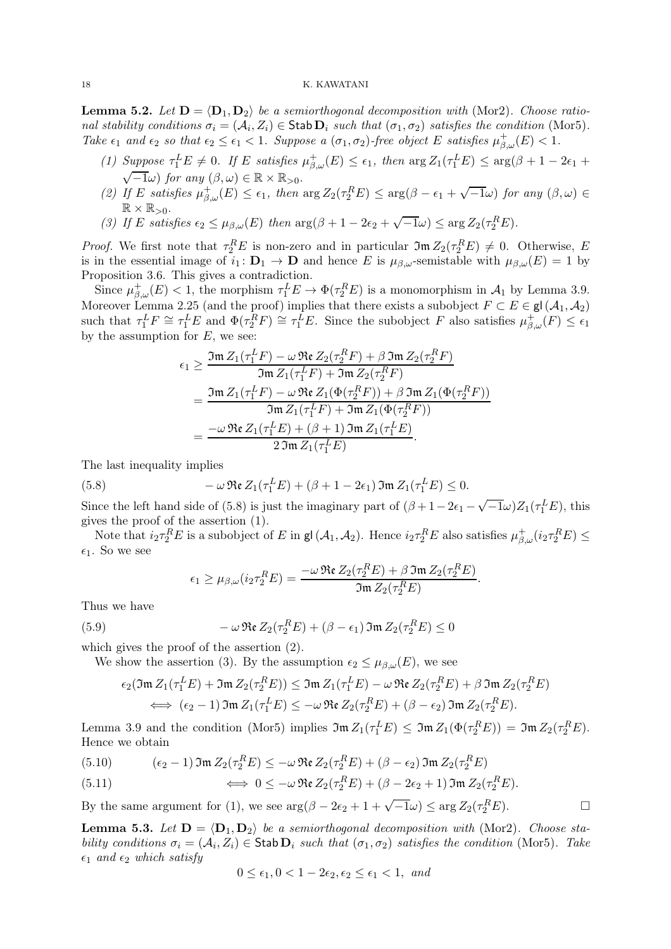**Lemma 5.2.** Let  $D = \langle D_1, D_2 \rangle$  be a semiorthogonal decomposition with (Mor2). Choose rational stability conditions  $\sigma_i = (\mathcal{A}_i, Z_i) \in \mathsf{Stab} \mathbf{D}_i$  such that  $(\sigma_1, \sigma_2)$  satisfies the condition (Mor5). Take  $\epsilon_1$  and  $\epsilon_2$  so that  $\epsilon_2 \leq \epsilon_1 < 1$ . Suppose a  $(\sigma_1, \sigma_2)$ -free object E satisfies  $\mu^+_{\beta,\omega}(E) < 1$ .

- (1) Suppose  $\tau_1^L E \neq 0$ . If E satisfies  $\mu_{\beta,\omega}^+(E) \leq \epsilon_1$ , then  $\arg Z_1(\tau_1^L E) \leq \arg(\beta + 1 2\epsilon_1 + \pi \epsilon_2)$  $\sqrt{-1}\omega$ ) for any  $(\beta,\omega) \in \mathbb{R} \times \mathbb{R}_{>0}$ .
- (2) If E satisfies  $\mu_{\beta,\omega}^+(E) \leq \epsilon_1$ , then  $\arg Z_2(\tau_2^R E) \leq \arg(\beta \epsilon_1 + \sqrt{-1}\omega)$  for any  $(\beta,\omega) \in$  $\mathbb{R} \times \mathbb{R}_{>0}$ .
- (3) If E satisfies  $\epsilon_2 \leq \mu_{\beta,\omega}(E)$  then  $\arg(\beta + 1 2\epsilon_2 + \sqrt{-1}\omega) \leq \arg Z_2(\tau_2^R E)$ .

*Proof.* We first note that  $\tau_2^R E$  is non-zero and in particular  $\mathfrak{Im} Z_2(\tau_2^R E) \neq 0$ . Otherwise, E is in the essential image of  $i_1: \mathbf{D}_1 \to \mathbf{D}$  and hence E is  $\mu_{\beta,\omega}$ -semistable with  $\mu_{\beta,\omega}(E) = 1$  by Proposition 3.6. This gives a contradiction.

Since  $\mu_{\beta,\omega}^+(E) < 1$ , the morphism  $\tau_1^L E \to \Phi(\tau_2^R E)$  is a monomorphism in  $\mathcal{A}_1$  by Lemma 3.9. Moreover Lemma 2.25 (and the proof) implies that there exists a subobject  $F \subset E \in \mathsf{gl}(\mathcal{A}_1, \mathcal{A}_2)$ such that  $\tau_1^L F \cong \tau_1^L E$  and  $\Phi(\tau_2^R F) \cong \tau_1^L E$ . Since the subobject F also satisfies  $\mu_{\beta,\omega}^+(F) \leq \epsilon_1$ by the assumption for  $E$ , we see:

$$
\epsilon_1 \geq \frac{\Im \mathfrak{m} Z_1(\tau_1^L F) - \omega \Re \epsilon Z_2(\tau_2^R F) + \beta \Im \mathfrak{m} Z_2(\tau_2^R F)}{\Im \mathfrak{m} Z_1(\tau_1^L F) + \Im \mathfrak{m} Z_2(\tau_2^R F)}
$$
  
= 
$$
\frac{\Im \mathfrak{m} Z_1(\tau_1^L F) - \omega \Re \epsilon Z_1(\Phi(\tau_2^R F)) + \beta \Im \mathfrak{m} Z_1(\Phi(\tau_2^R F))}{\Im \mathfrak{m} Z_1(\tau_1^L F) + \Im \mathfrak{m} Z_1(\Phi(\tau_2^R F))}
$$
  
= 
$$
\frac{-\omega \Re \epsilon Z_1(\tau_1^L E) + (\beta + 1) \Im \mathfrak{m} Z_1(\tau_1^L E)}{2 \Im \mathfrak{m} Z_1(\tau_1^L E)}.
$$

The last inequality implies

(5.8) 
$$
-\omega \mathfrak{Re} Z_1(\tau_1^L E) + (\beta + 1 - 2\epsilon_1) \mathfrak{Im} Z_1(\tau_1^L E) \leq 0.
$$

Since the left hand side of (5.8) is just the imaginary part of  $(\beta + 1 - 2\epsilon_1 - \sqrt{-1}\omega)Z_1(\tau_1^L E)$ , this gives the proof of the assertion (1).

Note that  $i_2 \tau_2^R E$  is a subobject of E in gl( $A_1, A_2$ ). Hence  $i_2 \tau_2^R E$  also satisfies  $\mu_{\beta,\omega}^+(i_2 \tau_2^R E) \le$  $\epsilon_1$ . So we see

$$
\epsilon_1 \geq \mu_{\beta,\omega}(i_2 \tau_2^R E) = \frac{-\omega \mathfrak{Re} Z_2(\tau_2^R E) + \beta \mathfrak{Im} Z_2(\tau_2^R E)}{\mathfrak{Im} Z_2(\tau_2^R E)}.
$$

Thus we have

(5.9) 
$$
-\omega \mathfrak{Re} Z_2(\tau_2^R E) + (\beta - \epsilon_1) \mathfrak{Im} Z_2(\tau_2^R E) \leq 0
$$

which gives the proof of the assertion (2).

We show the assertion (3). By the assumption  $\epsilon_2 \leq \mu_{\beta,\omega}(E)$ , we see

$$
\epsilon_2(\mathfrak{Im} Z_1(\tau_1^L E) + \mathfrak{Im} Z_2(\tau_2^R E)) \leq \mathfrak{Im} Z_1(\tau_1^L E) - \omega \mathfrak{Re} Z_2(\tau_2^R E) + \beta \mathfrak{Im} Z_2(\tau_2^R E)
$$
  

$$
\iff (\epsilon_2 - 1) \mathfrak{Im} Z_1(\tau_1^L E) \leq -\omega \mathfrak{Re} Z_2(\tau_2^R E) + (\beta - \epsilon_2) \mathfrak{Im} Z_2(\tau_2^R E).
$$

Lemma 3.9 and the condition (Mor5) implies  $\mathfrak{Im} Z_1(\tau_1^L E) \leq \mathfrak{Im} Z_1(\Phi(\tau_2^R E)) = \mathfrak{Im} Z_2(\tau_2^R E)$ . Hence we obtain

(5.10) 
$$
(\epsilon_2 - 1) \mathfrak{Im} Z_2(\tau_2^R E) \leq -\omega \mathfrak{Re} Z_2(\tau_2^R E) + (\beta - \epsilon_2) \mathfrak{Im} Z_2(\tau_2^R E)
$$

(5.11) 
$$
\iff 0 \leq -\omega \operatorname{Re} Z_2(\tau_2^R E) + (\beta - 2\epsilon_2 + 1) \operatorname{Im} Z_2(\tau_2^R E).
$$

By the same argument for (1), we see  $\arg(\beta - 2\epsilon_2 + 1 + \sqrt{-1}\omega) \leq \arg Z_2(\tau_2^R E)$ .

**Lemma 5.3.** Let  $D = \langle D_1, D_2 \rangle$  be a semiorthogonal decomposition with (Mor2). Choose stability conditions  $\sigma_i = (A_i, Z_i) \in$  Stab  $D_i$  such that  $(\sigma_1, \sigma_2)$  satisfies the condition (Mor5). Take  $\epsilon_1$  and  $\epsilon_2$  which satisfy

$$
0 \le \epsilon_1, 0 < 1 - 2\epsilon_2, \epsilon_2 \le \epsilon_1 < 1, \text{ and}
$$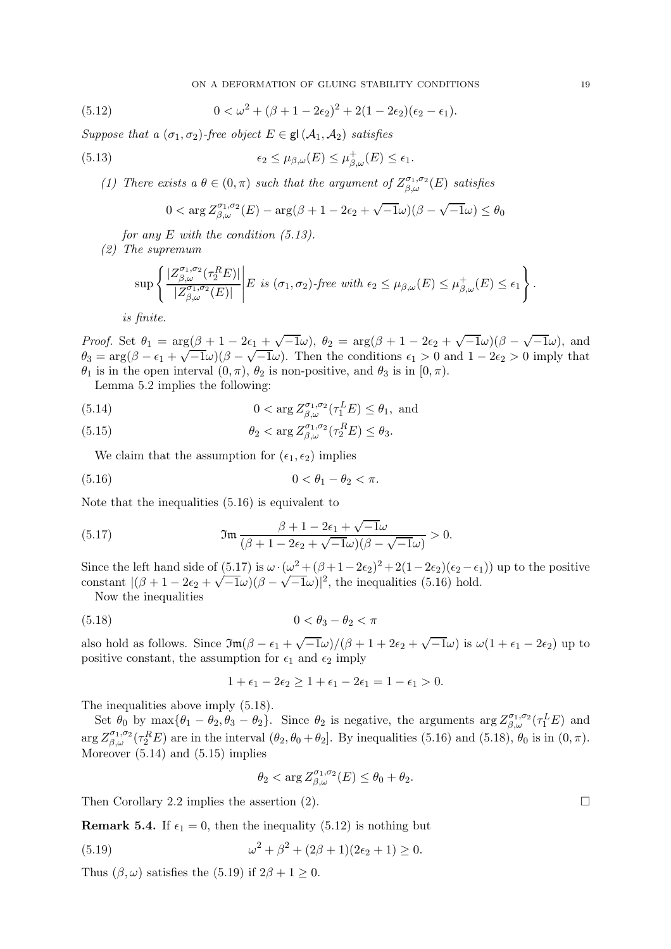ON A DEFORMATION OF GLUING STABILITY CONDITIONS 19

(5.12) 
$$
0 < \omega^2 + (\beta + 1 - 2\epsilon_2)^2 + 2(1 - 2\epsilon_2)(\epsilon_2 - \epsilon_1).
$$

Suppose that a  $(\sigma_1, \sigma_2)$ -free object  $E \in \mathsf{gl}(\mathcal{A}_1, \mathcal{A}_2)$  satisfies

(5.13) 
$$
\epsilon_2 \leq \mu_{\beta,\omega}(E) \leq \mu_{\beta,\omega}^+(E) \leq \epsilon_1.
$$

(1) There exists  $a \theta \in (0, \pi)$  such that the argument of  $Z_{\beta,\omega}^{\sigma_1,\sigma_2}(E)$  satisfies

$$
0 < \arg Z^{\sigma_1, \sigma_2}_{\beta, \omega}(E) - \arg(\beta + 1 - 2\epsilon_2 + \sqrt{-1}\omega)(\beta - \sqrt{-1}\omega) \le \theta_0
$$

for any  $E$  with the condition  $(5.13)$ .

(2) The supremum

$$
\sup\left\{\frac{|Z_{\beta,\omega}^{\sigma_1,\sigma_2}(\tau_2^RE)|}{|Z_{\beta,\omega}^{\sigma_1,\sigma_2}(E)|}\middle|E \text{ is } (\sigma_1,\sigma_2)\text{-free with }\epsilon_2\leq\mu_{\beta,\omega}(E)\leq\mu_{\beta,\omega}^+(E)\leq\epsilon_1\right\}.
$$

is finite.

Proof. Set  $\theta_1 = \arg(\beta + 1 - 2\epsilon_1 + \sqrt{-1}\omega)$ ,  $\theta_2 = \arg(\beta + 1 - 2\epsilon_2 + \sqrt{-1}\omega)(\beta - \sqrt{-1}\omega)$ , and  $\theta_3 = \arg(\beta - \epsilon_1 + \sqrt{-1}\omega)(\beta - \sqrt{-1}\omega)$ . Then the conditions  $\epsilon_1 > 0$  and  $1 - 2\epsilon_2 > 0$  imply that  $\theta_1$  is in the open interval  $(0, \pi)$ ,  $\theta_2$  is non-positive, and  $\theta_3$  is in  $[0, \pi)$ .

Lemma 5.2 implies the following:

(5.14) 
$$
0 < \arg Z_{\beta,\omega}^{\sigma_1,\sigma_2}(\tau_1^L E) \le \theta_1, \text{ and}
$$

(5.15) 
$$
\theta_2 < \arg Z_{\beta,\omega}^{\sigma_1,\sigma_2}(\tau_2^R E) \le \theta_3.
$$

We claim that the assumption for  $(\epsilon_1, \epsilon_2)$  implies

(5.16) 
$$
0 < \theta_1 - \theta_2 < \pi.
$$

Note that the inequalities (5.16) is equivalent to

(5.17) 
$$
\mathfrak{Im} \frac{\beta+1-2\epsilon_1+\sqrt{-1}\omega}{(\beta+1-2\epsilon_2+\sqrt{-1}\omega)(\beta-\sqrt{-1}\omega)} > 0.
$$

Since the left hand side of  $(5.17)$  is  $\omega \cdot (\omega^2 + (\beta + 1 - 2\epsilon_2)^2 + 2(1 - 2\epsilon_2)(\epsilon_2 - \epsilon_1))$  up to the positive constant  $|(\beta + 1 - 2\epsilon_2 + \sqrt{-1}\omega)(\beta - \sqrt{-1}\omega)|^2$ , the inequalities (5.16) hold.

Now the inequalities

$$
(5.18) \t\t 0 < \theta_3 - \theta_2 < \pi
$$

also hold as follows. Since  $\Im(\beta - \epsilon_1 + \sqrt{-1}\omega)/(\beta + 1 + 2\epsilon_2 + \sqrt{-1}\omega)$  is  $\omega(1 + \epsilon_1 - 2\epsilon_2)$  up to positive constant, the assumption for  $\epsilon_1$  and  $\epsilon_2$  imply

$$
1+\epsilon_1-2\epsilon_2\geq 1+\epsilon_1-2\epsilon_1=1-\epsilon_1>0.
$$

The inequalities above imply (5.18).

Set  $\theta_0$  by  $\max{\{\theta_1 - \theta_2, \theta_3 - \theta_2\}}$ . Since  $\theta_2$  is negative, the arguments  $\arg Z_{\beta,\omega}^{\sigma_1,\sigma_2}(\tau_1^L E)$  and  $\arg Z^{\sigma_1,\sigma_2}_{\beta,\omega}(\tau_2^R E)$  are in the interval  $(\theta_2,\theta_0+\theta_2]$ . By inequalities (5.16) and (5.18),  $\theta_0$  is in  $(0,\pi)$ . Moreover (5.14) and (5.15) implies

$$
\theta_2<\arg Z^{\sigma_1,\sigma_2}_{\beta,\omega}(E)\leq \theta_0+\theta_2.
$$

Then Corollary 2.2 implies the assertion (2).  $\Box$ 

**Remark 5.4.** If  $\epsilon_1 = 0$ , then the inequality (5.12) is nothing but

(5.19) 
$$
\omega^2 + \beta^2 + (2\beta + 1)(2\epsilon_2 + 1) \ge 0.
$$

Thus  $(\beta, \omega)$  satisfies the (5.19) if  $2\beta + 1 \geq 0$ .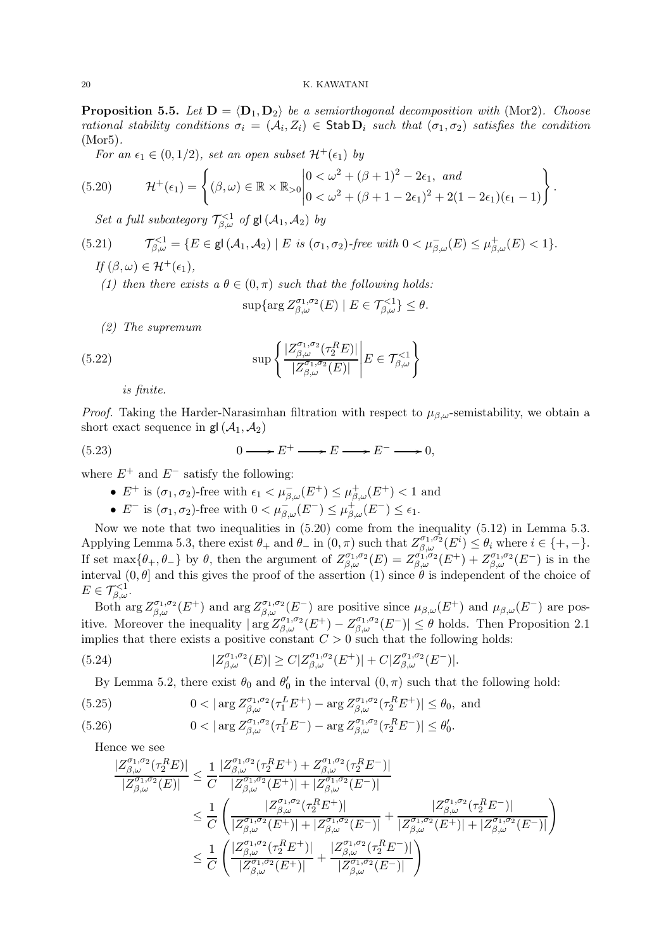**Proposition 5.5.** Let  $D = \langle D_1, D_2 \rangle$  be a semiorthogonal decomposition with (Mor2). Choose rational stability conditions  $\sigma_i = (A_i, Z_i) \in$  Stab  $D_i$  such that  $(\sigma_1, \sigma_2)$  satisfies the condition (Mor5).

For an  $\epsilon_1 \in (0, 1/2)$ , set an open subset  $\mathcal{H}^+(\epsilon_1)$  by

(5.20) 
$$
\mathcal{H}^+(\epsilon_1) = \left\{ (\beta, \omega) \in \mathbb{R} \times \mathbb{R}_{>0} \middle| \begin{aligned} 0 &< \omega^2 + (\beta + 1)^2 - 2\epsilon_1, \text{ and} \\ 0 &< \omega^2 + (\beta + 1 - 2\epsilon_1)^2 + 2(1 - 2\epsilon_1)(\epsilon_1 - 1) \end{aligned} \right\}.
$$

Set a full subcategory  $\mathcal{T}_{\beta,\omega}^{<1}$  of  $\mathsf{gl}\left(\mathcal{A}_1,\mathcal{A}_2\right)$  by

(5.21) 
$$
\mathcal{T}_{\beta,\omega}^{<1} = \{ E \in \mathsf{gl}(\mathcal{A}_1,\mathcal{A}_2) \mid E \text{ is } (\sigma_1,\sigma_2) \text{-free with } 0 < \mu_{\beta,\omega}^-(E) \leq \mu_{\beta,\omega}^+(E) < 1 \}.
$$

$$
If (\beta, \omega) \in \mathcal{H}^+(\epsilon_1),
$$

(1) then there exists a  $\theta \in (0, \pi)$  such that the following holds:

 $\sup \{ \arg Z^{\sigma_1, \sigma_2}_{\beta, \omega}(E) \mid E \in \mathcal{T}^{<1}_{\beta, \omega} \} \leq \theta.$ 

(2) The supremum

(5.22) 
$$
\sup \left\{ \frac{|Z^{\sigma_1,\sigma_2}_{\beta,\omega}(\tau_2^RE)|}{|Z^{\sigma_1,\sigma_2}_{\beta,\omega}(E)|} \middle| E \in \mathcal{T}^{<1}_{\beta,\omega} \right\}
$$

is finite.

*Proof.* Taking the Harder-Narasimhan filtration with respect to  $\mu_{\beta,\omega}$ -semistability, we obtain a short exact sequence in  $gl(\mathcal{A}_1, \mathcal{A}_2)$ 

(5.23) 
$$
0 \longrightarrow E^+ \longrightarrow E \longrightarrow E^- \longrightarrow 0,
$$

where  $E^+$  and  $E^-$  satisfy the following:

- $E^+$  is  $(\sigma_1, \sigma_2)$ -free with  $\epsilon_1 < \mu_{\beta,\omega}^-(E^+) \leq \mu_{\beta,\omega}^+(E^+) < 1$  and
- $E^-$  is  $(\sigma_1, \sigma_2)$ -free with  $0 < \mu_{\beta,\omega}^-(E^-) \leq \mu_{\beta,\omega}^+(E^-) \leq \epsilon_1$ .

Now we note that two inequalities in (5.20) come from the inequality (5.12) in Lemma 5.3. Applying Lemma 5.3, there exist  $\theta_+$  and  $\hat{\theta}_-$  in  $(0, \pi)$  such that  $Z_{\beta,\omega}^{\sigma_1,\sigma_2}(E^i) \leq \theta_i$  where  $i \in \{+, -\}.$ If set  $\max\{\theta_+, \theta_-\}$  by  $\theta$ , then the argument of  $Z_{\beta,\omega}^{\sigma_1,\sigma_2}(E) = Z_{\beta,\omega}^{\sigma_1,\sigma_2}(E^+) + Z_{\beta,\omega}^{\sigma_1,\sigma_2}(E^-)$  is in the interval  $(0, \theta]$  and this gives the proof of the assertion (1) since  $\theta$  is independent of the choice of  $E\in\mathcal{T}_{\beta,\omega}^{<1}.$ 

Both  $\arg Z^{\sigma_1,\sigma_2}_{\beta,\omega}(E^+)$  and  $\arg Z^{\sigma_1,\sigma_2}_{\beta,\omega}(E^-)$  are positive since  $\mu_{\beta,\omega}(E^+)$  and  $\mu_{\beta,\omega}(E^-)$  are positive. Moreover the inequality  $|\arg Z_{\beta,\omega}^{\sigma_1,\sigma_2}(E^+)-Z_{\beta,\omega}^{\sigma_1,\sigma_2}(E^-)| \leq \theta$  holds. Then Proposition 2.1 implies that there exists a positive constant  $C > 0$  such that the following holds:

(5.24) 
$$
|Z_{\beta,\omega}^{\sigma_1,\sigma_2}(E)| \ge C|Z_{\beta,\omega}^{\sigma_1,\sigma_2}(E^+)| + C|Z_{\beta,\omega}^{\sigma_1,\sigma_2}(E^-)|.
$$

By Lemma 5.2, there exist  $\theta_0$  and  $\theta'_0$  in the interval  $(0, \pi)$  such that the following hold:

(5.25) 
$$
0 < |\arg Z^{\sigma_1, \sigma_2}_{\beta, \omega}(\tau_1^L E^+) - \arg Z^{\sigma_1, \sigma_2}_{\beta, \omega}(\tau_2^R E^+) | \le \theta_0, \text{ and}
$$

(5.26) 
$$
0 < |\arg Z^{\sigma_1, \sigma_2}_{\beta, \omega}(\tau_1^L E^-) - \arg Z^{\sigma_1, \sigma_2}_{\beta, \omega}(\tau_2^R E^-)| \leq \theta'_0.
$$

Hence we see

$$
\begin{split} \frac{|Z^{\sigma_1,\sigma_2}_{\beta,\omega}(\tau_2^RE)|}{|Z^{\sigma_1,\sigma_2}_{\beta,\omega}(E)|} &\leq \frac{1}{C}\frac{|Z^{\sigma_1,\sigma_2}_{\beta,\omega}(\tau_2^RE^+)+Z^{\sigma_1,\sigma_2}_{\beta,\omega}(\tau_2^RE^-)|}{|Z^{\sigma_1,\sigma_2}_{\beta,\omega}(E^+)|+|Z^{\sigma_1,\sigma_2}_{\beta,\omega}(E^-)|}\\ &\leq \frac{1}{C}\left(\frac{|Z^{\sigma_1,\sigma_2}_{\beta,\omega}(\tau_2^RE^+)|}{|Z^{\sigma_1,\sigma_2}_{\beta,\omega}(E^+)|+|Z^{\sigma_1,\sigma_2}_{\beta,\omega}(E^-)|}+\frac{|Z^{\sigma_1,\sigma_2}_{\beta,\omega}(\tau_2^RE^-)|}{|Z^{\sigma_1,\sigma_2}_{\beta,\omega}(E^+)|+|Z^{\sigma_1,\sigma_2}_{\beta,\omega}(E^+)|+|Z^{\sigma_1,\sigma_2}_{\beta,\omega}(E^-)|}\right)\\ &\leq \frac{1}{C}\left(\frac{|Z^{\sigma_1,\sigma_2}_{\beta,\omega}(\tau_2^RE^+)|}{|Z^{\sigma_1,\sigma_2}_{\beta,\omega}(E^+)|}+\frac{|Z^{\sigma_1,\sigma_2}_{\beta,\omega}(\tau_2^RE^-)|}{|Z^{\sigma_1,\sigma_2}_{\beta,\omega}(E^-)|}\right) \end{split}
$$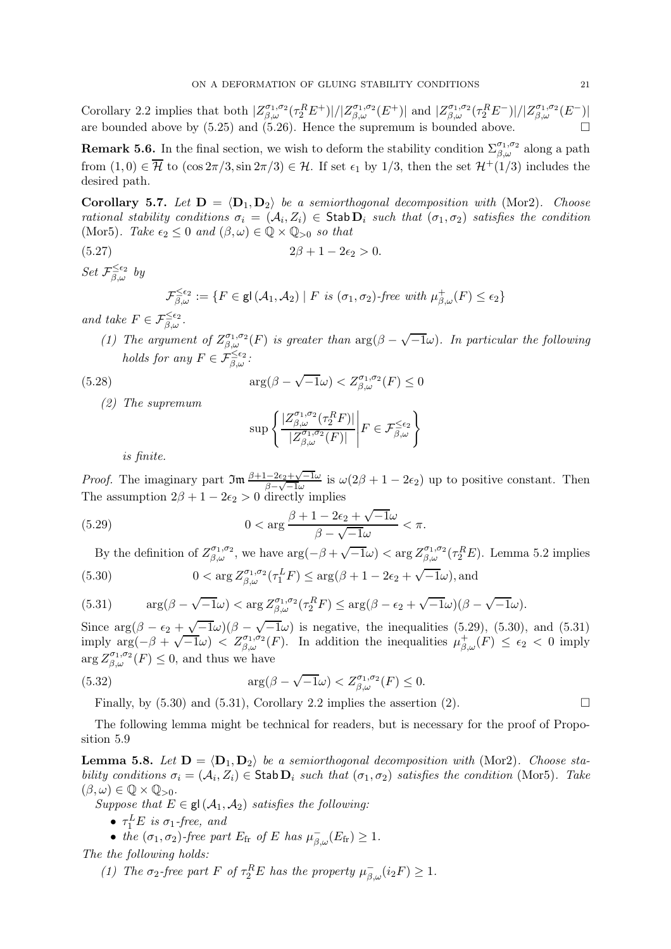Corollary 2.2 implies that both  $|Z^{\sigma_1,\sigma_2}_{\beta,\omega}(\tau_2^R E^+)|/|Z^{\sigma_1,\sigma_2}_{\beta,\omega}(E^+)|$  and  $|Z^{\sigma_1,\sigma_2}_{\beta,\omega}(\tau_2^R E^-)|/|Z^{\sigma_1,\sigma_2}_{\beta,\omega}(E^-)|$ are bounded above by (5.25) and (5.26). Hence the supremum is bounded above.  $\Box$ 

**Remark 5.6.** In the final section, we wish to deform the stability condition  $\Sigma_{\beta,\omega}^{\sigma_1,\sigma_2}$  along a path from  $(1,0) \in \overline{\mathcal{H}}$  to  $(\cos 2\pi/3, \sin 2\pi/3) \in \mathcal{H}$ . If set  $\epsilon_1$  by 1/3, then the set  $\mathcal{H}^+(1/3)$  includes the desired path.

Corollary 5.7. Let  $D = \langle D_1, D_2 \rangle$  be a semiorthogonal decomposition with (Mor2). Choose rational stability conditions  $\sigma_i = (A_i, Z_i) \in \text{Stab } \mathbf{D}_i$  such that  $(\sigma_1, \sigma_2)$  satisfies the condition (Mor5). Take  $\epsilon_2 \leq 0$  and  $(\beta, \omega) \in \mathbb{Q} \times \mathbb{Q}_{>0}$  so that

(5.27)  $2\beta + 1 - 2\epsilon_2 > 0.$ 

 $Set\ \mathcal{F}_{\beta,\omega}^{\leq\epsilon_2}$  by

$$
\mathcal{F}_{\beta,\omega}^{\leq \epsilon_2} := \{ F \in \mathsf{gl}(\mathcal{A}_1,\mathcal{A}_2) \mid F \text{ is } (\sigma_1,\sigma_2) \text{-free with } \mu_{\beta,\omega}^+(F) \leq \epsilon_2 \}
$$

and take  $F \in \mathcal{F}_{\beta,\omega}^{\leq \epsilon_2}$ .

(1) The argument of  $Z_{\beta,\omega}^{\sigma_1,\sigma_2}(F)$  is greater than  $\arg(\beta-\sqrt{-1}\omega)$ . In particular the following holds for any  $F \in \mathcal{F}_{\beta,\omega}^{\leq \epsilon_2}$ :

 $\leq 0$ 

(5.28) 
$$
\arg(\beta - \sqrt{-1}\omega) < Z_{\beta,\omega}^{\sigma_1,\sigma_2}(F)
$$

(2) The supremum

$$
\sup \left\{\frac{|Z_{\beta,\omega}^{\sigma_1,\sigma_2}(\tau_2^R F)|}{|Z_{\beta,\omega}^{\sigma_1,\sigma_2}(F)|}\right| F\in\mathcal{F}_{\beta,\omega}^{\leq\epsilon_2}\right\}
$$

is finite.

*Proof.* The imaginary part  $\Im \mathfrak{m} \frac{\beta+1-2\epsilon_2+\sqrt{-1}\omega}{\beta}$  $\frac{(-2\epsilon_2+\sqrt{-1}\omega)}{\beta-\sqrt{-1}\omega}$  is  $\omega(2\beta+1-2\epsilon_2)$  up to positive constant. Then The assumption  $2\beta + 1 - 2\epsilon_2 > 0$  directly implies

(5.29) 
$$
0 < \arg \frac{\beta + 1 - 2\epsilon_2 + \sqrt{-1}\omega}{\beta - \sqrt{-1}\omega} < \pi.
$$

By the definition of  $Z_{\beta,\omega}^{\sigma_1,\sigma_2}$ , we have  $\arg(-\beta+\sqrt{-1}\omega)<\arg Z_{\beta,\omega}^{\sigma_1,\sigma_2}(\tau_2^RE)$ . Lemma 5.2 implies (5.30)  $0 < \arg Z_{\beta,\omega}^{\sigma_1,\sigma_2}(\tau_1^L F) \leq \arg(\beta + 1 - 2\epsilon_2 + \sqrt{-1}\omega)$ , and

(5.31) 
$$
\arg(\beta - \sqrt{-1}\omega) < \arg Z_{\beta,\omega}^{\sigma_1,\sigma_2}(\tau_2^R F) \leq \arg(\beta - \epsilon_2 + \sqrt{-1}\omega)(\beta - \sqrt{-1}\omega).
$$

Since  $\arg(\beta - \epsilon_2 + \sqrt{-1}\omega)(\beta - \sqrt{-1}\omega)$  is negative, the inequalities (5.29), (5.30), and (5.31) imply  $\arg(-\beta + \sqrt{-1}\omega) < Z_{\beta,\omega}^{\sigma_1,\sigma_2}(F)$ . In addition the inequalities  $\mu_{\beta,\omega}^+(F) \leq \epsilon_2 < 0$  imply  $\arg Z^{\sigma_1,\sigma_2}_{\beta,\omega}(F) \leq 0$ , and thus we have

(5.32) 
$$
\arg(\beta - \sqrt{-1}\omega) < Z_{\beta,\omega}^{\sigma_1,\sigma_2}(F) \leq 0.
$$

Finally, by  $(5.30)$  and  $(5.31)$ , Corollary 2.2 implies the assertion  $(2)$ .

The following lemma might be technical for readers, but is necessary for the proof of Proposition 5.9

**Lemma 5.8.** Let  $D = \langle D_1, D_2 \rangle$  be a semiorthogonal decomposition with (Mor2). Choose stability conditions  $\sigma_i = (\mathcal{A}_i, Z_i) \in \mathsf{Stab}\,\mathbf{D}_i$  such that  $(\sigma_1, \sigma_2)$  satisfies the condition (Mor5). Take  $(\beta,\omega) \in \mathbb{Q} \times \mathbb{Q}_{>0}$ .

Suppose that  $E \in \mathsf{gl}(\mathcal{A}_1, \mathcal{A}_2)$  satisfies the following:

- $\tau_1^L E$  is  $\sigma_1$ -free, and
- the  $(\sigma_1, \sigma_2)$ -free part  $E_{\text{fr}}$  of E has  $\mu_{\beta,\omega}^-(E_{\text{fr}}) \geq 1$ .

The the following holds:

(1) The  $\sigma_2$ -free part F of  $\tau_2^R E$  has the property  $\mu_{\beta,\omega}^-(i_2F) \geq 1$ .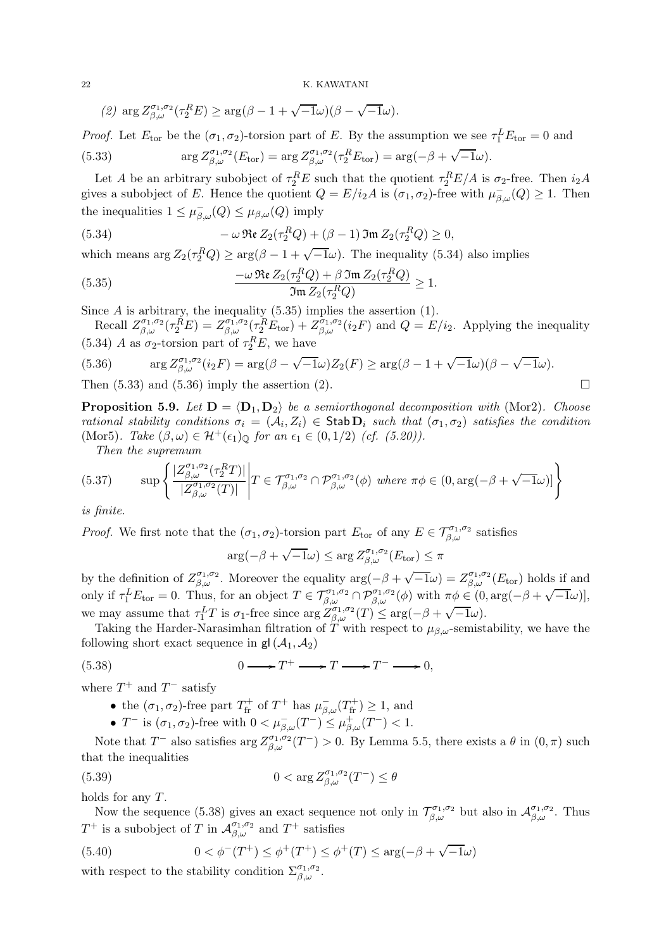(2) 
$$
\arg Z_{\beta,\omega}^{\sigma_1,\sigma_2}(\tau_2^R E) \ge \arg(\beta - 1 + \sqrt{-1}\omega)(\beta - \sqrt{-1}\omega).
$$

*Proof.* Let  $E_{\text{tor}}$  be the  $(\sigma_1, \sigma_2)$ -torsion part of E. By the assumption we see  $\tau_1^L E_{\text{tor}} = 0$  and (5.33)  $\arg Z^{\sigma_1, \sigma_2}_{\beta, \omega}(E_{\text{tor}}) = \arg Z^{\sigma_1, \sigma_2}_{\beta, \omega}(\tau_2^R E_{\text{tor}}) = \arg(-\beta + \sqrt{-1}\omega).$ 

Let A be an arbitrary subobject of  $\tau_2^R E$  such that the quotient  $\tau_2^R E/A$  is  $\sigma_2$ -free. Then  $i_2A$ gives a subobject of E. Hence the quotient  $Q = E/i_2 A$  is  $(\sigma_1, \sigma_2)$ -free with  $\mu_{\beta,\omega}^-(Q) \ge 1$ . Then the inequalities  $1 \leq \mu_{\beta,\omega}^{-}(Q) \leq \mu_{\beta,\omega}(Q)$  imply

(5.34) 
$$
-\omega \operatorname{Re} Z_2(\tau_2^R Q) + (\beta - 1) \operatorname{Im} Z_2(\tau_2^R Q) \ge 0,
$$

which means  $\arg Z_2(\tau_2^R Q) \geq \arg(\beta - 1 + \sqrt{-1}\omega)$ . The inequality (5.34) also implies

(5.35) 
$$
\frac{-\omega \operatorname{Re} Z_2(\tau_2^R Q) + \beta \operatorname{Im} Z_2(\tau_2^R Q)}{\Im \operatorname{Im} Z_2(\tau_2^R Q)} \ge 1.
$$

Since  $A$  is arbitrary, the inequality  $(5.35)$  implies the assertion  $(1)$ .

Recall  $Z_{\beta,\omega}^{\sigma_1,\sigma_2}(\tau_2^{\tilde{R}}E) = Z_{\beta,\omega}^{\sigma_1,\sigma_2}(\tau_2^{\tilde{R}}E_{\text{tor}}) + Z_{\beta,\omega}^{\tilde{\sigma}_1,\sigma_2}(i_2F)$  and  $Q = E/i_2$ . Applying the inequality (5.34) A as  $\sigma_2$ -torsion part of  $\tau_2^R E$ , we have

(5.36) 
$$
\arg Z_{\beta,\omega}^{\sigma_1,\sigma_2}(i_2F) = \arg(\beta - \sqrt{-1}\omega)Z_2(F) \geq \arg(\beta - 1 + \sqrt{-1}\omega)(\beta - \sqrt{-1}\omega).
$$
  
Then (5.33) and (5.36) imply the assertion (2).

**Proposition 5.9.** Let  $D = \langle D_1, D_2 \rangle$  be a semiorthogonal decomposition with (Mor2). Choose rational stability conditions  $\sigma_i = (A_i, Z_i) \in$  Stab  $D_i$  such that  $(\sigma_1, \sigma_2)$  satisfies the condition (Mor5). Take  $(\beta, \omega) \in \mathcal{H}^+(\epsilon_1)_{\mathbb{Q}}$  for an  $\epsilon_1 \in (0, 1/2)$  (cf. (5.20)).

Then the supremum

(5.37) 
$$
\sup \left\{ \frac{|Z^{\sigma_1,\sigma_2}_{\beta,\omega}(\tau_2^R T)|}{|Z^{\sigma_1,\sigma_2}_{\beta,\omega}(T)|} \Big| T \in \mathcal{T}^{\sigma_1,\sigma_2}_{\beta,\omega} \cap \mathcal{P}^{\sigma_1,\sigma_2}_{\beta,\omega}(\phi) \text{ where } \pi \phi \in (0, \arg(-\beta + \sqrt{-1}\omega)] \right\}
$$

is finite.

*Proof.* We first note that the  $(\sigma_1, \sigma_2)$ -torsion part  $E_{\text{tor}}$  of any  $E \in \mathcal{T}_{\beta,\omega}^{\sigma_1,\sigma_2}$  satisfies

$$
\arg(-\beta + \sqrt{-1}\omega) \le \arg Z^{\sigma_1, \sigma_2}_{\beta, \omega}(E_{\text{tor}}) \le \pi
$$

by the definition of  $Z_{\beta,\omega}^{\sigma_1,\sigma_2}$ . Moreover the equality  $\arg(-\beta+\sqrt{-1}\omega)=Z_{\beta,\omega}^{\sigma_1,\sigma_2}(E_{\text{tor}})$  holds if and only if  $\tau_1^L E_{\text{tor}} = 0$ . Thus, for an object  $T \in \mathcal{T}_{\beta,\omega}^{\sigma_1,\sigma_2} \cap \mathcal{P}_{\beta,\omega}^{\sigma_1,\sigma_2}(\phi)$  with  $\pi \phi \in (0, \arg(-\beta + \sqrt{-1}\omega)],$ we may assume that  $\tau_1^L T$  is  $\sigma_1$ -free since  $\arg Z_{\beta,\omega}^{\beta,\sigma_1,\sigma_2}(T) \leq \arg(-\beta + \sqrt{-1}\omega)$ .

Taking the Harder-Narasimhan filtration of T with respect to  $\mu_{\beta,\omega}$ -semistability, we have the following short exact sequence in  $gl(\mathcal{A}_1, \mathcal{A}_2)$ 

(5.38) 
$$
0 \longrightarrow T^{+} \longrightarrow T \longrightarrow T^{-} \longrightarrow 0,
$$

where  $T^+$  and  $T^-$  satisfy

- the  $(\sigma_1, \sigma_2)$ -free part  $T_{\text{fr}}^+$  of  $T^+$  has  $\mu_{\beta,\omega}^-(T_{\text{fr}}^+) \geq 1$ , and
- T<sup>-</sup> is  $(\sigma_1, \sigma_2)$ -free with  $0 < \mu_{\beta,\omega}^-(T^-) \leq \mu_{\beta,\omega}^+(T^-) < 1$ .

Note that  $T^-$  also satisfies  $\arg Z_{\beta,\omega}^{\sigma_1,\sigma_2}(T^-) > 0$ . By Lemma 5.5, there exists a  $\theta$  in  $(0,\pi)$  such that the inequalities

(5.39) 
$$
0 < \arg Z^{\sigma_1, \sigma_2}_{\beta, \omega}(T^-) \leq \theta
$$

holds for any T.

Now the sequence (5.38) gives an exact sequence not only in  $\mathcal{T}_{\beta,\omega}^{\sigma_1,\sigma_2}$  but also in  $\mathcal{A}_{\beta,\omega}^{\sigma_1,\sigma_2}$ . Thus  $T^+$  is a subobject of T in  $\mathcal{A}_{\beta,\omega}^{\sigma_1,\sigma_2}$  and  $T^+$  satisfies

(5.40) 
$$
0 < \phi^{-}(T^{+}) \leq \phi^{+}(T^{+}) \leq \phi^{+}(T) \leq \arg(-\beta + \sqrt{-1}\omega)
$$
 with respect to the stability condition  $\sum_{\beta,\omega}^{\sigma_1,\sigma_2}$ .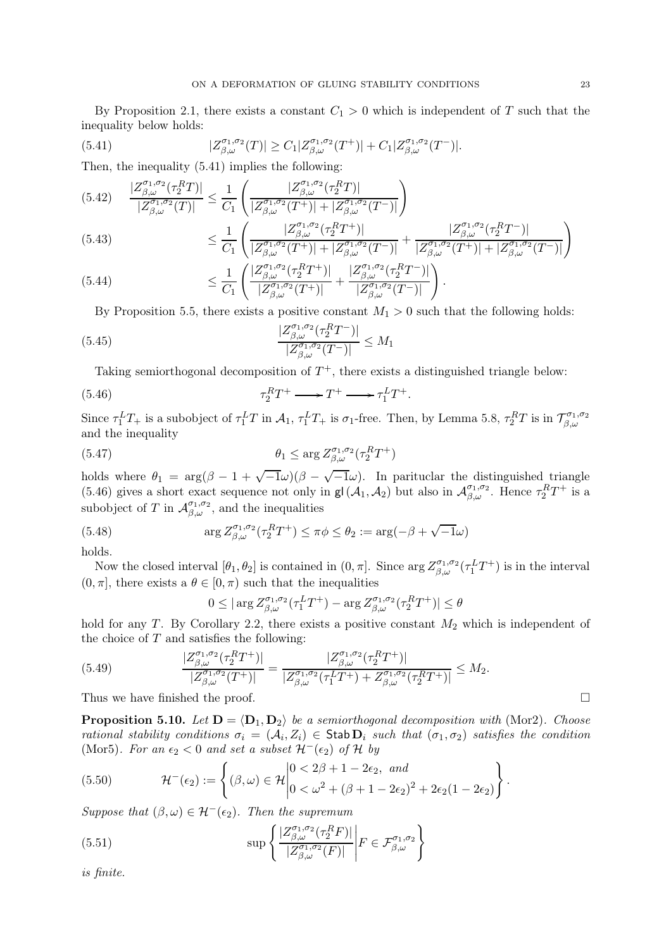By Proposition 2.1, there exists a constant  $C_1 > 0$  which is independent of T such that the inequality below holds:

(5.41) 
$$
|Z_{\beta,\omega}^{\sigma_1,\sigma_2}(T)| \geq C_1 |Z_{\beta,\omega}^{\sigma_1,\sigma_2}(T^+)| + C_1 |Z_{\beta,\omega}^{\sigma_1,\sigma_2}(T^-)|.
$$

Then, the inequality (5.41) implies the following:

$$
(5.42) \quad \frac{|Z_{\beta,\omega}^{\sigma_1,\sigma_2}(\tau_2^R T)|}{|Z_{\beta,\omega}^{\sigma_1,\sigma_2}(T)|} \le \frac{1}{C_1} \left( \frac{|Z_{\beta,\omega}^{\sigma_1,\sigma_2}(\tau_2^R T)|}{|Z_{\beta,\omega}^{\sigma_1,\sigma_2}(T^+)| + |Z_{\beta,\omega}^{\sigma_1,\sigma_2}(T^-)|} \right)
$$
\n
$$
\le \frac{1}{C_1} \left( \frac{|Z_{\beta,\omega}^{\sigma_1,\sigma_2}(\tau_2^R T^+)|}{|Z_{\beta,\omega}^{\sigma_1,\sigma_2}(\tau_2^R T^+)|} \right) \le |Z_{\beta,\omega}^{\sigma_1,\sigma_2}(\tau_2^R T^+)|
$$

$$
(5.43) \leq \frac{1}{C_1} \left( \frac{|Z^{\sigma_1,\sigma_2}_{\beta,\omega}(\tau_2^R T^+)|}{|Z^{\sigma_1,\sigma_2}_{\beta,\omega}(T^+)| + |Z^{\sigma_1,\sigma_2}_{\beta,\omega}(T^-)|} + \frac{|Z^{\sigma_1,\sigma_2}_{\beta,\omega}(\tau_2^R T^-)|}{|Z^{\sigma_1,\sigma_2}_{\beta,\omega}(T^+)| + |Z^{\sigma_1,\sigma_2}_{\beta,\omega}(T^-)|} \right)
$$

(5.44) 
$$
\leq \frac{1}{C_1} \left( \frac{|Z^{\sigma_1,\sigma_2}_{\beta,\omega}(\tau_2^R T^+)|}{|Z^{\sigma_1,\sigma_2}_{\beta,\omega}(T^+)|} + \frac{|Z^{\sigma_1,\sigma_2}_{\beta,\omega}(\tau_2^R T^-)|}{|Z^{\sigma_1,\sigma_2}_{\beta,\omega}(T^-)|} \right).
$$

By Proposition 5.5, there exists a positive constant  $M_1 > 0$  such that the following holds:

(5.45) 
$$
\frac{|Z_{\beta,\omega}^{\sigma_1,\sigma_2}(\tau_2^R T^-)|}{|Z_{\beta,\omega}^{\sigma_1,\sigma_2}(T^-)|} \leq M_1
$$

Taking semiorthogonal decomposition of  $T^+$ , there exists a distinguished triangle below:

(5.46) 
$$
\tau_2^R T^+ \longrightarrow T^+ \longrightarrow \tau_1^L T^+.
$$

Since  $\tau_1^L T_+$  is a subobject of  $\tau_1^L T$  in  $\mathcal{A}_1$ ,  $\tau_1^L T_+$  is  $\sigma_1$ -free. Then, by Lemma 5.8,  $\tau_2^R T$  is in  $\mathcal{T}_{\beta,\omega}^{\sigma_1,\sigma_2}$  $_{\beta,\omega}$ and the inequality

(5.47) 
$$
\theta_1 \leq \arg Z_{\beta,\omega}^{\sigma_1,\sigma_2}(\tau_2^R T^+)
$$

holds where  $\theta_1 = \arg(\beta - 1 + \sqrt{-1}\omega)(\beta - \sqrt{-1}\omega)$ . In parituclar the distinguished triangle (5.46) gives a short exact sequence not only in  $gl(\mathcal{A}_1, \mathcal{A}_2)$  but also in  $\mathcal{A}_{\beta,\omega}^{\sigma_1,\sigma_2}$ . Hence  $\tau_2^RT^+$  is a subobject of T in  $\mathcal{A}_{\beta,\omega}^{\sigma_1,\sigma_2}$ , and the inequalities

(5.48) 
$$
\arg Z_{\beta,\omega}^{\sigma_1,\sigma_2}(\tau_2^R T^+) \leq \pi \phi \leq \theta_2 := \arg(-\beta + \sqrt{-1}\omega)
$$

holds.

Now the closed interval  $[\theta_1, \theta_2]$  is contained in  $(0, \pi]$ . Since  $\arg Z^{\sigma_1, \sigma_2}_{\beta, \omega}(\tau_1^L T^+)$  is in the interval  $(0, \pi]$ , there exists a  $\theta \in [0, \pi)$  such that the inequalities

$$
0 \le |\arg Z^{\sigma_1,\sigma_2}_{\beta,\omega}(\tau_1^L T^+) - \arg Z^{\sigma_1,\sigma_2}_{\beta,\omega}(\tau_2^R T^+)| \le \theta
$$

hold for any T. By Corollary 2.2, there exists a positive constant  $M_2$  which is independent of the choice of  $T$  and satisfies the following:

(5.49) 
$$
\frac{|Z_{\beta,\omega}^{\sigma_1,\sigma_2}(\tau_2^R T^+)|}{|Z_{\beta,\omega}^{\sigma_1,\sigma_2}(T^+)|} = \frac{|Z_{\beta,\omega}^{\sigma_1,\sigma_2}(\tau_2^R T^+)|}{|Z_{\beta,\omega}^{\sigma_1,\sigma_2}(\tau_1^L T^+)+Z_{\beta,\omega}^{\sigma_1,\sigma_2}(\tau_2^R T^+)|} \leq M_2.
$$

Thus we have finished the proof.  $\Box$ 

**Proposition 5.10.** Let  $D = \langle D_1, D_2 \rangle$  be a semiorthogonal decomposition with (Mor2). Choose rational stability conditions  $\sigma_i = (A_i, Z_i) \in$  Stab  $D_i$  such that  $(\sigma_1, \sigma_2)$  satisfies the condition (Mor5). For an  $\epsilon_2 < 0$  and set a subset  $\mathcal{H}^-(\epsilon_2)$  of H by

(5.50) 
$$
\mathcal{H}^{-}(\epsilon_2) := \left\{ (\beta,\omega) \in \mathcal{H} \middle| \begin{aligned} 0 &< 2\beta + 1 - 2\epsilon_2, \text{ and} \\ 0 &< \omega^2 + (\beta + 1 - 2\epsilon_2)^2 + 2\epsilon_2(1 - 2\epsilon_2) \end{aligned} \right\}.
$$

Suppose that  $(\beta, \omega) \in \mathcal{H}^-(\epsilon_2)$ . Then the supremum

(5.51) 
$$
\sup \left\{ \frac{|Z_{\beta,\omega}^{\sigma_1,\sigma_2}(\tau_2^R F)|}{|Z_{\beta,\omega}^{\sigma_1,\sigma_2}(F)|} \middle| F \in \mathcal{F}_{\beta,\omega}^{\sigma_1,\sigma_2} \right\}
$$

is finite.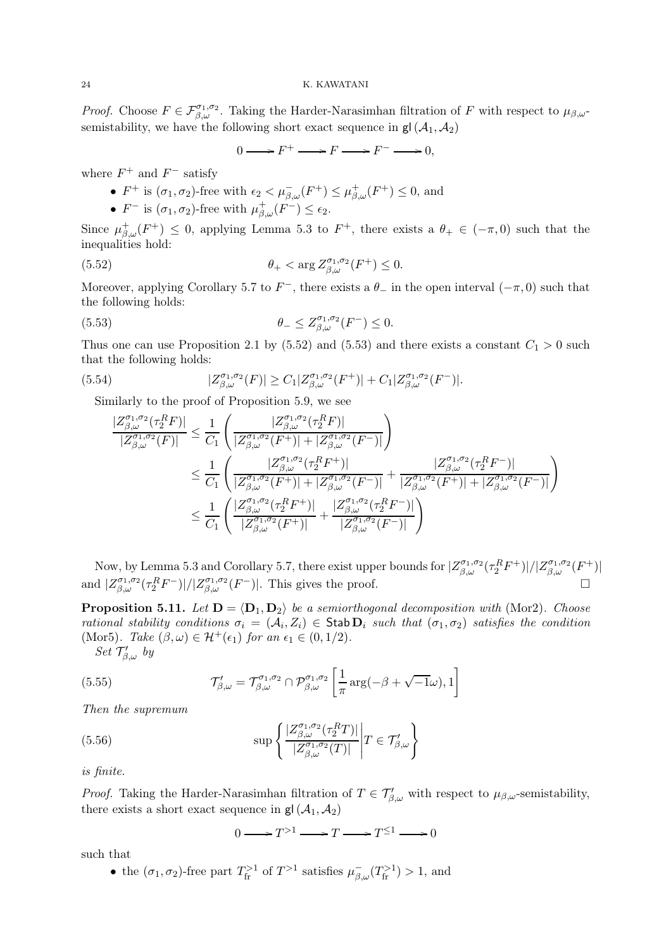*Proof.* Choose  $F \in \mathcal{F}_{\beta,\omega}^{\sigma_1,\sigma_2}$ . Taking the Harder-Narasimhan filtration of F with respect to  $\mu_{\beta,\omega}$ semistability, we have the following short exact sequence in  $gl(\mathcal{A}_1, \mathcal{A}_2)$ 

$$
0 \longrightarrow F^+ \longrightarrow F \longrightarrow F^- \longrightarrow 0,
$$

where  $F^+$  and  $F^-$  satisfy

- $F^+$  is  $(\sigma_1, \sigma_2)$ -free with  $\epsilon_2 < \mu_{\beta,\omega}^-(F^+) \leq \mu_{\beta,\omega}^+(F^+) \leq 0$ , and
- $F^-$  is  $(\sigma_1, \sigma_2)$ -free with  $\mu_{\beta,\omega}^+(F^-) \leq \epsilon_2$ .

Since  $\mu_{\beta,\omega}^+(F^+) \leq 0$ , applying Lemma 5.3 to  $F^+$ , there exists a  $\theta_+ \in (-\pi,0)$  such that the inequalities hold:

(5.52) 
$$
\theta_+ < \arg Z^{\sigma_1, \sigma_2}_{\beta, \omega}(F^+) \leq 0.
$$

Moreover, applying Corollary 5.7 to  $F^-$ , there exists a  $\theta_-$  in the open interval  $(-\pi, 0)$  such that the following holds:

(5.53) 
$$
\theta_- \leq Z_{\beta,\omega}^{\sigma_1,\sigma_2}(F^-) \leq 0.
$$

Thus one can use Proposition 2.1 by (5.52) and (5.53) and there exists a constant  $C_1 > 0$  such that the following holds:

(5.54) 
$$
|Z_{\beta,\omega}^{\sigma_1,\sigma_2}(F)| \geq C_1 |Z_{\beta,\omega}^{\sigma_1,\sigma_2}(F^+)| + C_1 |Z_{\beta,\omega}^{\sigma_1,\sigma_2}(F^-)|.
$$

Similarly to the proof of Proposition 5.9, we see

$$
\frac{|Z^{\sigma_1,\sigma_2}_{\beta,\omega}(\tau_2^R F)|}{|Z^{\sigma_1,\sigma_2}_{\beta,\omega}(F)|} \leq \frac{1}{C_1} \left( \frac{|Z^{\sigma_1,\sigma_2}_{\beta,\omega}(\tau_2^R F)|}{|Z^{\sigma_1,\sigma_2}_{\beta,\omega}(F^+)| + |Z^{\sigma_1,\sigma_2}_{\beta,\omega}(F^-)|} \right) \n\leq \frac{1}{C_1} \left( \frac{|Z^{\sigma_1,\sigma_2}_{\beta,\omega}(\tau_2^R F^+)|}{|Z^{\sigma_1,\sigma_2}_{\beta,\omega}(\tau_2^R F^+)| + |Z^{\sigma_1,\sigma_2}_{\beta,\omega}(F^-)|} + \frac{|Z^{\sigma_1,\sigma_2}_{\beta,\omega}(\tau_2^R F^-)|}{|Z^{\sigma_1,\sigma_2}_{\beta,\omega}(F^+)| + |Z^{\sigma_1,\sigma_2}_{\beta,\omega}(F^+)| + |Z^{\sigma_1,\sigma_2}_{\beta,\omega}(F^-)|} \right) \n\leq \frac{1}{C_1} \left( \frac{|Z^{\sigma_1,\sigma_2}_{\beta,\omega}(\tau_2^R F^+)|}{|Z^{\sigma_1,\sigma_2}_{\beta,\omega}(F^+)|} + \frac{|Z^{\sigma_1,\sigma_2}_{\beta,\omega}(\tau_2^R F^-)|}{|Z^{\sigma_1,\sigma_2}_{\beta,\omega}(F^-)|} \right)
$$

Now, by Lemma 5.3 and Corollary 5.7, there exist upper bounds for  $|Z_{\beta,\omega}^{\sigma_1,\sigma_2}(\tau_2^R F^+)|/|Z_{\beta,\omega}^{\sigma_1,\sigma_2}(F^+)|$ and  $|Z_{\beta,\omega}^{\sigma_1,\sigma_2}(\tau_2^R F^-)|/|Z_{\beta,\omega}^{\sigma_1,\sigma_2}(F^-)|$ . This gives the proof.

**Proposition 5.11.** Let  $D = \langle D_1, D_2 \rangle$  be a semiorthogonal decomposition with (Mor2). Choose rational stability conditions  $\sigma_i = (A_i, Z_i) \in$  Stab  $D_i$  such that  $(\sigma_1, \sigma_2)$  satisfies the condition (Mor5). Take  $(\beta, \omega) \in \mathcal{H}^+(\epsilon_1)$  for an  $\epsilon_1 \in (0, 1/2)$ . ′′<br>2

Set 
$$
\mathcal{T}'_{\beta,\omega}
$$
 by

(5.55) 
$$
\mathcal{T}'_{\beta,\omega} = \mathcal{T}^{\sigma_1,\sigma_2}_{\beta,\omega} \cap \mathcal{P}^{\sigma_1,\sigma_2}_{\beta,\omega} \left[ \frac{1}{\pi} \arg(-\beta + \sqrt{-1}\omega), 1 \right]
$$

Then the supremum

(5.56) 
$$
\sup \left\{ \frac{|Z_{\beta,\omega}^{\sigma_1,\sigma_2}(\tau_2^R T)|}{|Z_{\beta,\omega}^{\sigma_1,\sigma_2}(T)|} \middle| T \in \mathcal{T}'_{\beta,\omega} \right\}
$$

is finite.

*Proof.* Taking the Harder-Narasimhan filtration of  $T \in \mathcal{T}'_{\beta,\omega}$  with respect to  $\mu_{\beta,\omega}$ -semistability, there exists a short exact sequence in  $gl(\mathcal{A}_1, \mathcal{A}_2)$ 

$$
0 \longrightarrow T^{>1} \longrightarrow T \longrightarrow T^{\leq 1} \longrightarrow 0
$$

such that

• the  $(\sigma_1, \sigma_2)$ -free part  $T_{\text{fr}}^{>1}$  of  $T^{>1}$  satisfies  $\mu_{\beta,\omega}^-(T_{\text{fr}}^{>1}) > 1$ , and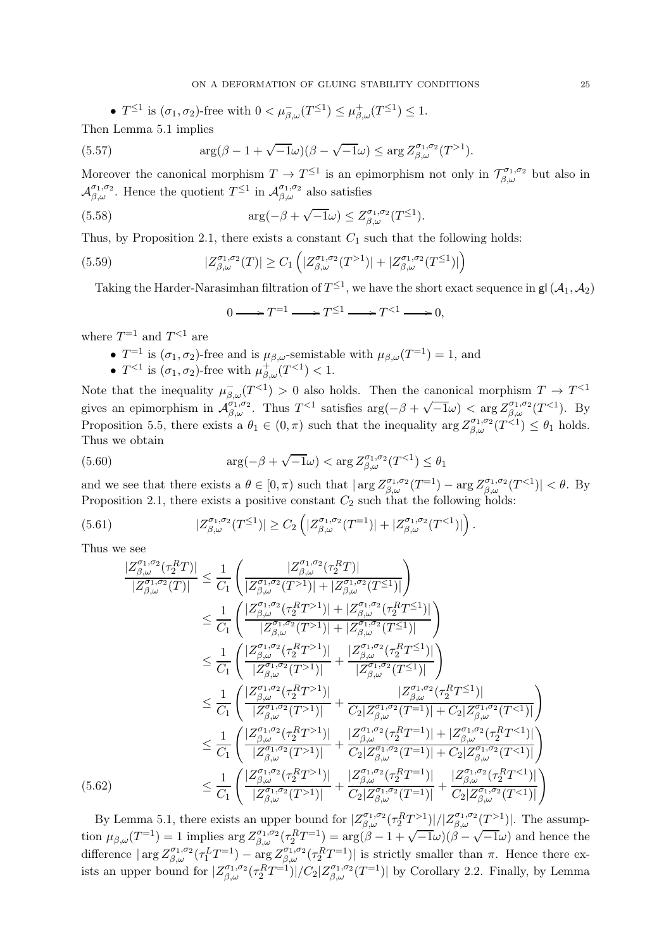• 
$$
T^{\leq 1}
$$
 is  $(\sigma_1, \sigma_2)$ -free with  $0 < \mu_{\beta,\omega}^-(T^{\leq 1}) \leq \mu_{\beta,\omega}^+(T^{\leq 1}) \leq 1$ .  
Lemma 5.1 implies

Then Lemma 5.1 implies

(5.57) 
$$
\arg(\beta - 1 + \sqrt{-1}\omega)(\beta - \sqrt{-1}\omega) \leq \arg Z_{\beta,\omega}^{\sigma_1,\sigma_2}(T^{>1}).
$$

Moreover the canonical morphism  $T \to T^{\leq 1}$  is an epimorphism not only in  $\mathcal{T}_{\beta,\omega}^{\sigma_1,\sigma_2}$  but also in  $\mathcal{A}_{\beta,\omega}^{\sigma_1,\sigma_2}$ . Hence the quotient  $T^{\leq 1}$  in  $\mathcal{A}_{\beta,\omega}^{\sigma_1,\sigma_2}$  also satisfies

(5.58) 
$$
\arg(-\beta + \sqrt{-1}\omega) \leq Z_{\beta,\omega}^{\sigma_1,\sigma_2}(T^{\leq 1}).
$$

Thus, by Proposition 2.1, there exists a constant  $C_1$  such that the following holds:

(5.59) 
$$
|Z_{\beta,\omega}^{\sigma_1,\sigma_2}(T)| \ge C_1 \left( |Z_{\beta,\omega}^{\sigma_1,\sigma_2}(T^{>1})| + |Z_{\beta,\omega}^{\sigma_1,\sigma_2}(T^{\leq 1})| \right)
$$

Taking the Harder-Narasimhan filtration of  $T^{\leq 1}$ , we have the short exact sequence in  $\mathsf{gl}\,(\mathcal{A}_1,\mathcal{A}_2)$ 

$$
0 \longrightarrow T^{-1} \longrightarrow T^{\leq 1} \longrightarrow T^{<1} \longrightarrow 0,
$$

where  $T^{-1}$  and  $T^{<1}$  are

- $T^{-1}$  is  $(\sigma_1, \sigma_2)$ -free and is  $\mu_{\beta,\omega}$ -semistable with  $\mu_{\beta,\omega}(T^{-1}) = 1$ , and
- $T^{<1}$  is  $(\sigma_1, \sigma_2)$ -free with  $\mu^+_{\beta,\omega}(T^{<1}) < 1$ .

Note that the inequality  $\mu_{\beta,\omega}^{-}(T^{\leq 1}) > 0$  also holds. Then the canonical morphism  $T \to T^{\leq 1}$ gives an epimorphism in  $\mathcal{A}_{\beta,\omega}^{\sigma_1,\sigma_2}$ . Thus  $T^{<1}$  satisfies  $\arg(-\beta+\sqrt{-1}\omega)<\arg Z_{\beta,\omega}^{\sigma_1,\sigma_2}(T^{<1})$ . By Proposition 5.5, there exists a  $\theta_1 \in (0, \pi)$  such that the inequality  $\arg Z_{\beta,\omega}^{\sigma_1,\sigma_2}(T^{\leq 1}) \leq \theta_1$  holds. Thus we obtain

(5.60) 
$$
\arg(-\beta + \sqrt{-1}\omega) < \arg Z_{\beta,\omega}^{\sigma_1,\sigma_2}(T^{<1}) \leq \theta_1
$$

and we see that there exists a  $\theta \in [0, \pi)$  such that  $|\arg Z_{\beta,\omega}^{\sigma_1,\sigma_2}(T^{=1}) - \arg Z_{\beta,\omega}^{\sigma_1,\sigma_2}(T^{<1})| < \theta$ . By Proposition 2.1, there exists a positive constant  $C_2$  such that the following holds:

(5.61) 
$$
|Z_{\beta,\omega}^{\sigma_1,\sigma_2}(T^{\leq 1})| \geq C_2 \left( |Z_{\beta,\omega}^{\sigma_1,\sigma_2}(T^{=1})| + |Z_{\beta,\omega}^{\sigma_1,\sigma_2}(T^{<1})| \right).
$$

Thus we see

$$
\frac{|Z_{\beta,\omega}^{\sigma_1,\sigma_2}(\tau_2^R T)|}{|Z_{\beta,\omega}^{\sigma_1,\sigma_2}(T)|} \leq \frac{1}{C_1} \left( \frac{|Z_{\beta,\omega}^{\sigma_1,\sigma_2}(\tau_2^R T)|}{|Z_{\beta,\omega}^{\sigma_1,\sigma_2}(T^{-1})| + |Z_{\beta,\omega}^{\sigma_1,\sigma_2}(T^{\leq 1})|} \right) \n\leq \frac{1}{C_1} \left( \frac{|Z_{\beta,\omega}^{\sigma_1,\sigma_2}(\tau_2^R T^{-1})| + |Z_{\beta,\omega}^{\sigma_1,\sigma_2}(\tau_2^R T^{-1})|}{|Z_{\beta,\omega}^{\sigma_1,\sigma_2}(T^{-1})| + |Z_{\beta,\omega}^{\sigma_1,\sigma_2}(T^{-1})|} \right) \n\leq \frac{1}{C_1} \left( \frac{|Z_{\beta,\omega}^{\sigma_1,\sigma_2}(\tau_2^R T^{-1})|}{|Z_{\beta,\omega}^{\sigma_1,\sigma_2}(T^{-1})|} + \frac{|Z_{\beta,\omega}^{\sigma_1,\sigma_2}(\tau_2^R T^{-1})|}{|Z_{\beta,\omega}^{\sigma_1,\sigma_2}(T^{-1})|} \right) \n\leq \frac{1}{C_1} \left( \frac{|Z_{\beta,\omega}^{\sigma_1,\sigma_2}(\tau_2^R T^{-1})|}{|Z_{\beta,\omega}^{\sigma_1,\sigma_2}(T^{-1})|} + \frac{|Z_{\beta,\omega}^{\sigma_1,\sigma_2}(\tau_2^R T^{-1})|}{C_2 |Z_{\beta,\omega}^{\sigma_1,\sigma_2}(T^{-1})| + C_2 |Z_{\beta,\omega}^{\sigma_1,\sigma_2}(T^{-1})|} \right) \n\leq \frac{1}{C_1} \left( \frac{|Z_{\beta,\omega}^{\sigma_1,\sigma_2}(\tau_2^R T^{-1})|}{|Z_{\beta,\omega}^{\sigma_1,\sigma_2}(T^{-1})|} + \frac{|Z_{\beta,\omega}^{\sigma_1,\sigma_2}(\tau_2^R T^{-1})| + |Z_{\beta,\omega}^{\sigma_1,\sigma_2}(\tau_2^R T^{-1})|}{C_2 |Z_{\beta,\omega}^{\sigma_1,\sigma_2}(T^{-1})|} + C_2 |Z_{\beta,\omega}^{\
$$

By Lemma 5.1, there exists an upper bound for  $|Z_{\beta,\omega}^{\sigma_1,\sigma_2}(\tau_2^RT^{>1})|/|Z_{\beta,\omega}^{\sigma_1,\sigma_2}(T^{>1})|$ . The assumption  $\mu_{\beta,\omega}(T^{-1}) = 1$  implies  $\arg Z_{\beta,\omega}^{\sigma_1,\sigma_2}(\tau_2^RT^{-1}) = \arg(\beta - 1 + \sqrt{-1}\omega)(\beta - \sqrt{-1}\omega)$  and hence the difference  $|\arg Z^{\sigma_1,\sigma_2}_{\beta,\omega}(\tau_1^L T^{-1}) - \arg Z^{\sigma_1,\sigma_2}_{\beta,\omega}(\tau_2^R T^{-1})|$  is strictly smaller than  $\pi$ . Hence there exists an upper bound for  $|Z_{\beta,\omega}^{\sigma_1,\sigma_2}(\tau_2^RT^{\pm 1})|/C_2|Z_{\beta,\omega}^{\sigma_1,\sigma_2}(T^{\pm 1})|$  by Corollary 2.2. Finally, by Lemma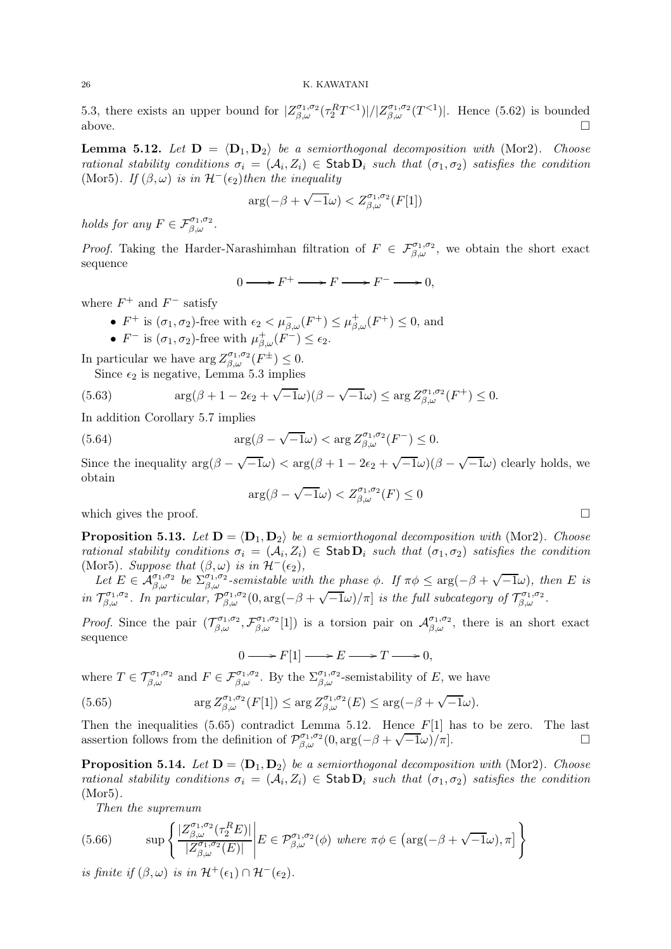5.3, there exists an upper bound for  $|Z_{\beta,\omega}^{\sigma_1,\sigma_2}(\tau_2^RT<1)|/|Z_{\beta,\omega}^{\sigma_1,\sigma_2}(T<1)|$ . Hence (5.62) is bounded above.  $\Box$ 

**Lemma 5.12.** Let  $D = \langle D_1, D_2 \rangle$  be a semiorthogonal decomposition with (Mor2). Choose rational stability conditions  $\sigma_i = (\mathcal{A}_i, Z_i) \in \text{Stab } \mathbf{D}_i$  such that  $(\sigma_1, \sigma_2)$  satisfies the condition (Mor5). If  $(\beta, \omega)$  is in  $\mathcal{H}^-(\epsilon_2)$  then the inequality

$$
\arg(-\beta + \sqrt{-1}\omega) < Z^{\sigma_1, \sigma_2}_{\beta, \omega}(F[1])
$$

holds for any  $F \in \mathcal{F}_{\beta,\omega}^{\sigma_1,\sigma_2}$ .

*Proof.* Taking the Harder-Narashimhan filtration of  $F \in \mathcal{F}_{\beta,\omega}^{\sigma_1,\sigma_2}$ , we obtain the short exact sequence

 $0 \longrightarrow F^+ \longrightarrow F \longrightarrow F^- \longrightarrow 0,$ 

where  $F^+$  and  $F^-$  satisfy

- $F^+$  is  $(\sigma_1, \sigma_2)$ -free with  $\epsilon_2 < \mu_{\beta,\omega}^-(F^+) \leq \mu_{\beta,\omega}^+(F^+) \leq 0$ , and
- $F^-$  is  $(\sigma_1, \sigma_2)$ -free with  $\mu_{\beta,\omega}^+(F^-) \leq \epsilon_2$ .

In particular we have  $\arg Z^{\sigma_1,\sigma_2}_{\beta,\omega}(F^{\pm}) \leq 0$ .

Since  $\epsilon_2$  is negative, Lemma 5.3 implies

(5.63) 
$$
\arg(\beta + 1 - 2\epsilon_2 + \sqrt{-1}\omega)(\beta - \sqrt{-1}\omega) \leq \arg Z_{\beta,\omega}^{\sigma_1,\sigma_2}(F^+) \leq 0.
$$

In addition Corollary 5.7 implies

(5.64) 
$$
\arg(\beta - \sqrt{-1}\omega) < \arg Z_{\beta,\omega}^{\sigma_1,\sigma_2}(F^-) \leq 0.
$$

Since the inequality  $\arg(\beta - \sqrt{-1}\omega) < \arg(\beta + 1 - 2\epsilon_2 + \sqrt{-1}\omega)(\beta - \sqrt{-1}\omega)$  clearly holds, we obtain

$$
\arg(\beta - \sqrt{-1}\omega) < Z_{\beta,\omega}^{\sigma_1,\sigma_2}(F) \le 0
$$

which gives the proof.  $\Box$ 

**Proposition 5.13.** Let  $\mathbf{D} = \langle \mathbf{D}_1, \mathbf{D}_2 \rangle$  be a semiorthogonal decomposition with (Mor2). Choose rational stability conditions  $\sigma_i = (A_i, Z_i) \in$  Stab  $D_i$  such that  $(\sigma_1, \sigma_2)$  satisfies the condition (Mor5). Suppose that  $(\beta, \omega)$  is in  $\mathcal{H}^{-}(\epsilon_2)$ ,

Let  $E \in \mathcal{A}_{\beta,\omega}^{\sigma_1,\sigma_2}$  be  $\Sigma_{\beta,\omega}^{\sigma_1,\sigma_2}$ -semistable with the phase  $\phi$ . If  $\pi\phi \leq \arg(-\beta + \sqrt{-1}\omega)$ , then E is in  $\mathcal{T}_{\beta,\omega}^{\sigma_1,\sigma_2}$ . In particular,  $\mathcal{P}_{\beta,\omega}^{\sigma_1,\sigma_2}(0,\arg(-\beta+\sqrt{-1}\omega)/\pi]$  is the full subcategory of  $\mathcal{T}_{\beta,\omega}^{\sigma_1,\sigma_2}$ .

*Proof.* Since the pair  $(\mathcal{T}_{\beta,\omega}^{\sigma_1,\sigma_2},\mathcal{F}_{\beta,\omega}^{\sigma_1,\sigma_2}[1])$  is a torsion pair on  $\mathcal{A}_{\beta,\omega}^{\sigma_1,\sigma_2}$ , there is an short exact sequence

 $0 \longrightarrow F[1] \longrightarrow E \longrightarrow T \longrightarrow 0,$ 

where  $T \in \mathcal{T}_{\beta,\omega}^{\sigma_1,\sigma_2}$  and  $F \in \mathcal{F}_{\beta,\omega}^{\sigma_1,\sigma_2}$ . By the  $\Sigma_{\beta,\omega}^{\sigma_1,\sigma_2}$ -semistability of E, we have

(5.65) 
$$
\arg Z^{\sigma_1,\sigma_2}_{\beta,\omega}(F[1]) \leq \arg Z^{\sigma_1,\sigma_2}_{\beta,\omega}(E) \leq \arg(-\beta + \sqrt{-1}\omega).
$$

Then the inequalities  $(5.65)$  contradict Lemma 5.12. Hence  $F[1]$  has to be zero. The last assertion follows from the definition of  $\mathcal{P}_{\beta,\omega}^{\sigma_1,\sigma_2}(0,\arg(-\beta+\sqrt{-1}\omega)/\pi]$ .

**Proposition 5.14.** Let  $D = \langle D_1, D_2 \rangle$  be a semiorthogonal decomposition with (Mor2). Choose rational stability conditions  $\sigma_i = (A_i, Z_i) \in \text{Stab } D_i$  such that  $(\sigma_1, \sigma_2)$  satisfies the condition (Mor5).

Then the supremum

(5.66) 
$$
\sup \left\{ \frac{|Z^{\sigma_1,\sigma_2}_{\beta,\omega}(\tau_2^R E)|}{|Z^{\sigma_1,\sigma_2}_{\beta,\omega}(E)|} \middle| E \in \mathcal{P}^{\sigma_1,\sigma_2}_{\beta,\omega}(\phi) \text{ where } \pi \phi \in (\arg(-\beta + \sqrt{-1}\omega), \pi] \right\}
$$

is finite if  $(\beta,\omega)$  is in  $\mathcal{H}^+(\epsilon_1) \cap \mathcal{H}^-(\epsilon_2)$ .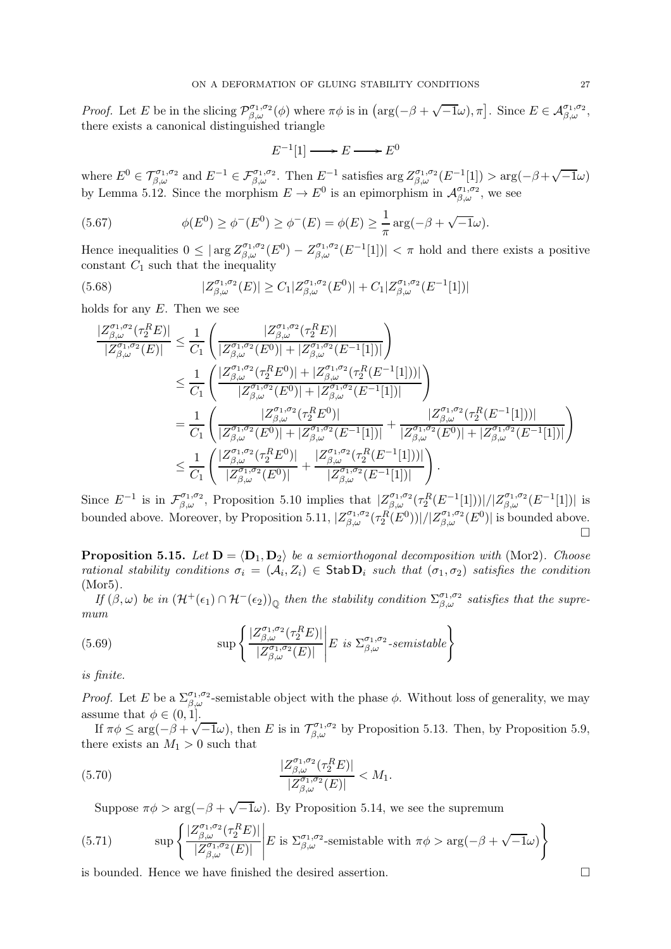Proof. Let E be in the slicing  $\mathcal{P}_{\beta,\omega}^{\sigma_1,\sigma_2}(\phi)$  where  $\pi\phi$  is in  $\left(\arg(-\beta+\sqrt{-1}\omega),\pi\right]$ . Since  $E \in \mathcal{A}_{\beta,\omega}^{\sigma_1,\sigma_2}$ , there exists a canonical distinguished triangle

 $E^{-1}[1] \longrightarrow E \longrightarrow E^0$ 

where  $E^0 \in \mathcal{T}_{\beta,\omega}^{\sigma_1,\sigma_2}$  and  $E^{-1} \in \mathcal{F}_{\beta,\omega}^{\sigma_1,\sigma_2}$ . Then  $E^{-1}$  satisfies  $\arg Z_{\beta,\omega}^{\sigma_1,\sigma_2}(E^{-1}[1]) > \arg(-\beta+\sqrt{-1}\omega)$ by Lemma 5.12. Since the morphism  $E \to E^0$  is an epimorphism in  $\mathcal{A}_{\beta,\omega}^{\sigma_1,\sigma_2}$ , we see

(5.67) 
$$
\phi(E^{0}) \geq \phi^{-}(E^{0}) \geq \phi^{-}(E) = \phi(E) \geq \frac{1}{\pi} \arg(-\beta + \sqrt{-1}\omega).
$$

Hence inequalities  $0 \leq |\arg Z^{\sigma_1,\sigma_2}_{\beta,\omega}(E^0) - Z^{\sigma_1,\sigma_2}_{\beta,\omega}(E^{-1}[1])| < \pi$  hold and there exists a positive constant  $C_1$  such that the inequality

(5.68) 
$$
|Z_{\beta,\omega}^{\sigma_1,\sigma_2}(E)| \ge C_1 |Z_{\beta,\omega}^{\sigma_1,\sigma_2}(E^0)| + C_1 |Z_{\beta,\omega}^{\sigma_1,\sigma_2}(E^{-1}[1])|
$$

holds for any  $E$ . Then we see

$$
\frac{|Z^{\sigma_1,\sigma_2}_{\beta,\omega}(\tau_2^RE)|}{|Z^{\sigma_1,\sigma_2}_{\beta,\omega}(E)|} \leq \frac{1}{C_1} \left( \frac{|Z^{\sigma_1,\sigma_2}_{\beta,\omega}(\tau_2^RE)|}{|Z^{\sigma_1,\sigma_2}_{\beta,\omega}(E^0)| + |Z^{\sigma_1,\sigma_2}_{\beta,\omega}(E^{-1}[1])|} \right)
$$
\n
$$
\leq \frac{1}{C_1} \left( \frac{|Z^{\sigma_1,\sigma_2}_{\beta,\omega}(\tau_2^RE^0)| + |Z^{\sigma_1,\sigma_2}_{\beta,\omega}(\tau_2^RE^{-1}[1])|}{|Z^{\sigma_1,\sigma_2}_{\beta,\omega}(E^0)| + |Z^{\sigma_1,\sigma_2}_{\beta,\omega}(E^{-1}[1])|} \right)
$$
\n
$$
= \frac{1}{C_1} \left( \frac{|Z^{\sigma_1,\sigma_2}_{\beta,\omega}(\tau_2^RE^0)|}{|Z^{\sigma_1,\sigma_2}_{\beta,\omega}(\tau_2^RE^0)| + |Z^{\sigma_1,\sigma_2}_{\beta,\omega}(E^{-1}[1])|} + \frac{|Z^{\sigma_1,\sigma_2}_{\beta,\omega}(\tau_2^R(E^{-1}[1])|)}{|Z^{\sigma_1,\sigma_2}_{\beta,\omega}(E^0)| + |Z^{\sigma_1,\sigma_2}_{\beta,\omega}(E^{-1}[1])|} \right)
$$
\n
$$
\leq \frac{1}{C_1} \left( \frac{|Z^{\sigma_1,\sigma_2}_{\beta,\omega}(\tau_2^RE^0)|}{|Z^{\sigma_1,\sigma_2}_{\beta,\omega}(E^0)|} + \frac{|Z^{\sigma_1,\sigma_2}_{\beta,\omega}(\tau_2^R(E^{-1}[1])|)}{|Z^{\sigma_1,\sigma_2}_{\beta,\omega}(E^{-1}[1])|} \right).
$$

Since  $E^{-1}$  is in  $\mathcal{F}_{\beta,\omega}^{\sigma_1,\sigma_2}$ , Proposition 5.10 implies that  $|Z_{\beta,\omega}^{\sigma_1,\sigma_2}(\tau_2^R(E^{-1}[1]))|/|Z_{\beta,\omega}^{\sigma_1,\sigma_2}(E^{-1}[1])|$  is bounded above. Moreover, by Proposition 5.11,  $|Z^{\sigma_1,\sigma_2}_{\beta,\omega}(\tau_2^R(E^0))|/|Z^{\sigma_1,\sigma_2}_{\beta,\omega}(E^0)|$  is bounded above.  $\Box$ 

**Proposition 5.15.** Let  $D = \langle D_1, D_2 \rangle$  be a semiorthogonal decomposition with (Mor2). Choose rational stability conditions  $\sigma_i = (A_i, Z_i) \in \text{Stab} \, \mathbf{D}_i$  such that  $(\sigma_1, \sigma_2)$  satisfies the condition (Mor5).

If  $(\beta,\omega)$  be in  $(\mathcal{H}^+(\epsilon_1) \cap \mathcal{H}^-(\epsilon_2))_{\mathbb{Q}}$  then the stability condition  $\Sigma_{\beta,\omega}^{\sigma_1,\sigma_2}$  satisfies that the supremum

(5.69) 
$$
\sup \left\{ \frac{|Z^{\sigma_1,\sigma_2}_{\beta,\omega}(\tau_2^RE)|}{|Z^{\sigma_1,\sigma_2}_{\beta,\omega}(E)|} \middle| E \text{ is } \Sigma^{\sigma_1,\sigma_2}_{\beta,\omega}\text{-semistable} \right\}
$$

is finite.

*Proof.* Let E be a  $\sum_{\beta,\omega}^{\sigma_1,\sigma_2}$ -semistable object with the phase  $\phi$ . Without loss of generality, we may assume that  $\phi \in (0, 1]$ .

If  $\pi \phi \le \arg(-\beta + \sqrt{-1}\omega)$ , then E is in  $\mathcal{T}_{\beta,\omega}^{\sigma_1,\sigma_2}$  by Proposition 5.13. Then, by Proposition 5.9, there exists an  $M_1 > 0$  such that

(5.70) 
$$
\frac{|Z_{\beta,\omega}^{\sigma_1,\sigma_2}(\tau_2^R E)|}{|Z_{\beta,\omega}^{\sigma_1,\sigma_2}(E)|} < M_1.
$$

Suppose  $\pi \phi > \arg(-\beta + \sqrt{-1}\omega)$ . By Proposition 5.14, we see the supremum

(5.71) 
$$
\sup \left\{ \frac{|Z^{\sigma_1,\sigma_2}_{\beta,\omega}(\tau_2^R E)|}{|Z^{\sigma_1,\sigma_2}_{\beta,\omega}(E)|} \right| E \text{ is } \Sigma^{\sigma_1,\sigma_2}_{\beta,\omega}\text{-semistable with } \pi\phi > \arg(-\beta + \sqrt{-1}\omega) \right\}
$$

is bounded. Hence we have finished the desired assertion.  $\Box$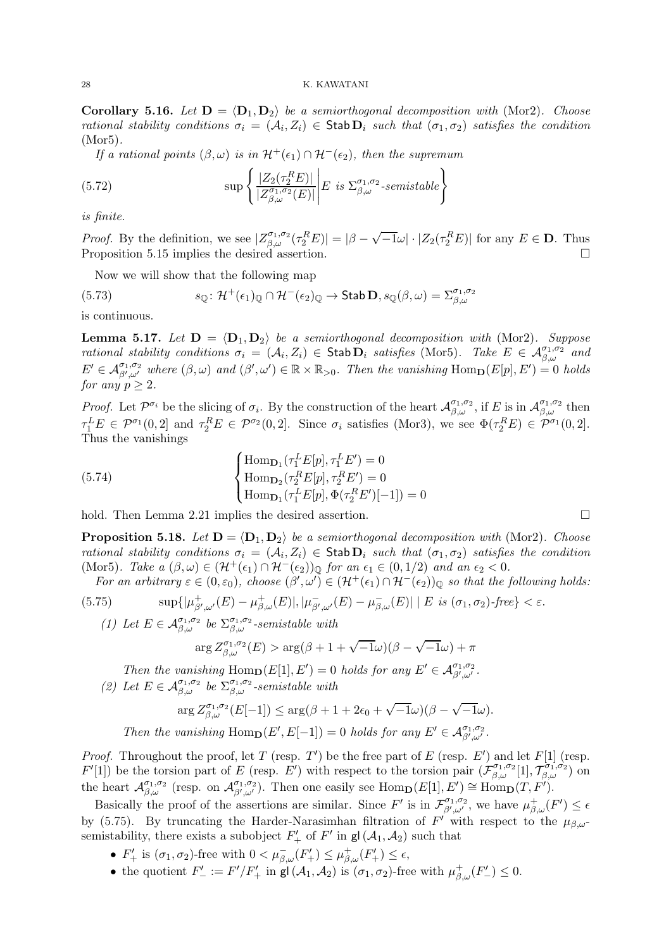**Corollary 5.16.** Let  $D = \langle D_1, D_2 \rangle$  be a semiorthogonal decomposition with (Mor2). Choose rational stability conditions  $\sigma_i = (A_i, Z_i) \in \text{Stab}\,\mathbf{D}_i$  such that  $(\sigma_1, \sigma_2)$  satisfies the condition (Mor5).

If a rational points  $(\beta, \omega)$  is in  $\mathcal{H}^+(\epsilon_1) \cap \mathcal{H}^-(\epsilon_2)$ , then the supremum

(5.72) 
$$
\sup \left\{ \frac{|Z_2(\tau_2^R E)|}{|Z_{\beta,\omega}^{\sigma_1,\sigma_2}(E)|} \middle| E \text{ is } \Sigma_{\beta,\omega}^{\sigma_1,\sigma_2}\text{-semistable} \right\}
$$

is finite.

*Proof.* By the definition, we see  $|Z_{\beta,\omega}^{\sigma_1,\sigma_2}(\tau_2^R E)| = |\beta-\sqrt{-1}\omega| \cdot |Z_2(\tau_2^R E)|$  for any  $E \in \mathbf{D}$ . Thus Proposition 5.15 implies the desired assertion.

Now we will show that the following map

(5.73) 
$$
s_{\mathbb{Q}} \colon \mathcal{H}^+(\epsilon_1)_{\mathbb{Q}} \cap \mathcal{H}^-(\epsilon_2)_{\mathbb{Q}} \to \mathsf{Stab}\,\mathbf{D}, s_{\mathbb{Q}}(\beta,\omega) = \Sigma^{\sigma_1,\sigma_2}_{\beta,\omega}
$$

is continuous.

**Lemma 5.17.** Let  $D = \langle D_1, D_2 \rangle$  be a semiorthogonal decomposition with (Mor2). Suppose rational stability conditions  $\sigma_i = (\mathcal{A}_i, Z_i) \in \mathsf{Stab}\,\mathbf{D}_i$  satisfies (Mor5). Take  $E \in \mathcal{A}_{\beta,\omega}^{\sigma_1,\sigma_2}$  and  $E' \in \mathcal{A}_{\beta',\omega'}^{\sigma_1,\sigma_2}$  where  $(\beta,\omega)$  and  $(\beta',\omega') \in \mathbb{R} \times \mathbb{R}_{>0}$ . Then the vanishing  $\text{Hom}_{\mathbf{D}}(E[p],E') = 0$  holds for any  $p \geq 2$ .

*Proof.* Let  $\mathcal{P}^{\sigma_i}$  be the slicing of  $\sigma_i$ . By the construction of the heart  $\mathcal{A}_{\beta,\omega}^{\sigma_1,\sigma_2}$ , if E is in  $\mathcal{A}_{\beta,\omega}^{\sigma_1,\sigma_2}$  then  $\tau_1^L E \in \mathcal{P}^{\sigma_1}(0,2]$  and  $\tau_2^R E \in \mathcal{P}^{\sigma_2}(0,2]$ . Since  $\sigma_i$  satisfies (Mor3), we see  $\Phi(\tau_2^R E) \in \mathcal{P}^{\sigma_1}(0,2]$ . Thus the vanishings

(5.74) 
$$
\begin{cases} \text{Hom}_{\mathbf{D}_1}(\tau_1^L E[p], \tau_1^L E') = 0 \\ \text{Hom}_{\mathbf{D}_2}(\tau_2^R E[p], \tau_2^R E') = 0 \\ \text{Hom}_{\mathbf{D}_1}(\tau_1^L E[p], \Phi(\tau_2^R E')[-1]) = 0 \end{cases}
$$

hold. Then Lemma 2.21 implies the desired assertion.

**Proposition 5.18.** Let  $D = \langle D_1, D_2 \rangle$  be a semiorthogonal decomposition with (Mor2). Choose rational stability conditions  $\sigma_i = (A_i, Z_i) \in \text{Stab } D_i$  such that  $(\sigma_1, \sigma_2)$  satisfies the condition (Mor5). Take  $a(\beta,\omega) \in (\mathcal{H}^+(\epsilon_1) \cap \mathcal{H}^-(\epsilon_2))_{\mathbb{Q}}$  for an  $\epsilon_1 \in (0,1/2)$  and an  $\epsilon_2 < 0$ .

For an arbitrary  $\varepsilon \in (0, \varepsilon_0)$ , choose  $(\beta', \omega') \in (\mathcal{H}^+(\epsilon_1) \cap \mathcal{H}^-(\epsilon_2))_{\mathbb{Q}}$  so that the following holds:

(5.75) 
$$
\sup\{|\mu_{\beta',\omega'}^+(E) - \mu_{\beta,\omega}^+(E)|, |\mu_{\beta',\omega'}^-(E) - \mu_{\beta,\omega}^-(E)| \mid E \text{ is } (\sigma_1, \sigma_2)\text{-free}\} < \varepsilon.
$$

(1) Let  $E \in \mathcal{A}_{\beta,\omega}^{\sigma_1,\sigma_2}$  be  $\Sigma_{\beta,\omega}^{\sigma_1,\sigma_2}$ -semistable with

$$
\arg Z^{\sigma_1, \sigma_2}_{\beta, \omega}(E) > \arg(\beta + 1 + \sqrt{-1}\omega)(\beta - \sqrt{-1}\omega) + \pi
$$

Then the vanishing  $\text{Hom}_{\mathbf{D}}(E[1], E') = 0$  holds for any  $E' \in \mathcal{A}_{\beta',\omega'}^{\sigma_1,\sigma_2}$ .

(2) Let  $E \in \mathcal{A}_{\beta,\omega}^{\sigma_1,\sigma_2}$  be  $\Sigma_{\beta,\omega}^{\sigma_1,\sigma_2}$ -semistable with

$$
\arg Z^{\sigma_1,\sigma_2}_{\beta,\omega}(E[-1]) \leq \arg(\beta + 1 + 2\epsilon_0 + \sqrt{-1}\omega)(\beta - \sqrt{-1}\omega).
$$

Then the vanishing  $\text{Hom}_{\mathbf{D}}(E', E[-1]) = 0$  holds for any  $E' \in \mathcal{A}_{\beta',\omega'}^{\sigma_1,\sigma_2}$ .

*Proof.* Throughout the proof, let T (resp. T') be the free part of E (resp. E') and let  $F[1]$  (resp.  $F'[1]$  be the torsion part of E (resp.  $E'$ ) with respect to the torsion pair  $(\mathcal{F}_{\beta,\omega}^{\sigma_1,\sigma_2}[1], \mathcal{T}_{\beta,\omega}^{\sigma_1,\sigma_2})$  on the heart  $\mathcal{A}_{\beta,\omega}^{\sigma_1,\sigma_2}$  (resp. on  $\mathcal{A}_{\beta',\omega'}^{\sigma_1,\sigma_2}$ ). Then one easily see  $\text{Hom}_{\mathbf{D}}(E[1],E') \cong \text{Hom}_{\mathbf{D}}(T,F')$ .

Basically the proof of the assertions are similar. Since  $F'$  is in  $\mathcal{F}_{\beta',\omega'}^{\sigma_1,\sigma_2}$ , we have  $\mu_{\beta,\omega}^+(F') \leq \epsilon$ by (5.75). By truncating the Harder-Narasimhan filtration of  $F'$  with respect to the  $\mu_{\beta,\omega}$ semistability, there exists a subobject  $F'_{+}$  of  $F'$  in  $gl(\mathcal{A}_1, \mathcal{A}_2)$  such that

- $F'_{+}$  is  $(\sigma_1, \sigma_2)$ -free with  $0 < \mu_{\beta,\omega}^{-}(F'_{+}) \leq \mu_{\beta,\omega}^{+}(F'_{+}) \leq \epsilon$ ,
- the quotient  $F'_{-} := F'/F'_{+}$  in gl $(\mathcal{A}_1, \mathcal{A}_2)$  is  $(\sigma_1, \sigma_2)$ -free with  $\mu_{\beta,\omega}^+(F'_{-}) \leq 0$ .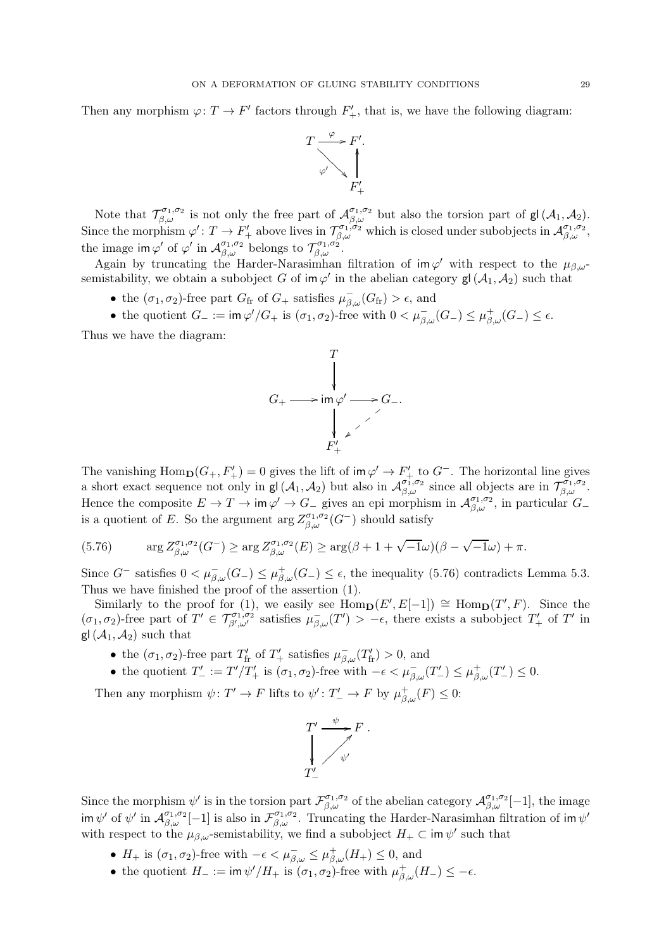Then any morphism  $\varphi: T \to F'$  factors through  $F'_{+}$ , that is, we have the following diagram:



Note that  $\mathcal{T}_{\beta,\omega}^{\sigma_1,\sigma_2}$  is not only the free part of  $\mathcal{A}_{\beta,\omega}^{\sigma_1,\sigma_2}$  but also the torsion part of  $\mathsf{gl}(\mathcal{A}_1,\mathcal{A}_2)$ . Since the morphism  $\varphi': T \to F'_+$  above lives in  $\mathcal{T}_{\beta,\omega}^{\sigma_1,\sigma_2}$  which is closed under subobjects in  $\mathcal{A}_{\beta,\omega}^{\sigma_1,\sigma_2}$ , the image im  $\varphi'$  of  $\varphi'$  in  $\mathcal{A}_{\beta,\omega}^{\sigma_1,\sigma_2}$  belongs to  $\mathcal{T}_{\beta,\omega}^{\sigma_1,\sigma_2}$ .

Again by truncating the Harder-Narasimhan filtration of  $\mathsf{im}\,\varphi'$  with respect to the  $\mu_{\beta,\omega}$ semistability, we obtain a subobject G of  $\mathsf{im}\,\varphi'$  in the abelian category  $\mathsf{gl}\,(\mathcal{A}_1,\mathcal{A}_2)$  such that

- the  $(\sigma_1, \sigma_2)$ -free part  $G_{\text{fr}}$  of  $G_+$  satisfies  $\mu_{\beta,\omega}^-(G_{\text{fr}}) > \epsilon$ , and
- the quotient  $G_{-} := \text{im } \varphi'/G_{+}$  is  $(\sigma_{1}, \sigma_{2})$ -free with  $0 < \mu_{\beta,\omega}^{-}(G_{-}) \leq \mu_{\beta,\omega}^{+}(G_{-}) \leq \epsilon$ .

Thus we have the diagram:



The vanishing  $\text{Hom}_{\mathbf{D}}(G_+, F'_+) = 0$  gives the lift of im  $\varphi' \to F'_+$  to  $G^-$ . The horizontal line gives a short exact sequence not only in  $gl(\mathcal{A}_1, \mathcal{A}_2)$  but also in  $\mathcal{A}_{\beta,\omega}^{\sigma_1,\sigma_2}$  since all objects are in  $\mathcal{T}_{\beta,\omega}^{\sigma_1,\sigma_2}$ . Hence the composite  $E \to T \to \text{im }\varphi' \to G_{-}$  gives an epi morphism in  $\mathcal{A}_{\beta,\omega}^{\sigma_1,\sigma_2}$ , in particular  $G_{-}$ is a quotient of E. So the argument  $\arg Z^{\sigma_1,\sigma_2}_{\beta,\omega}(G^-)$  should satisfy

(5.76) 
$$
\arg Z^{\sigma_1,\sigma_2}_{\beta,\omega}(G^-) \geq \arg Z^{\sigma_1,\sigma_2}_{\beta,\omega}(E) \geq \arg(\beta + 1 + \sqrt{-1}\omega)(\beta - \sqrt{-1}\omega) + \pi.
$$

Since  $G^-$  satisfies  $0 < \mu_{\beta,\omega}^-(G_-) \leq \mu_{\beta,\omega}^+(G_-) \leq \epsilon$ , the inequality (5.76) contradicts Lemma 5.3. Thus we have finished the proof of the assertion (1).

Similarly to the proof for (1), we easily see  $\text{Hom}_{\mathbf{D}}(E', E[-1]) \cong \text{Hom}_{\mathbf{D}}(T', F)$ . Since the  $(\sigma_1, \sigma_2)$ -free part of  $T' \in \mathcal{T}_{\beta',\omega'}^{\sigma_1,\sigma_2}$  satisfies  $\mu_{\beta,\omega}^-(T') > -\epsilon$ , there exists a subobject  $T'_+$  of  $T'$  in  $gl(\mathcal{A}_1, \mathcal{A}_2)$  such that

- the  $(\sigma_1, \sigma_2)$ -free part  $T'_{\text{fr}}$  of  $T'_{+}$  satisfies  $\mu_{\beta,\omega}^-(T'_{\text{fr}}) > 0$ , and
- the quotient  $T'_{-} := T'/T'_{+}$  is  $(\sigma_1, \sigma_2)$ -free with  $-\epsilon < \mu_{\beta,\omega}^{-}(T'_{-}) \leq \mu_{\beta,\omega}^{+}(T'_{-}) \leq 0$ .

Then any morphism  $\psi \colon T' \to F$  lifts to  $\psi' \colon T' \to F$  by  $\mu_{\beta,\omega}^+(F) \leq 0$ :



Since the morphism  $\psi'$  is in the torsion part  $\mathcal{F}_{\beta,\omega}^{\sigma_1,\sigma_2}$  of the abelian category  $\mathcal{A}_{\beta,\omega}^{\sigma_1,\sigma_2}[-1]$ , the image  $\lim \psi'$  of  $\psi'$  in  $\mathcal{A}_{\beta,\omega}^{\sigma_1,\sigma_2}[-1]$  is also in  $\mathcal{F}_{\beta,\omega}^{\sigma_1,\sigma_2}$ . Truncating the Harder-Narasimhan filtration of im  $\psi'$ with respect to the  $\mu_{\beta,\omega}$ -semistability, we find a subobject  $H_+ \subset \text{im } \psi'$  such that

- $H_+$  is  $(\sigma_1, \sigma_2)$ -free with  $-\epsilon < \mu_{\beta,\omega}^- \leq \mu_{\beta,\omega}^+(H_+) \leq 0$ , and
- the quotient  $H_- := \text{im } \psi'/H_+$  is  $(\sigma_1, \sigma_2)$ -free with  $\mu_{\beta,\omega}^+(H_-) \leq -\epsilon$ .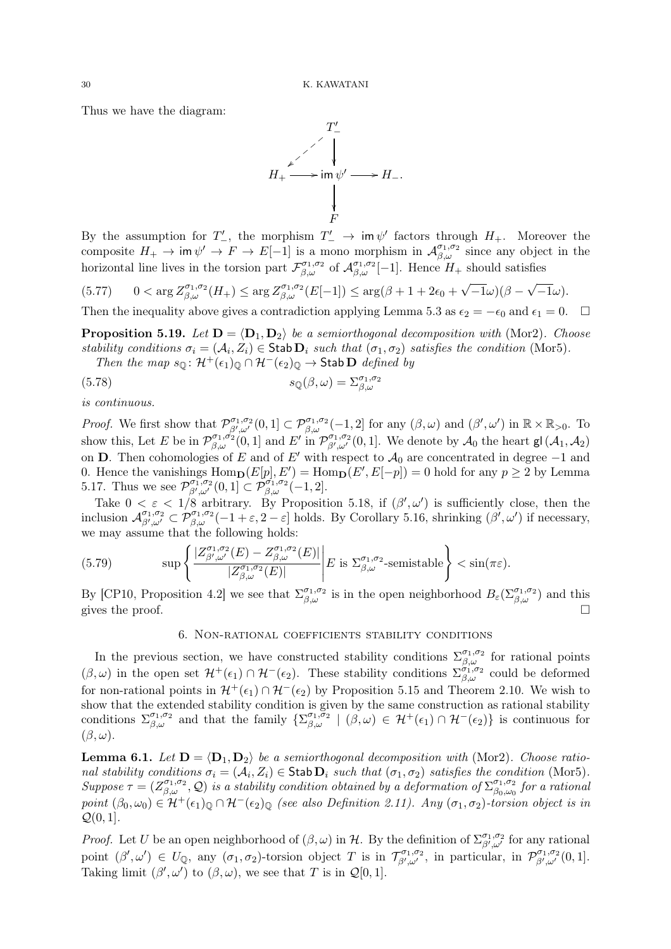Thus we have the diagram:



By the assumption for  $T'$ , the morphism  $T' \to \text{im } \psi'$  factors through  $H_+$ . Moreover the composite  $H_+ \to \text{im } \psi' \to F \to E[-1]$  is a mono morphism in  $\mathcal{A}_{\beta,\omega}^{\sigma_1,\sigma_2}$  since any object in the horizontal line lives in the torsion part  $\mathcal{F}_{\beta,\omega}^{\sigma_1,\sigma_2}$  of  $\mathcal{A}_{\beta,\omega}^{\sigma_1,\sigma_2}[-1]$ . Hence  $H_+$  should satisfies

$$
(5.77) \qquad 0 < \arg Z^{\sigma_1, \sigma_2}_{\beta, \omega}(H_+) \leq \arg Z^{\sigma_1, \sigma_2}_{\beta, \omega}(E[-1]) \leq \arg(\beta + 1 + 2\epsilon_0 + \sqrt{-1}\omega)(\beta - \sqrt{-1}\omega).
$$

Then the inequality above gives a contradiction applying Lemma 5.3 as  $\epsilon_2 = -\epsilon_0$  and  $\epsilon_1 = 0$ .  $\Box$ 

**Proposition 5.19.** Let  $\mathbf{D} = \langle \mathbf{D}_1, \mathbf{D}_2 \rangle$  be a semiorthogonal decomposition with (Mor2). Choose stability conditions  $\sigma_i = (\mathcal{A}_i, Z_i) \in \text{Stab } D_i$  such that  $(\sigma_1, \sigma_2)$  satisfies the condition (Mor5).

Then the map  $s_{\mathbb{Q}}$ :  $\mathcal{H}^+(\epsilon_1)_{\mathbb{Q}} \cap \mathcal{H}^-(\epsilon_2)_{\mathbb{Q}} \to$  Stab  $\mathbf{D}$  defined by

(5.78) 
$$
s_{\mathbb{Q}}(\beta,\omega) = \Sigma^{\sigma_1,\sigma_2}_{\beta,\omega}
$$

is continuous.

Proof. We first show that  $\mathcal{P}_{\beta',\omega'}^{\sigma_1,\sigma_2}(0,1] \subset \mathcal{P}_{\beta,\omega}^{\sigma_1,\sigma_2}(-1,2]$  for any  $(\beta,\omega)$  and  $(\beta',\omega')$  in  $\mathbb{R} \times \mathbb{R}_{>0}$ . To show this, Let E be in  $\mathcal{P}_{\beta,\omega}^{\sigma_1,\sigma_2}(0,1]$  and E' in  $\mathcal{P}_{\beta',\omega'}^{\sigma_1,\sigma_2}(0,1]$ . We denote by  $\mathcal{A}_0$  the heart  $\mathsf{gl}(\mathcal{A}_1,\mathcal{A}_2)$ on D. Then cohomologies of E and of E' with respect to  $A_0$  are concentrated in degree -1 and 0. Hence the vanishings  $\text{Hom}_{\mathbf{D}}(E[p], E') = \text{Hom}_{\mathbf{D}}(E', E[-p]) = 0$  hold for any  $p \ge 2$  by Lemma 5.17. Thus we see  $\mathcal{P}_{\beta',\omega'}^{\sigma_1,\sigma_2}(0,1] \subset \mathcal{P}_{\beta,\omega}^{\sigma_1,\sigma_2}(-1,2].$ 

Take  $0 < \varepsilon < 1/8$  arbitrary. By Proposition 5.18, if  $(\beta', \omega')$  is sufficiently close, then the inclusion  $\mathcal{A}_{\beta',\omega'}^{\sigma_1,\sigma_2} \subset \mathcal{P}_{\beta,\omega}^{\sigma_1,\sigma_2}(-1+\varepsilon,2-\varepsilon]$  holds. By Corollary 5.16, shrinking  $(\beta',\omega')$  if necessary, we may assume that the following holds:

(5.79) 
$$
\sup \left\{ \frac{|Z^{\sigma_1,\sigma_2}_{\beta',\omega'}(E) - Z^{\sigma_1,\sigma_2}_{\beta,\omega}(E)|}{|Z^{\sigma_1,\sigma_2}_{\beta,\omega}(E)|} \right\} E \text{ is } \Sigma^{\sigma_1,\sigma_2}_{\beta,\omega}\text{-semistable} \right\} < \sin(\pi \varepsilon).
$$

By [CP10, Proposition 4.2] we see that  $\Sigma_{\beta,\omega}^{\sigma_1,\sigma_2}$  is in the open neighborhood  $B_{\varepsilon}(\Sigma_{\beta,\omega}^{\sigma_1,\sigma_2})$  and this gives the proof.  $\Box$ 

# 6. Non-rational coefficients stability conditions

In the previous section, we have constructed stability conditions  $\Sigma_{\beta,\omega}^{\sigma_1,\sigma_2}$  for rational points  $(\beta,\omega)$  in the open set  $\mathcal{H}^+(\epsilon_1) \cap \mathcal{H}^-(\epsilon_2)$ . These stability conditions  $\Sigma_{\beta,\omega}^{\sigma_1,\sigma_2}$  could be deformed for non-rational points in  $\mathcal{H}^+(\epsilon_1) \cap \mathcal{H}^-(\epsilon_2)$  by Proposition 5.15 and Theorem 2.10. We wish to show that the extended stability condition is given by the same construction as rational stability conditions  $\Sigma_{\beta,\omega}^{\sigma_1,\sigma_2}$  and that the family  $\{\Sigma_{\beta,\omega}^{\sigma_1,\sigma_2} \mid (\beta,\omega) \in \mathcal{H}^+(\epsilon_1) \cap \mathcal{H}^-(\epsilon_2)\}\)$  is continuous for  $(\beta, \omega)$ .

**Lemma 6.1.** Let  $D = \langle D_1, D_2 \rangle$  be a semiorthogonal decomposition with (Mor2). Choose rational stability conditions  $\sigma_i = (\mathcal{A}_i, Z_i) \in \text{Stab } \mathbf{D}_i$  such that  $(\sigma_1, \sigma_2)$  satisfies the condition (Mor5). Suppose  $\tau = (Z_{\beta,\omega}^{\sigma_1,\sigma_2}, Q)$  is a stability condition obtained by a deformation of  $\Sigma_{\beta_0,\omega_0}^{\sigma_1,\sigma_2}$  $^{\sigma_1, \sigma_2}_{\beta_0, \omega_0}$  for a rational point  $(\beta_0, \omega_0) \in \mathcal{H}^+(\epsilon_1)_{\mathbb{Q}} \cap \mathcal{H}^-(\epsilon_2)_{\mathbb{Q}}$  (see also Definition 2.11). Any  $(\sigma_1, \sigma_2)$ -torsion object is in  $\mathcal{Q}(0,1]$ .

*Proof.* Let U be an open neighborhood of  $(\beta, \omega)$  in H. By the definition of  $\sum_{\beta', \omega'}^{\sigma_1, \sigma_2}$  for any rational point  $(\beta', \omega') \in U_{\mathbb{Q}}$ , any  $(\sigma_1, \sigma_2)$ -torsion object T is in  $\mathcal{T}_{\beta', \omega'}^{\sigma_1, \sigma_2}$ , in particular, in  $\mathcal{P}_{\beta', \omega'}^{\sigma_1, \sigma_2}(0, 1]$ . Taking limit  $(\beta', \omega')$  to  $(\beta, \omega)$ , we see that T is in  $\mathcal{Q}[0, 1]$ .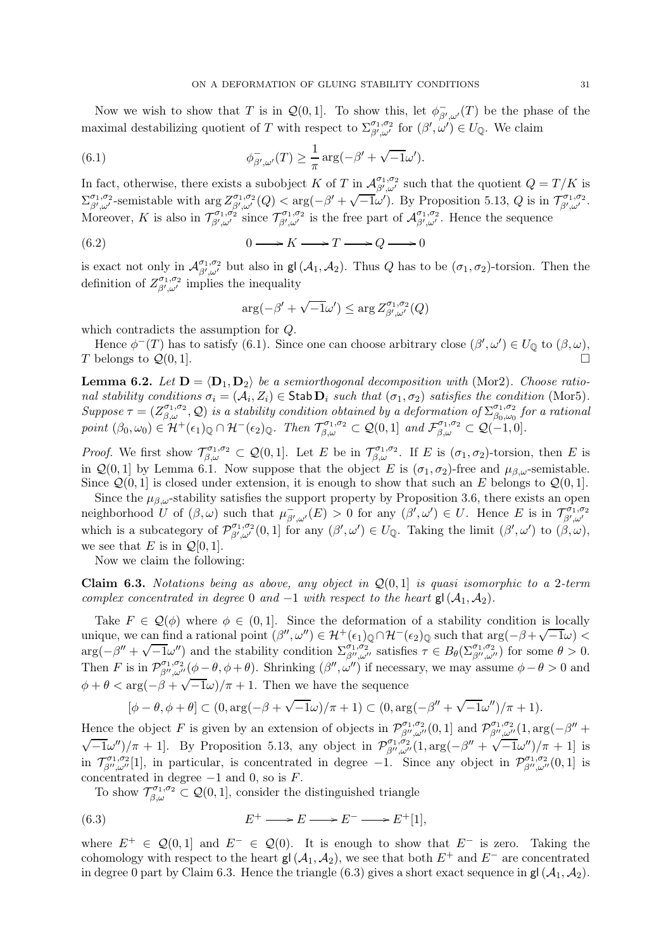Now we wish to show that T is in  $\mathcal{Q}(0,1]$ . To show this, let  $\phi_{\beta',\omega'}^-(T)$  be the phase of the maximal destabilizing quotient of T with respect to  $\Sigma^{\sigma_1,\sigma_2}_{\beta',\omega'}$  for  $(\beta',\omega')\in U_{\mathbb{Q}}$ . We claim

(6.1) 
$$
\phi_{\beta',\omega'}^-(T) \geq \frac{1}{\pi} \arg(-\beta' + \sqrt{-1}\omega').
$$

In fact, otherwise, there exists a subobject K of T in  $\mathcal{A}_{\beta',\omega'}^{\sigma_1,\sigma_2}$  such that the quotient  $Q=T/K$  is  $\sum_{\beta',\omega'}^{\sigma_1,\sigma_2}$ -semistable with  $\arg Z_{\beta',\omega'}^{\sigma_1,\sigma_2}(Q) < \arg(-\beta'+\sqrt{-1}\omega')$ . By Proposition 5.13, Q is in  $\mathcal{T}_{\beta',\omega'}^{\sigma_1,\sigma_2}$ . Moreover, K is also in  $\mathcal{T}_{\beta',\omega'}^{\sigma_1,\sigma_2}$  is the free part of  $\mathcal{A}_{\beta',\omega'}^{\sigma_1,\sigma_2}$ . Hence the sequence

$$
(6.2) \t\t 0 \longrightarrow K \longrightarrow T \longrightarrow Q \longrightarrow 0
$$

is exact not only in  $\mathcal{A}_{\beta',\omega'}^{\sigma_1,\sigma_2}$  but also in  $\mathsf{gl}(\mathcal{A}_1,\mathcal{A}_2)$ . Thus  $Q$  has to be  $(\sigma_1,\sigma_2)$ -torsion. Then the definition of  $Z^{\sigma_1,\sigma_2}_{\beta',\omega'}$  implies the inequality

$$
\arg(-\beta' + \sqrt{-1}\omega') \leq \arg Z^{\sigma_1, \sigma_2}_{\beta', \omega'}(Q)
$$

which contradicts the assumption for Q.

Hence  $\phi^{-}(T)$  has to satisfy (6.1). Since one can choose arbitrary close  $(\beta', \omega') \in U_{\mathbb{Q}}$  to  $(\beta, \omega)$ , T belongs to  $\mathcal{Q}(0,1]$ .

**Lemma 6.2.** Let  $D = \langle D_1, D_2 \rangle$  be a semiorthogonal decomposition with (Mor2). Choose rational stability conditions  $\sigma_i = (\mathcal{A}_i, Z_i) \in \text{Stab } \mathbf{D}_i$  such that  $(\sigma_1, \sigma_2)$  satisfies the condition (Mor5). Suppose  $\tau = (Z_{\beta,\omega}^{\sigma_1,\sigma_2},Q)$  is a stability condition obtained by a deformation of  $\Sigma_{\beta_0,\omega_0}^{\sigma_1,\sigma_2}$  $^{\sigma_1,\sigma_2}_{\beta_0,\omega_0}$  for a rational point  $(\beta_0, \omega_0) \in \mathcal{H}^+(\epsilon_1)_{\mathbb{Q}} \cap \mathcal{H}^-(\epsilon_2)_{\mathbb{Q}}$ . Then  $\mathcal{T}_{\beta,\omega}^{\sigma_1,\sigma_2} \subset \mathcal{Q}(0,1]$  and  $\mathcal{F}_{\beta,\omega}^{\sigma_1,\sigma_2} \subset \mathcal{Q}(-1,0]$ .

*Proof.* We first show  $\mathcal{T}_{\beta,\omega}^{\sigma_1,\sigma_2} \subset \mathcal{Q}(0,1]$ . Let E be in  $\mathcal{T}_{\beta,\omega}^{\sigma_1,\sigma_2}$ . If E is  $(\sigma_1,\sigma_2)$ -torsion, then E is in  $\mathcal{Q}(0, 1]$  by Lemma 6.1. Now suppose that the object E is  $(\sigma_1, \sigma_2)$ -free and  $\mu_{\beta,\omega}$ -semistable. Since  $\mathcal{Q}(0,1]$  is closed under extension, it is enough to show that such an E belongs to  $\mathcal{Q}(0,1]$ .

Since the  $\mu_{\beta,\omega}$ -stability satisfies the support property by Proposition 3.6, there exists an open neighborhood U of  $(\beta,\omega)$  such that  $\mu_{\beta',\omega'}^-(E) > 0$  for any  $(\beta',\omega') \in U$ . Hence E is in  $\mathcal{T}_{\beta',\omega'}^{\sigma_1,\sigma_2}$ which is a subcategory of  $\mathcal{P}_{\beta',\omega'}^{\sigma_1,\sigma_2}(0,1]$  for any  $(\beta',\omega') \in U_{\mathbb{Q}}$ . Taking the limit  $(\beta',\omega')$  to  $(\beta,\omega)$ , we see that E is in  $\mathcal{Q}[0,1]$ .

Now we claim the following:

**Claim 6.3.** Notations being as above, any object in  $\mathcal{Q}(0, 1)$  is quasi isomorphic to a 2-term complex concentrated in degree 0 and  $-1$  with respect to the heart gl( $A_1, A_2$ ).

Take  $F \in \mathcal{Q}(\phi)$  where  $\phi \in (0,1]$ . Since the deformation of a stability condition is locally unique, we can find a rational point  $(\beta'', \omega'') \in \mathcal{H}^+(\epsilon_1)_{\mathbb{Q}} \cap \mathcal{H}^-(\epsilon_2)_{\mathbb{Q}}$  such that  $\arg(-\beta + \sqrt{-1}\omega) <$  $arg(-\beta'' + \sqrt{-1}\omega'')$  and the stability condition  $\sum_{\beta'',\omega''}^{\sigma_1,\sigma_2}$  satisfies  $\tau \in B_{\theta}(\sum_{\beta'',\omega''}^{\sigma_1,\sigma_2})$  for some  $\theta > 0$ . Then F is in  $\mathcal{P}_{\beta'',\omega''}^{\sigma_1,\sigma_2}(\phi-\theta,\phi+\theta)$ . Shrinking  $(\beta'',\omega'')$  if necessary, we may assume  $\phi-\theta>0$  and  $\phi + \theta < \arg(-\beta + \sqrt{-1}\omega)/\pi + 1$ . Then we have the sequence

$$
[\phi-\theta,\phi+\theta] \subset (0,\arg(-\beta+\sqrt{-1}\omega)/\pi+1) \subset (0,\arg(-\beta''+\sqrt{-1}\omega'')/\pi+1).
$$

Hence the object F is given by an extension of objects in  $\mathcal{P}_{\beta'',\omega''}^{\sigma_1,\sigma_2}(0,1]$  and  $\mathcal{P}_{\beta'',\omega''}^{\sigma_1,\sigma_2}(1,\arg(-\beta''+\beta'))$  $\sqrt{-1}\omega''/\pi + 1$ . By Proposition 5.13, any object in  $\mathcal{P}_{\beta'',\omega''}^{\sigma_1,\sigma_2}$  (1, arg( $-\beta'' + \sqrt{-1}\omega''/\pi + 1$ ] is in  $\mathcal{T}_{\beta'',\omega''}^{\sigma_1,\sigma_2}[1]$ , in particular, is concentrated in degree  $-1$ . Since any object in  $\mathcal{P}_{\beta'',\omega''}^{\sigma_1,\sigma_2}[0,1]$  is concentrated in degree  $-1$  and 0, so is  $F$ .

To show  $\mathcal{T}_{\beta,\omega}^{\sigma_1,\sigma_2} \subset \mathcal{Q}(0,1]$ , consider the distinguished triangle

(6.3) 
$$
E^+ \longrightarrow E \longrightarrow E^- \longrightarrow E^+[1],
$$

where  $E^+ \in \mathcal{Q}(0,1]$  and  $E^- \in \mathcal{Q}(0)$ . It is enough to show that  $E^-$  is zero. Taking the cohomology with respect to the heart gl( $A_1, A_2$ ), we see that both  $E^+$  and  $E^-$  are concentrated in degree 0 part by Claim 6.3. Hence the triangle (6.3) gives a short exact sequence in  $gl(\mathcal{A}_1, \mathcal{A}_2)$ .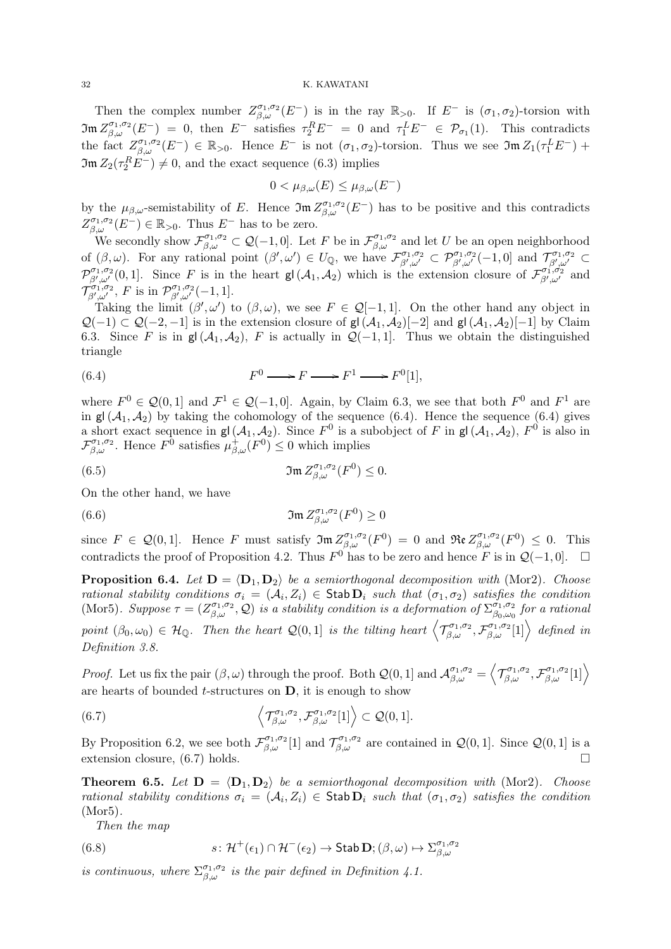Then the complex number  $Z_{\beta,\omega}^{\sigma_1,\sigma_2}(E^-)$  is in the ray  $\mathbb{R}_{>0}$ . If  $E^-$  is  $(\sigma_1,\sigma_2)$ -torsion with  $\mathfrak{Im}\,Z_{\beta,\omega}^{\sigma_1,\sigma_2}(E^-) = 0$ , then  $E^-$  satisfies  $\tau_2^R E^- = 0$  and  $\tau_1^L E^- \in \mathcal{P}_{\sigma_1}(1)$ . This contradicts the fact  $Z_{\beta,\omega}^{\sigma_1,\sigma_2}(E^-) \in \mathbb{R}_{>0}$ . Hence  $E^-$  is not  $(\sigma_1,\sigma_2)$ -torsion. Thus we see  $\mathfrak{Im} Z_1(\tau_1^L E^-)$  +  $\mathfrak{Im}\,Z_2(\tau_2^R E^-) \neq 0$ , and the exact sequence (6.3) implies

$$
0 < \mu_{\beta,\omega}(E) \leq \mu_{\beta,\omega}(E^-)
$$

by the  $\mu_{\beta,\omega}$ -semistability of E. Hence  $\mathfrak{Im} Z_{\beta,\omega}^{\sigma_1,\sigma_2}(E^-)$  has to be positive and this contradicts  $Z_{\beta,\omega}^{\sigma_1,\sigma_2}(E^-) \in \mathbb{R}_{>0}$ . Thus  $E^-$  has to be zero.

We secondly show  $\mathcal{F}_{\beta,\omega}^{\sigma_1,\sigma_2} \subset \mathcal{Q}(-1,0]$ . Let F be in  $\mathcal{F}_{\beta,\omega}^{\sigma_1,\sigma_2}$  and let U be an open neighborhood of  $(\beta,\omega)$ . For any rational point  $(\beta',\omega') \in U_{\mathbb{Q}}$ , we have  $\mathcal{F}_{\beta',\omega'}^{\sigma_1,\sigma_2} \subset \mathcal{P}_{\beta',\omega'}^{\sigma_1,\sigma_2}(-1,0]$  and  $\mathcal{T}_{\beta',\omega'}^{\sigma_1,\sigma_2} \subset$  $\mathcal{P}_{\beta',\omega'}^{\sigma_1,\sigma_2}(0,1]$ . Since F is in the heart gl $(\mathcal{A}_1,\mathcal{A}_2)$  which is the extension closure of  $\mathcal{F}_{\beta',\omega'}^{\sigma_1,\sigma_2}$  and  $\mathcal{T}_{\beta',\omega'}^{\sigma_1,\sigma_2}$ , F is in  $\mathcal{P}_{\beta',\omega'}^{\sigma_1,\sigma_2}(-1,1]$ .

Taking the limit  $(\beta', \omega')$  to  $(\beta, \omega)$ , we see  $F \in \mathcal{Q}[-1, 1]$ . On the other hand any object in  $Q(-1) \subset Q(-2,-1]$  is in the extension closure of  $gl(\mathcal{A}_1,\mathcal{A}_2)[-2]$  and  $gl(\mathcal{A}_1,\mathcal{A}_2)[-1]$  by Claim 6.3. Since F is in  $gl(\mathcal{A}_1, \mathcal{A}_2)$ , F is actually in  $\mathcal{Q}(-1, 1]$ . Thus we obtain the distinguished triangle

(6.4) 
$$
F^0 \longrightarrow F \longrightarrow F^1 \longrightarrow F^0[1],
$$

where  $F^0 \in \mathcal{Q}(0,1]$  and  $\mathcal{F}^1 \in \mathcal{Q}(-1,0]$ . Again, by Claim 6.3, we see that both  $F^0$  and  $F^1$  are in  $gl(\mathcal{A}_1, \mathcal{A}_2)$  by taking the cohomology of the sequence (6.4). Hence the sequence (6.4) gives a short exact sequence in  $\mathsf{gl}(\mathcal{A}_1, \mathcal{A}_2)$ . Since  $F^0$  is a subobject of F in  $\mathsf{gl}(\mathcal{A}_1, \mathcal{A}_2)$ ,  $F^0$  is also in  $\mathcal{F}_{\beta,\omega}^{\sigma_1,\sigma_2}$ . Hence  $F^{\hat{0}}$  satisfies  $\mu^{\hat{+}}_{\beta,\omega}(F^0) \leq 0$  which implies

(6.5) 
$$
\mathfrak{Im}\,Z_{\beta,\omega}^{\sigma_1,\sigma_2}(F^0)\leq 0.
$$

On the other hand, we have

(6.6) 
$$
\mathfrak{Im} Z_{\beta,\omega}^{\sigma_1,\sigma_2}(F^0) \geq 0
$$

since  $F \in \mathcal{Q}(0,1]$ . Hence F must satisfy  $\mathfrak{Im} Z^{\sigma_1,\sigma_2}_{\beta,\omega}(F^0) = 0$  and  $\mathfrak{Re} Z^{\sigma_1,\sigma_2}_{\beta,\omega}(F^0) \leq 0$ . This contradicts the proof of Proposition 4.2. Thus  $F^0$  has to be zero and hence F is in  $\mathcal{Q}(-1,0]$ .  $\Box$ 

**Proposition 6.4.** Let  $D = \langle D_1, D_2 \rangle$  be a semiorthogonal decomposition with (Mor2). Choose rational stability conditions  $\sigma_i = (\mathcal{A}_i, Z_i) \in \mathsf{Stab} \mathbf{D}_i$  such that  $(\sigma_1, \sigma_2)$  satisfies the condition (Mor5). Suppose  $\tau = (Z_{\beta,\omega}^{\sigma_1,\sigma_2}, \mathcal{Q})$  is a stability condition is a deformation of  $\Sigma_{\beta_0,\omega_0}^{\sigma_1,\sigma_2}$  $^{\sigma_1,\sigma_2}_{\beta_0,\omega_0}$  for a rational point  $(\beta_0, \omega_0) \in \mathcal{H}_{\mathbb{Q}}$ . Then the heart  $\mathcal{Q}(0,1]$  is the tilting heart  $\left\langle \mathcal{T}_{\beta,\omega}^{\sigma_1,\sigma_2},\mathcal{F}_{\beta,\omega}^{\sigma_1,\sigma_2}[1] \right\rangle$  defined in Definition 3.8.

*Proof.* Let us fix the pair  $(\beta, \omega)$  through the proof. Both  $\mathcal{Q}(0, 1]$  and  $\mathcal{A}_{\beta, \omega}^{\sigma_1, \sigma_2} = \langle$  $\left. \mathcal{T}_{\beta,\omega}^{\sigma_1,\sigma_2},\mathcal{F}_{\beta,\omega}^{\sigma_1,\sigma_2}[1]\right\rangle$ are hearts of bounded  $t$ -structures on  $D$ , it is enough to show

(6.7) 
$$
\left\langle \mathcal{T}_{\beta,\omega}^{\sigma_1,\sigma_2},\mathcal{F}_{\beta,\omega}^{\sigma_1,\sigma_2}[1] \right\rangle \subset \mathcal{Q}(0,1].
$$

By Proposition 6.2, we see both  $\mathcal{F}_{\beta,\omega}^{\sigma_1,\sigma_2}[1]$  and  $\mathcal{T}_{\beta,\omega}^{\sigma_1,\sigma_2}$  are contained in  $\mathcal{Q}(0,1]$ . Since  $\mathcal{Q}(0,1]$  is a extension closure, (6.7) holds.

**Theorem 6.5.** Let  $D = \langle D_1, D_2 \rangle$  be a semiorthogonal decomposition with (Mor2). Choose rational stability conditions  $\sigma_i = (A_i, Z_i) \in \text{Stab } \overline{\mathbf{D}}_i$  such that  $(\sigma_1, \sigma_2)$  satisfies the condition (Mor5).

Then the map

(6.8) 
$$
s: \mathcal{H}^+(\epsilon_1) \cap \mathcal{H}^-(\epsilon_2) \to \mathsf{Stab} \,\mathbf{D}; (\beta, \omega) \mapsto \Sigma^{\sigma_1, \sigma_2}_{\beta, \omega}
$$

is continuous, where  $\Sigma_{\beta,\omega}^{\sigma_1,\sigma_2}$  is the pair defined in Definition 4.1.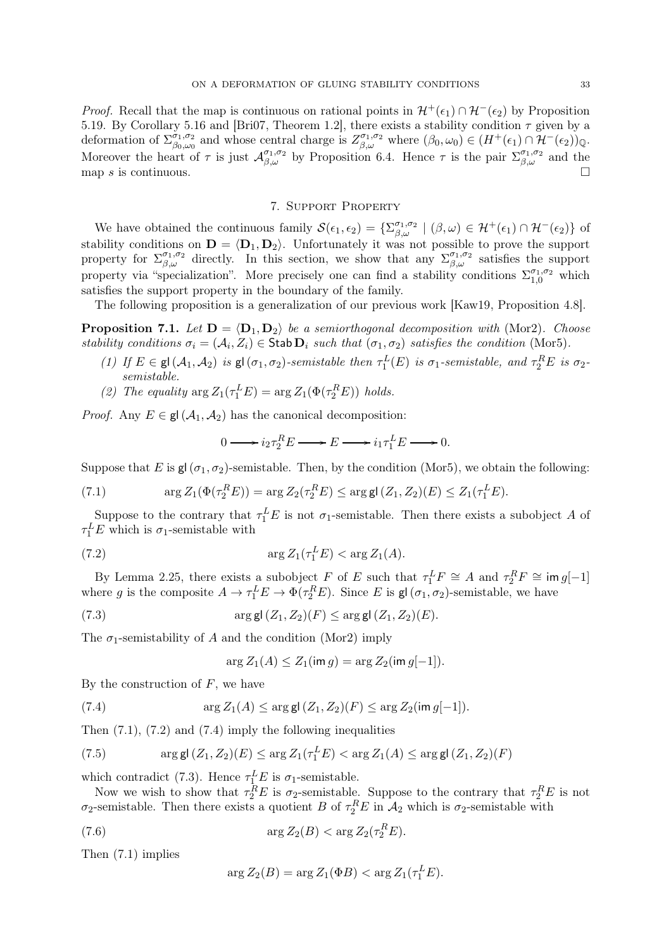*Proof.* Recall that the map is continuous on rational points in  $\mathcal{H}^+(\epsilon_1) \cap \mathcal{H}^-(\epsilon_2)$  by Proposition 5.19. By Corollary 5.16 and [Bri07, Theorem 1.2], there exists a stability condition  $\tau$  given by a deformation of  $\sum_{\beta_0,\omega_0}^{\sigma_1,\sigma_2}$  $\phi_{0,\omega_0}^{\sigma_1,\sigma_2}$  and whose central charge is  $Z_{\beta,\omega}^{\sigma_1,\sigma_2}$  where  $(\beta_0,\omega_0) \in (H^+(\epsilon_1) \cap \mathcal{H}^-(\epsilon_2))_{\mathbb{Q}}$ . Moreover the heart of  $\tau$  is just  $\mathcal{A}_{\beta,\omega}^{\sigma_1,\sigma_2}$  by Proposition 6.4. Hence  $\tau$  is the pair  $\Sigma_{\beta,\omega}^{\sigma_1,\sigma_2}$  and the map s is continuous.  $\square$ 

# 7. Support Property

We have obtained the continuous family  $\mathcal{S}(\epsilon_1, \epsilon_2) = \{\Sigma_{\beta,\omega}^{\sigma_1,\sigma_2} \mid (\beta,\omega) \in \mathcal{H}^+(\epsilon_1) \cap \mathcal{H}^-(\epsilon_2)\}\$  of stability conditions on  $\mathbf{D} = \langle \mathbf{D}_1, \mathbf{D}_2 \rangle$ . Unfortunately it was not possible to prove the support property for  $\Sigma_{\beta,\omega}^{\sigma_1,\sigma_2}$  directly. In this section, we show that any  $\Sigma_{\beta,\omega}^{\sigma_1,\sigma_2}$  satisfies the support property via "specialization". More precisely one can find a stability conditions  $\Sigma_{1,0}^{\sigma_1,\sigma_2}$  which satisfies the support property in the boundary of the family.

The following proposition is a generalization of our previous work [Kaw19, Proposition 4.8].

**Proposition 7.1.** Let  $D = \langle D_1, D_2 \rangle$  be a semiorthogonal decomposition with (Mor2). Choose stability conditions  $\sigma_i = (A_i, Z_i) \in$  Stab  $D_i$  such that  $(\sigma_1, \sigma_2)$  satisfies the condition (Mor5).

- (1) If  $E \in \mathsf{gl}(\mathcal{A}_1, \mathcal{A}_2)$  is  $\mathsf{gl}(\sigma_1, \sigma_2)$ -semistable then  $\tau_1^L(E)$  is  $\sigma_1$ -semistable, and  $\tau_2^R E$  is  $\sigma_2$ semistable.
- (2) The equality  $\arg Z_1(\tau_1^L E) = \arg Z_1(\Phi(\tau_2^R E))$  holds.

*Proof.* Any  $E \in \mathsf{gl}(\mathcal{A}_1, \mathcal{A}_2)$  has the canonical decomposition:

$$
0 \longrightarrow i_2 \tau_2^R E \longrightarrow E \longrightarrow i_1 \tau_1^L E \longrightarrow 0.
$$

Suppose that E is gl( $\sigma_1$ ,  $\sigma_2$ )-semistable. Then, by the condition (Mor5), we obtain the following:

(7.1) 
$$
\arg Z_1(\Phi(\tau_2^R E)) = \arg Z_2(\tau_2^R E) \leq \arg \text{gl}(Z_1, Z_2)(E) \leq Z_1(\tau_1^L E).
$$

Suppose to the contrary that  $\tau_1^L E$  is not  $\sigma_1$ -semistable. Then there exists a subobject A of  $\tau_1^L E$  which is  $\sigma_1$ -semistable with

$$
\arg Z_1(\tau_1^L E) < \arg Z_1(A).
$$

By Lemma 2.25, there exists a subobject F of E such that  $\tau_1^L F \cong A$  and  $\tau_2^R F \cong \text{im } g[-1]$ where g is the composite  $A \to \tau_1^L E \to \Phi(\tau_2^R E)$ . Since E is  $\mathsf{gl}(\sigma_1, \sigma_2)$ -semistable, we have

(7.3) 
$$
\arg g(A_1, Z_2)(F) \leq \arg g(A_1, Z_2)(E).
$$

The  $\sigma_1$ -semistability of A and the condition (Mor2) imply

$$
\arg Z_1(A) \le Z_1(\text{im } g) = \arg Z_2(\text{im } g[-1]).
$$

By the construction of  $F$ , we have

(7.4) 
$$
\arg Z_1(A) \leq \arg \mathsf{gl}(Z_1, Z_2)(F) \leq \arg Z_2(\text{im } g[-1]).
$$

Then  $(7.1)$ ,  $(7.2)$  and  $(7.4)$  imply the following inequalities

(7.5) 
$$
\arg \mathsf{gl}(Z_1, Z_2)(E) \leq \arg Z_1(\tau_1^L E) < \arg Z_1(A) \leq \arg \mathsf{gl}(Z_1, Z_2)(F)
$$

which contradict (7.3). Hence  $\tau_{1}^{L}E$  is  $\sigma_{1}$ -semistable.

Now we wish to show that  $\tau_2^R E$  is  $\sigma_2$ -semistable. Suppose to the contrary that  $\tau_2^R E$  is not  $\sigma_2$ -semistable. Then there exists a quotient B of  $\tau_2^R E$  in  $\mathcal{A}_2$  which is  $\sigma_2$ -semistable with

$$
\arg Z_2(B) < \arg Z_2(\tau_2^R E).
$$

Then (7.1) implies

$$
\arg Z_2(B) = \arg Z_1(\Phi B) < \arg Z_1(\tau_1^L E).
$$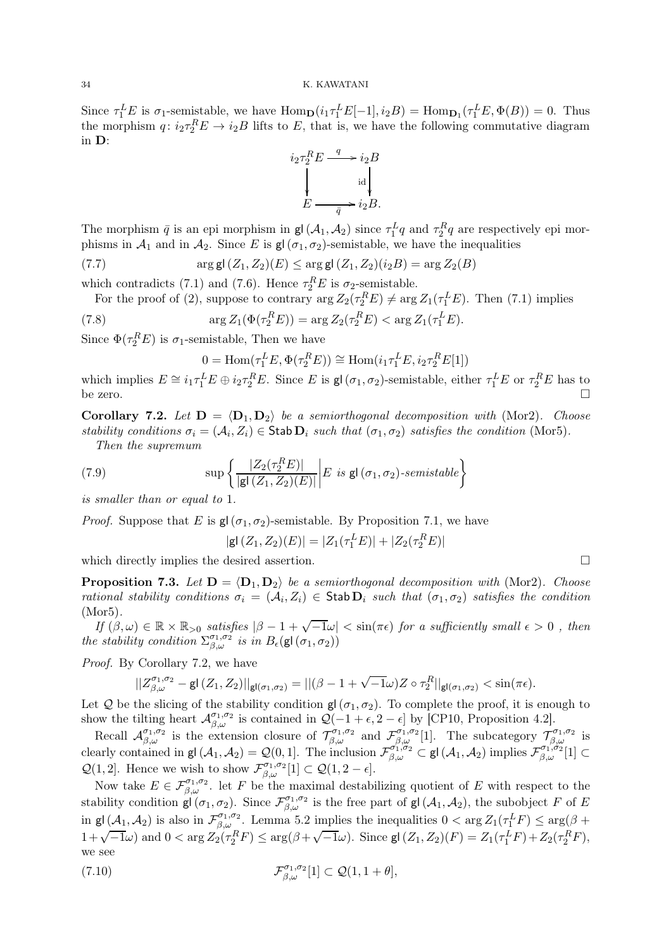Since  $\tau_1^L E$  is  $\sigma_1$ -semistable, we have  $\text{Hom}_{\mathbf{D}}(i_1 \tau_1^L E[-1], i_2 B) = \text{Hom}_{\mathbf{D}_1}(\tau_1^L E, \Phi(B)) = 0$ . Thus the morphism  $q: i_2\tau_2^R E \to i_2B$  lifts to E, that is, we have the following commutative diagram in D:



The morphism  $\bar{q}$  is an epi morphism in gl( $A_1, A_2$ ) since  $\tau_1^L q$  and  $\tau_2^R q$  are respectively epi morphisms in  $\mathcal{A}_1$  and in  $\mathcal{A}_2$ . Since E is  $\mathsf{gl}(\sigma_1, \sigma_2)$ -semistable, we have the inequalities

(7.7) 
$$
\arg \mathsf{gl}(Z_1, Z_2)(E) \leq \arg \mathsf{gl}(Z_1, Z_2)(i_2 B) = \arg Z_2(B)
$$

which contradicts (7.1) and (7.6). Hence  $\tau_2^R E$  is  $\sigma_2$ -semistable.

For the proof of (2), suppose to contrary  $\arg Z_2(\tau_2^R E) \neq \arg Z_1(\tau_1^L E)$ . Then (7.1) implies

(7.8) 
$$
\arg Z_1(\Phi(\tau_2^R E)) = \arg Z_2(\tau_2^R E) < \arg Z_1(\tau_1^L E).
$$

Since  $\Phi(\tau_2^RE)$  is  $\sigma_1$ -semistable, Then we have

$$
0 = \text{Hom}(\tau_1^L E, \Phi(\tau_2^R E)) \cong \text{Hom}(i_1 \tau_1^L E, i_2 \tau_2^R E[1])
$$

which implies  $E \cong i_1 \tau_1^L E \oplus i_2 \tau_2^R E$ . Since E is  $\mathsf{gl}\,(\sigma_1, \sigma_2)$ -semistable, either  $\tau_1^L E$  or  $\tau_2^R E$  has to be zero.  $\Box$ 

**Corollary 7.2.** Let  $D = \langle D_1, D_2 \rangle$  be a semiorthogonal decomposition with (Mor2). Choose stability conditions  $\sigma_i = (\mathcal{A}_i, Z_i) \in \mathsf{Stab}\,\mathbf{D}_i$  such that  $(\sigma_1, \sigma_2)$  satisfies the condition (Mor5).

Then the supremum

(7.9) 
$$
\sup \left\{ \frac{|Z_2(\tau_2^R E)|}{|\mathbf{g}(\langle Z_1, Z_2)(E)|} \middle| E \text{ is } \mathbf{g}(\langle \sigma_1, \sigma_2 \rangle\text{-}\text{semistable} \right\}
$$

is smaller than or equal to 1.

*Proof.* Suppose that E is  $gl(\sigma_1, \sigma_2)$ -semistable. By Proposition 7.1, we have

$$
|\mathsf{gl}\,(Z_1, Z_2)(E)| = |Z_1(\tau_1^L E)| + |Z_2(\tau_2^R E)|
$$

which directly implies the desired assertion.  $\Box$ 

**Proposition 7.3.** Let  $D = \langle D_1, D_2 \rangle$  be a semiorthogonal decomposition with (Mor2). Choose rational stability conditions  $\sigma_i = (A_i, Z_i) \in \text{Stab } \mathbf{D}_i$  such that  $(\sigma_1, \sigma_2)$  satisfies the condition (Mor5).

If  $(\beta, \omega) \in \mathbb{R} \times \mathbb{R}_{>0}$  satisfies  $|\beta - 1 + \sqrt{-1}\omega| < \sin(\pi\epsilon)$  for a sufficiently small  $\epsilon > 0$ , then the stability condition  $\Sigma_{\beta,\omega}^{\sigma_1,\sigma_2}$  is in  $B_{\epsilon}(\mathsf{gl}(\sigma_1,\sigma_2))$ 

Proof. By Corollary 7.2, we have

$$
||Z^{\sigma_1,\sigma_2}_{\beta,\omega}-\mathsf{gl}\,(Z_1,Z_2)||_{\mathsf{gl}(\sigma_1,\sigma_2)}=||(\beta-1+\sqrt{-1}\omega)Z\circ\tau_2^R||_{\mathsf{gl}(\sigma_1,\sigma_2)}<\sin(\pi\epsilon).
$$

Let Q be the slicing of the stability condition  $g(\sigma_1, \sigma_2)$ . To complete the proof, it is enough to show the tilting heart  $\mathcal{A}_{\beta,\omega}^{\sigma_1,\sigma_2}$  is contained in  $\mathcal{Q}(-1+\epsilon,2-\epsilon]$  by [CP10, Proposition 4.2].

Recall  $\mathcal{A}_{\beta,\omega}^{\sigma_1,\sigma_2}$  is the extension closure of  $\mathcal{T}_{\beta,\omega}^{\sigma_1,\sigma_2}$  and  $\mathcal{F}_{\beta,\omega}^{\sigma_1,\sigma_2}[1]$ . The subcategory  $\mathcal{T}_{\beta,\omega}^{\sigma_1,\sigma_2}$  is clearly contained in gl $(\mathcal{A}_1, \mathcal{A}_2) = \mathcal{Q}(0, 1]$ . The inclusion  $\mathcal{F}_{\beta,\omega}^{\sigma_1,\sigma_2} \subset$  gl $(\mathcal{A}_1, \mathcal{A}_2)$  implies  $\mathcal{F}_{\beta,\omega}^{\sigma_1,\sigma_2}[1] \subset$  $\mathcal{Q}(1,2]$ . Hence we wish to show  $\mathcal{F}_{\beta,\omega}^{\sigma_1,\sigma_2}[1] \subset \mathcal{Q}(1,2-\epsilon]$ .

Now take  $E \in \mathcal{F}_{\beta,\omega}^{\sigma_1,\sigma_2}$ . let F be the maximal destabilizing quotient of E with respect to the stability condition  $\mathsf{gl}(\sigma_1,\sigma_2)$ . Since  $\mathcal{F}_{\beta,\omega}^{\sigma_1,\sigma_2}$  is the free part of  $\mathsf{gl}(\mathcal{A}_1,\mathcal{A}_2)$ , the subobject F of E in  $\mathsf{gl}\,(\mathcal{A}_1,\mathcal{A}_2)$  is also in  $\mathcal{F}_{\beta,\omega}^{\sigma_1,\sigma_2}$ . Lemma 5.2 implies the inequalities  $0 < \arg Z_1(\tau_1^L F) \leq \arg(\beta +$  $1+\sqrt{-1}\omega$ ) and  $0 < \arg Z_2(\tau_2^R F) \leq \arg(\beta+\sqrt{-1}\omega)$ . Since  $\textsf{gl}(Z_1, Z_2)(F) = Z_1(\tau_1^L F) + Z_2(\tau_2^R F)$ , we see

(7.10) 
$$
\mathcal{F}_{\beta,\omega}^{\sigma_1,\sigma_2}[1] \subset \mathcal{Q}(1,1+\theta],
$$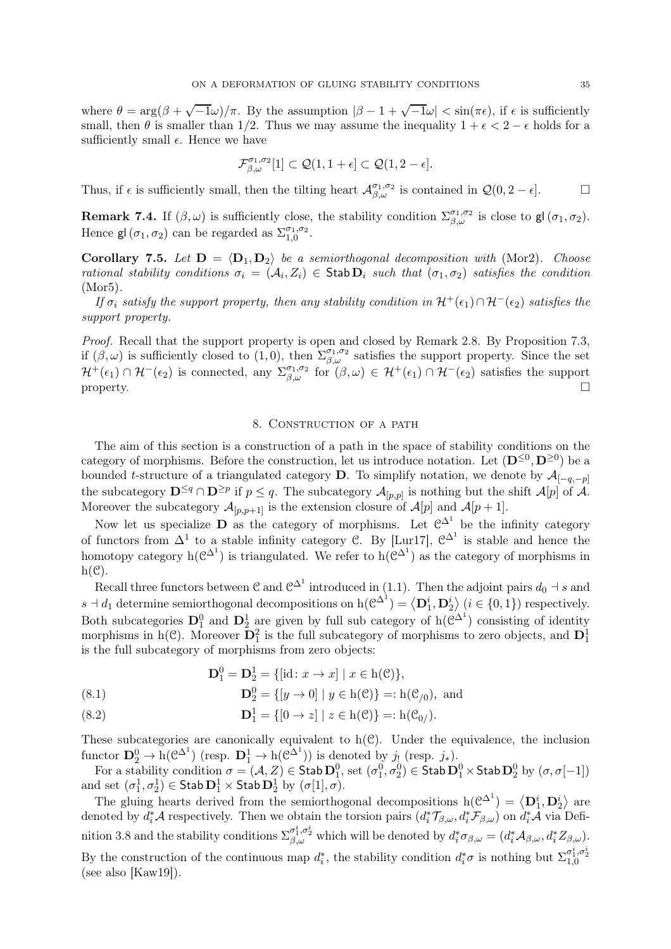where  $\theta = \arg(\beta + \sqrt{-1}\omega)/\pi$ . By the assumption  $|\beta - 1 + \sqrt{-1}\omega| < \sin(\pi\epsilon)$ , if  $\epsilon$  is sufficiently small, then  $\theta$  is smaller than 1/2. Thus we may assume the inequality  $1 + \epsilon < 2 - \epsilon$  holds for a sufficiently small  $\epsilon$ . Hence we have

$$
\mathcal{F}_{\beta,\omega}^{\sigma_1,\sigma_2}[1] \subset \mathcal{Q}(1,1+\epsilon] \subset \mathcal{Q}(1,2-\epsilon].
$$

Thus, if  $\epsilon$  is sufficiently small, then the tilting heart  $\mathcal{A}_{\beta,\omega}^{\sigma_1,\sigma_2}$  is contained in  $\mathcal{Q}(0,2-\epsilon]$ .

**Remark 7.4.** If  $(\beta, \omega)$  is sufficiently close, the stability condition  $\Sigma_{\beta,\omega}^{\sigma_1,\sigma_2}$  is close to  $\mathsf{gl}(\sigma_1,\sigma_2)$ . Hence  $\mathsf{gl}\left(\sigma_{1},\sigma_{2}\right)$  can be regarded as  $\Sigma_{1,0}^{\sigma_{1},\sigma_{2}}$  $\substack{\sigma_1,\sigma_2 \ 1,0}} \cdot$ 

Corollary 7.5. Let  $D = \langle D_1, D_2 \rangle$  be a semiorthogonal decomposition with (Mor2). Choose rational stability conditions  $\sigma_i = (A_i, Z_i) \in \text{Stab } \mathbf{D}_i$  such that  $(\sigma_1, \sigma_2)$  satisfies the condition (Mor5).

If  $\sigma_i$  satisfy the support property, then any stability condition in  $\mathcal{H}^+(\epsilon_1)\cap\mathcal{H}^-(\epsilon_2)$  satisfies the support property.

Proof. Recall that the support property is open and closed by Remark 2.8. By Proposition 7.3, if  $(\beta,\omega)$  is sufficiently closed to  $(1,0)$ , then  $\sum_{\beta,\omega}^{\sigma_1,\sigma_2}$  satisfies the support property. Since the set  $\mathcal{H}^+(\epsilon_1) \cap \mathcal{H}^-(\epsilon_2)$  is connected, any  $\Sigma_{\beta,\omega}^{\sigma_1,\sigma_2}$  for  $(\beta,\omega) \in \mathcal{H}^+(\epsilon_1) \cap \mathcal{H}^-(\epsilon_2)$  satisfies the support property.  $\square$ 

### 8. Construction of a path

The aim of this section is a construction of a path in the space of stability conditions on the category of morphisms. Before the construction, let us introduce notation. Let  $(D^{\leq 0}, D^{\geq 0})$  be a bounded t-structure of a triangulated category **D**. To simplify notation, we denote by  $\mathcal{A}_{[-q,-p]}$ the subcategory  $\mathbf{D}^{\leq q} \cap \mathbf{D}^{\geq p}$  if  $p \leq q$ . The subcategory  $\mathcal{A}_{[p,p]}$  is nothing but the shift  $\mathcal{A}[p]$  of  $\mathcal{A}$ . Moreover the subcategory  $\mathcal{A}_{[p,p+1]}$  is the extension closure of  $\mathcal{A}[p]$  and  $\mathcal{A}[p+1]$ .

Now let us specialize **D** as the category of morphisms. Let  $\mathcal{C}^{\Delta^1}$  be the infinity category of functors from  $\Delta^1$  to a stable infinity category C. By [Lur17],  $\mathcal{C}^{\Delta^1}$  is stable and hence the homotopy category  $h(\mathcal{C}^{\Delta^1})$  is triangulated. We refer to  $h(\mathcal{C}^{\Delta^1})$  as the category of morphisms in  $h(\mathcal{C})$ .

Recall three functors between C and  $\mathcal{C}^{\Delta^1}$  introduced in (1.1). Then the adjoint pairs  $d_0 \dashv s$  and  $s \dashv d_1$  determine semiorthogonal decompositions on  $h(\mathcal{C}^{\Delta^1}) = \langle \mathbf{D}_1^i, \mathbf{D}_2^i \rangle$   $(i \in \{0,1\})$  respectively. Both subcategories  $D_1^0$  and  $D_2^1$  are given by full sub category of  $h(\mathcal{C}^{\Delta^1})$  consisting of identity morphisms in h(C). Moreover  $\mathbf{D}_1^2$  is the full subcategory of morphisms to zero objects, and  $\mathbf{D}_1^1$ is the full subcategory of morphisms from zero objects:

$$
D_1^0 = D_2^1 = \{ [\text{id} : x \to x] \mid x \in h(\mathcal{C}) \},
$$

(8.1) 
$$
\mathbf{D}_2^0 = \{ [y \to 0] \mid y \in h(\mathcal{C}) \} =: h(\mathcal{C}_{/0}), \text{ and}
$$

(8.2) 
$$
\mathbf{D}_1^1 = \{ [0 \to z] \mid z \in h(\mathcal{C}) \} =: h(\mathcal{C}_{0/}).
$$

These subcategories are canonically equivalent to  $h(\mathcal{C})$ . Under the equivalence, the inclusion functor  $\mathbf{D}_2^0 \to h(\mathcal{C}^{\Delta^1})$  (resp.  $\mathbf{D}_1^1 \to h(\mathcal{C}^{\Delta^1})$ ) is denoted by  $j_!$  (resp.  $j_*$ ).

For a stability condition  $\sigma = (\mathcal{A}, Z) \in \mathsf{Stab}\,\mathbf{D}_1^0$ , set  $(\sigma_1^0, \sigma_2^0) \in \mathsf{Stab}\,\mathbf{D}_1^0 \times \mathsf{Stab}\,\mathbf{D}_2^0$  by  $(\sigma, \sigma[-1])$ and set  $(\sigma_1^1, \sigma_2^1) \in \mathsf{Stab}\,\mathbf{D}_1^1 \times \mathsf{Stab}\,\mathbf{D}_2^1$  by  $(\sigma[1], \sigma)$ .

The gluing hearts derived from the semiorthogonal decompositions  $h(\mathcal{C}^{\Delta^1}) = \langle D_1^i, D_2^i \rangle$  are denoted by  $d_i^* A$  respectively. Then we obtain the torsion pairs  $(d_i^* \mathcal{T}_{\beta,\omega}, d_i^* \mathcal{F}_{\beta,\omega})$  on  $d_i^* A$  via Definition 3.8 and the stability conditions  $\Sigma^{\sigma_1^i, \sigma_2^i}_{\beta,\omega}$  which will be denoted by  $d_i^* \sigma_{\beta,\omega} = (d_i^* \mathcal{A}_{\beta,\omega}, d_i^* Z_{\beta,\omega})$ . By the construction of the continuous map  $d_i^*$ , the stability condition  $d_i^* \sigma$  is nothing but  $\Sigma_{1,0}^{\sigma_1^i, \sigma_2^i}$ (see also [Kaw19]).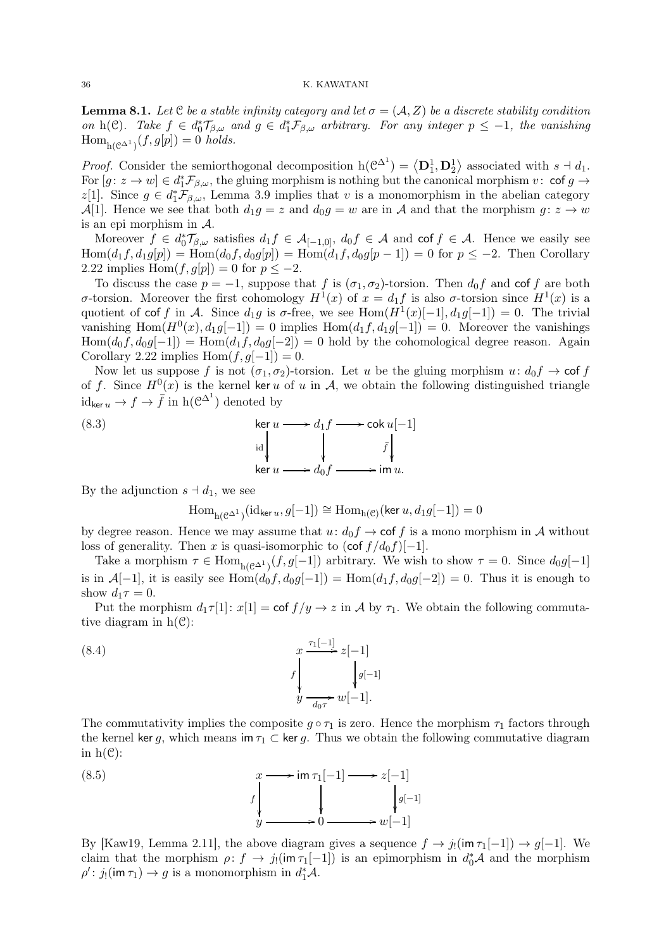**Lemma 8.1.** Let C be a stable infinity category and let  $\sigma = (\mathcal{A}, Z)$  be a discrete stability condition on h(C). Take  $f \in d_0^* \mathcal{T}_{\beta,\omega}$  and  $g \in d_1^* \mathcal{F}_{\beta,\omega}$  arbitrary. For any integer  $p \leq -1$ , the vanishing  $\text{Hom}_{h(\mathcal{C}^{\Delta^1})}(f,g[p]) = 0 \text{ holds.}$ 

*Proof.* Consider the semiorthogonal decomposition  $h(\mathcal{C}^{\Delta^1}) = \langle D_1^1, D_2^1 \rangle$  associated with  $s \dashv d_1$ . For  $[g: z \to w] \in d^*_1\mathcal{F}_{\beta,\omega}$ , the gluing morphism is nothing but the canonical morphism  $v: \mathsf{cof}\ g \to$ z[1]. Since  $g \in d_1^* \mathcal{F}_{\beta,\omega}$ , Lemma 3.9 implies that v is a monomorphism in the abelian category A[1]. Hence we see that both  $d_1g = z$  and  $d_0g = w$  are in A and that the morphism  $g: z \to w$ is an epi morphism in  $A$ .

Moreover  $f \in d_0^* \mathcal{T}_{\beta,\omega}$  satisfies  $d_1 f \in \mathcal{A}_{[-1,0]}, d_0 f \in \mathcal{A}$  and cof  $f \in \mathcal{A}$ . Hence we easily see  $\text{Hom}(d_1f, d_1g[p]) = \text{Hom}(d_0f, d_0g[p]) = \text{Hom}(d_1f, d_0g[p-1]) = 0 \text{ for } p \leq -2.$  Then Corollary 2.22 implies Hom $(f, g[p]) = 0$  for  $p \leq -2$ .

To discuss the case  $p = -1$ , suppose that f is  $(\sigma_1, \sigma_2)$ -torsion. Then  $d_0 f$  and cof f are both σ-torsion. Moreover the first cohomology  $H^1(x)$  of  $x = d_1f$  is also σ-torsion since  $H^1(x)$  is a quotient of cof f in A. Since  $d_1g$  is  $\sigma$ -free, we see Hom $(H^1(x)[-1], d_1g[-1]) = 0$ . The trivial vanishing  $\text{Hom}(H^0(x), d_1g[-1]) = 0$  implies  $\text{Hom}(d_1f, d_1g[-1]) = 0$ . Moreover the vanishings  $\text{Hom}(d_0f, d_0g[-1]) = \text{Hom}(d_1f, d_0g[-2]) = 0$  hold by the cohomological degree reason. Again Corollary 2.22 implies Hom $(f, g[-1]) = 0$ .

Now let us suppose f is not  $(\sigma_1, \sigma_2)$ -torsion. Let u be the gluing morphism  $u: d_0 f \to \text{cof } f$ of f. Since  $H^0(x)$  is the kernel ker u of u in A, we obtain the following distinguished triangle  $id_{\ker u} \to f \to \bar{f}$  in  $h(\mathcal{C}^{\Delta^1})$  denoted by

(8.3) 
$$
\ker u \longrightarrow d_1 f \longrightarrow \operatorname{cok} u[-1]
$$

$$
\downarrow \qquad \qquad \downarrow \qquad \qquad \downarrow \qquad \qquad \downarrow
$$

$$
\ker u \longrightarrow d_0 f \longrightarrow \operatorname{im} u.
$$

By the adjunction  $s \dashv d_1$ , we see

$$
\mathrm{Hom}_{\mathrm{h}(\mathcal{C}^{\Delta^1})}(\mathrm{id}_{\ker u},g[-1])\cong \mathrm{Hom}_{\mathrm{h}(\mathcal{C})}(\ker u,d_1g[-1])=0
$$

by degree reason. Hence we may assume that  $u: d_0f \to \text{cof } f$  is a mono morphism in A without loss of generality. Then x is quasi-isomorphic to  $(\cot f/d_0 f)[-1]$ .

Take a morphism  $\tau \in \text{Hom}_{h(\mathcal{C}^{\Delta^1})}(f,g[-1])$  arbitrary. We wish to show  $\tau = 0$ . Since  $d_0g[-1]$ is in  $\mathcal{A}[-1]$ , it is easily see Hom $(d_0f, d_0g[-1]) = \text{Hom}(d_1f, d_0g[-2]) = 0$ . Thus it is enough to show  $d_1\tau = 0$ .

Put the morphism  $d_1\tau[1]: x[1] = \text{cof } f/y \to z$  in A by  $\tau_1$ . We obtain the following commutative diagram in  $h(\mathcal{C})$ :

(8.4) 
$$
x \xrightarrow{r_1[-1]} z[-1] \qquad \qquad f \downarrow g_{[-1]} \qquad \qquad f \downarrow g_{[-1]} \qquad \qquad f \downarrow g_{[-1]} \qquad \qquad g_{\overline{d_0 \tau}} \cdot w[-1].
$$

The commutativity implies the composite  $q \circ \tau_1$  is zero. Hence the morphism  $\tau_1$  factors through the kernel ker g, which means im  $\tau_1 \subset$  ker g. Thus we obtain the following commutative diagram in  $h(\mathcal{C})$ :



By [Kaw19, Lemma 2.11], the above diagram gives a sequence  $f \to j_1(\text{im } \tau_1[-1]) \to g[-1]$ . We claim that the morphism  $\rho: f \to j_!(\text{im } \tau_1[-1])$  is an epimorphism in  $d_0^*\mathcal{A}$  and the morphism  $\rho'$ :  $j_!$ (im  $\tau_1$ )  $\to g$  is a monomorphism in  $d_1^*\mathcal{A}$ .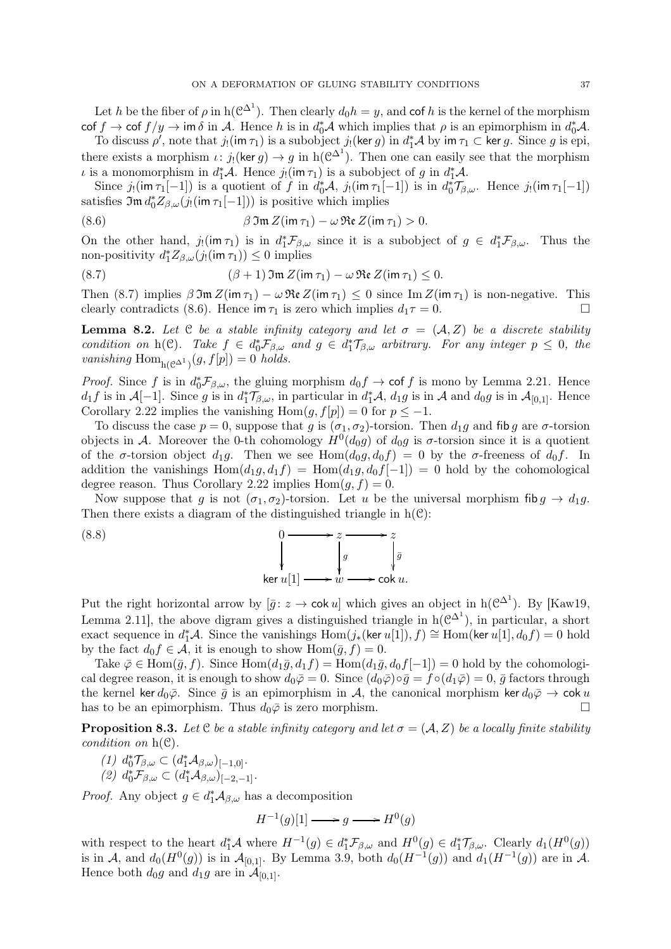Let h be the fiber of  $\rho$  in  $h(\mathcal{C}^{\Delta^1})$ . Then clearly  $d_0h=y$ , and cof h is the kernel of the morphism  $\cot f \to \cot f / y \to \text{im } \delta$  in A. Hence h is in  $d_0^* A$  which implies that  $\rho$  is an epimorphism in  $d_0^* A$ .

To discuss  $\rho'$ , note that  $j_!({\sf im\,}\tau_1)$  is a subobject  $j_!({\sf ker\,} g)$  in  $d_1^*\mathcal{A}$  by  ${\sf im\,}\tau_1\subset{\sf ker\,} g$ . Since g is epi, there exists a morphism  $\iota: j_!$  (ker  $g) \to g$  in h( $\mathcal{C}^{\Delta^1}$ ). Then one can easily see that the morphism *ι* is a monomorphism in  $d_1^*A$ . Hence  $j_!(\text{im } \tau_1)$  is a subobject of g in  $d_1^*A$ .

Since  $j_!(\text{im } \tau_1[-1])$  is a quotient of f in  $d_0^*\mathcal{A}, j_!(\text{im } \tau_1[-1])$  is in  $d_0^*\mathcal{T}_{\beta,\omega}$ . Hence  $j_!(\text{im } \tau_1[-1])$ satisfies  $\mathfrak{Im} d_0^* Z_{\beta,\omega}(j_! (\mathfrak{im} \tau_1[-1]))$  is positive which implies

(8.6) 
$$
\beta \mathfrak{Im} Z(\text{im } \tau_1) - \omega \mathfrak{Re} Z(\text{im } \tau_1) > 0.
$$

On the other hand,  $j_!(\text{im } \tau_1)$  is in  $d_1^* \mathcal{F}_{\beta,\omega}$  since it is a subobject of  $g \in d_1^* \mathcal{F}_{\beta,\omega}$ . Thus the non-positivity  $d_1^* Z_{\beta,\omega}(j_!({\text{im } \tau_1})) \leq 0$  implies

(8.7) 
$$
(\beta + 1) \mathfrak{Im} Z(\mathsf{im} \tau_1) - \omega \mathfrak{Re} Z(\mathsf{im} \tau_1) \leq 0.
$$

Then (8.7) implies  $\beta \mathfrak{Im} Z(\mathfrak{im} \tau_1) - \omega \mathfrak{Re} Z(\mathfrak{im} \tau_1) \leq 0$  since  $\text{Im} Z(\mathfrak{im} \tau_1)$  is non-negative. This clearly contradicts (8.6) Hence  $\mathfrak{im} \tau_1$  is zero which implies  $d_1 \tau = 0$ clearly contradicts (8.6). Hence im  $\tau_1$  is zero which implies  $d_1\tau = 0$ .

**Lemma 8.2.** Let C be a stable infinity category and let  $\sigma = (\mathcal{A}, Z)$  be a discrete stability condition on h(C). Take  $f \in d_0^* \mathcal{F}_{\beta,\omega}$  and  $g \in d_1^* \mathcal{T}_{\beta,\omega}$  arbitrary. For any integer  $p \leq 0$ , the vanishing  $\text{Hom}_{h(\mathcal{C}^{\Delta^1})}(g, f[p]) = 0$  holds.

*Proof.* Since f is in  $d_0^* \mathcal{F}_{\beta,\omega}$ , the gluing morphism  $d_0 f \to \text{cof } f$  is mono by Lemma 2.21. Hence  $d_1f$  is in  $\mathcal{A}[-1]$ . Since g is in  $d_1^*\mathcal{T}_{\beta,\omega}$ , in particular in  $d_1^*\mathcal{A}$ ,  $d_1g$  is in  $\mathcal{A}$  and  $d_0g$  is in  $\mathcal{A}_{[0,1]}$ . Hence Corollary 2.22 implies the vanishing Hom $(g, f[p]) = 0$  for  $p \le -1$ .

To discuss the case  $p = 0$ , suppose that g is  $(\sigma_1, \sigma_2)$ -torsion. Then  $d_1g$  and fib g are  $\sigma$ -torsion objects in A. Moreover the 0-th cohomology  $H^0(d_0g)$  of  $d_0g$  is  $\sigma$ -torsion since it is a quotient of the  $\sigma$ -torsion object  $d_1g$ . Then we see Hom $(d_0g, d_0f) = 0$  by the  $\sigma$ -freeness of  $d_0f$ . In addition the vanishings  $Hom(d_1g, d_1f) = Hom(d_1g, d_0f[-1]) = 0$  hold by the cohomological degree reason. Thus Corollary 2.22 implies  $Hom(g, f) = 0$ .

Now suppose that g is not  $(\sigma_1, \sigma_2)$ -torsion. Let u be the universal morphism fib  $g \to d_1 g$ . Then there exists a diagram of the distinguished triangle in  $h(\mathcal{C})$ :

> /z  $\bar{g}$ ľ

$$
\begin{array}{ccc}\n & & 0 & \longrightarrow z \\
& & \downarrow & \\
& & \downarrow & \\
& & \downarrow & \\
& & \downarrow & \\
& & \downarrow & \\
& & \downarrow & \\
& & \downarrow & \\
& & \downarrow & \\
& & \downarrow & \\
& & \downarrow & \\
& & \downarrow & \\
& & \downarrow & \\
& & \downarrow & \\
& & \downarrow & \\
& & \downarrow & \\
& & \downarrow & \\
& & \downarrow & \\
& & \downarrow & \\
& & \downarrow & \\
& & \downarrow & \\
& & \downarrow & \\
& & \downarrow & \\
& & \downarrow & \\
& & \downarrow & \\
& & \downarrow & \\
& & \downarrow & \\
& & \downarrow & \\
& & \downarrow & \\
& & \downarrow & \\
& & \downarrow & \\
& & \downarrow & \\
& & \downarrow & \\
& & \downarrow & \\
& & \downarrow & \\
& & \downarrow & \\
& & \downarrow & \\
& & \downarrow & \\
& & \downarrow & \\
& & \downarrow & \\
& & \downarrow & \\
& & \downarrow & \\
& & \downarrow & \\
& & \downarrow & \\
& & \downarrow & \\
& & \downarrow & \\
& & \downarrow & \\
& & \downarrow & \\
& & \downarrow & \\
& & \downarrow & \\
& & \downarrow & \\
& & \downarrow & \\
& & \downarrow & \\
& & \downarrow & \\
& & \downarrow & \\
& & \downarrow & \\
& & \downarrow & \\
& & \downarrow & \\
& & \downarrow & \\
& & \downarrow & \\
& & \downarrow & \\
& & \downarrow & \\
& & \downarrow & \\
& & \downarrow & \\
& & \downarrow & \\
& & \downarrow & \\
& & \downarrow & \\
& & \downarrow & \\
& & \downarrow & \\
& & \downarrow & \\
& & \downarrow & \\
& & \downarrow & \\
& & \downarrow & \\
& & \downarrow & \\
& & \downarrow & \\
& & \downarrow & \\
& & \downarrow & \\
& & \downarrow & \\
& & \downarrow & \\
& & \downarrow & \\
& & \downarrow & \\
& & \downarrow & \\
& & \downarrow & \\
& & \downarrow & \\
& & \downarrow & \\
& & \downarrow & \\
& & \downarrow & \\
& & \downarrow & \\
& & \downarrow & \\
& & \downarrow & \\
& & \downarrow & \\
& & \downarrow & \\
& & \downarrow & \\
& & \downarrow & \\
& & \downarrow & \\
& & \downarrow & \\
& & \downarrow & \\
& & \downarrow & \\
& & \downarrow & \\
& & \downarrow & \\
& & \downarrow & \\
& & \downarrow & \\
& & \downarrow & \\
& & \downarrow & \\
& & \downarrow & \\
& & \downarrow & \\
& & \downarrow & \\
&
$$

Put the right horizontal arrow by  $[\bar{g} : z \to \text{cok } u]$  which gives an object in h( $\mathcal{C}^{\Delta^1}$ ). By [Kaw19, Lemma 2.11, the above digram gives a distinguished triangle in  $h(\mathcal{C}^{\Delta^1})$ , in particular, a short exact sequence in  $d_1^* A$ . Since the vanishings  $\text{Hom}(j_*(\ker u[1]), f) \cong \text{Hom}(\ker u[1], d_0 f) = 0$  hold by the fact  $d_0 f \in \mathcal{A}$ , it is enough to show  $\text{Hom}(\bar{g}, f) = 0$ .

ker  $u[1] \longrightarrow w \longrightarrow \operatorname{cok} u.$ 

Take  $\overline{\varphi} \in \text{Hom}(\overline{g}, f)$ . Since  $\text{Hom}(d_1\overline{g}, d_1f) = \text{Hom}(d_1\overline{g}, d_0f[-1]) = 0$  hold by the cohomological degree reason, it is enough to show  $d_0\bar{\varphi}=0$ . Since  $(d_0\bar{\varphi})\circ \bar{g}=f\circ (d_1\bar{\varphi})=0$ ,  $\bar{g}$  factors through the kernel ker  $d_0\bar{\varphi}$ . Since  $\bar{g}$  is an epimorphism in A, the canonical morphism ker  $d_0\bar{\varphi} \to \text{cok }u$ <br>has to be an epimorphism Thus  $d_0\bar{\varphi}$  is zero morphism has to be an epimorphism. Thus  $d_0\bar{\varphi}$  is zero morphism.

**Proposition 8.3.** Let C be a stable infinity category and let  $\sigma = (A, Z)$  be a locally finite stability condition on  $h(\mathcal{C})$ .

- $(1) d_0^* \mathcal{T}_{\beta,\omega} \subset (d_1^* \mathcal{A}_{\beta,\omega})_{[-1,0]}.$
- (2)  $d_0^* \mathcal{F}_{\beta,\omega} \subset (d_1^* \mathcal{A}_{\beta,\omega})_{[-2,-1]}.$

*Proof.* Any object  $g \in d_1^* \mathcal{A}_{\beta,\omega}$  has a decomposition

 $H^{-1}(g)[1] \longrightarrow g \longrightarrow H^0(g)$ 

with respect to the heart  $d_1^*\mathcal{A}$  where  $H^{-1}(g) \in d_1^*\mathcal{F}_{\beta,\omega}$  and  $H^0(g) \in d_1^*\mathcal{T}_{\beta,\omega}$ . Clearly  $d_1(H^0(g))$ is in A, and  $d_0(H^0(g))$  is in  $\mathcal{A}_{[0,1]}$ . By Lemma 3.9, both  $d_0(H^{-1}(g))$  and  $d_1(H^{-1}(g))$  are in A. Hence both  $d_0g$  and  $d_1g$  are in  $\mathcal{A}_{[0,1]}$ .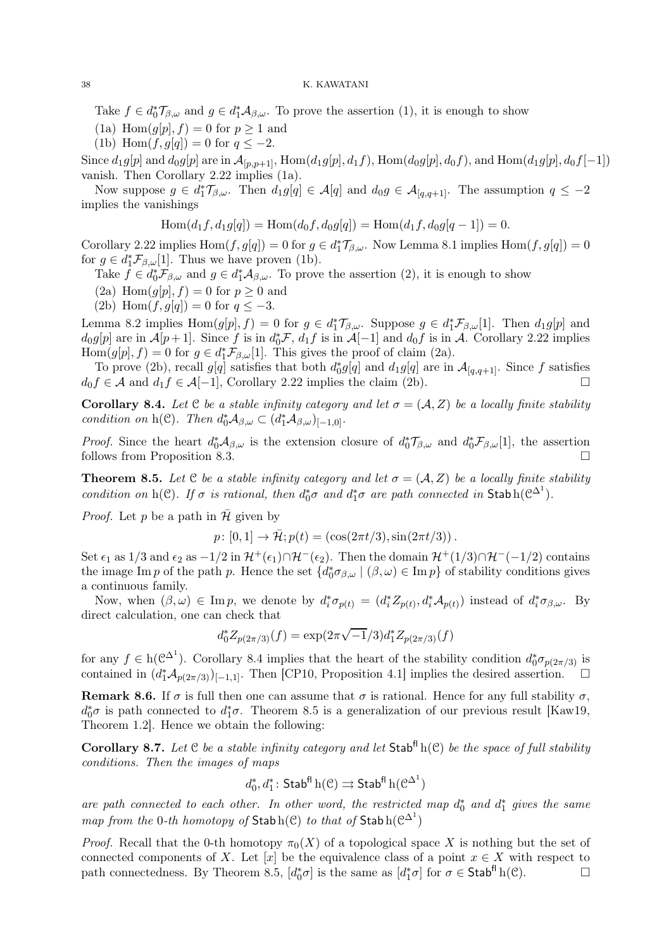Take  $f \in d_0^* \mathcal{T}_{\beta,\omega}$  and  $g \in d_1^* \mathcal{A}_{\beta,\omega}$ . To prove the assertion (1), it is enough to show

(1a) Hom $(g[p], f) = 0$  for  $p \ge 1$  and

(1b) Hom $(f, g[q]) = 0$  for  $q \leq -2$ .

Since  $d_1g[p]$  and  $d_0g[p]$  are in  $\mathcal{A}_{[p,p+1]}$ , Hom $(d_1g[p], d_1f)$ , Hom $(d_0g[p], d_0f)$ , and Hom $(d_1g[p], d_0f[-1])$ vanish. Then Corollary 2.22 implies (1a).

Now suppose  $g \in d_1^* \mathcal{T}_{\beta,\omega}$ . Then  $d_1g[q] \in \mathcal{A}[q]$  and  $d_0g \in \mathcal{A}_{[q,q+1]}$ . The assumption  $q \leq -2$ implies the vanishings

$$
Hom(d_1f, d_1g[q]) = Hom(d_0f, d_0g[q]) = Hom(d_1f, d_0g[q-1]) = 0.
$$

Corollary 2.22 implies  $\text{Hom}(f, g[q]) = 0$  for  $g \in d^*_1 \mathcal{T}_{\beta,\omega}$ . Now Lemma 8.1 implies  $\text{Hom}(f, g[q]) = 0$ for  $g \in d_1^* \mathcal{F}_{\beta,\omega}[1]$ . Thus we have proven (1b).

Take  $f \in d_0^* \mathcal{F}_{\beta,\omega}$  and  $g \in d_1^* \mathcal{A}_{\beta,\omega}$ . To prove the assertion (2), it is enough to show

(2a) Hom $(q[p], f) = 0$  for  $p \ge 0$  and

(2b) Hom $(f, g[q]) = 0$  for  $q \leq -3$ .

Lemma 8.2 implies  $\text{Hom}(g[p], f) = 0$  for  $g \in d_1^* \mathcal{T}_{\beta,\omega}$ . Suppose  $g \in d_1^* \mathcal{F}_{\beta,\omega}[1]$ . Then  $d_1g[p]$  and  $d_0g[p]$  are in  $\mathcal{A}[p+1]$ . Since f is in  $d_0^*\mathcal{F}$ ,  $d_1f$  is in  $\mathcal{A}[-1]$  and  $d_0f$  is in  $\mathcal{A}$ . Corollary 2.22 implies  $\text{Hom}(g[p], f) = 0$  for  $g \in d^*_1 \mathcal{F}_{\beta,\omega}[1]$ . This gives the proof of claim (2a).

To prove (2b), recall  $g[q]$  satisfies that both  $d_0^*g[q]$  and  $d_1g[q]$  are in  $\mathcal{A}_{[q,q+1]}$ . Since f satisfies  $d_0 f \in \mathcal{A}$  and  $d_1 f \in \mathcal{A}[-1]$ , Corollary 2.22 implies the claim (2b).

Corollary 8.4. Let C be a stable infinity category and let  $\sigma = (\mathcal{A}, Z)$  be a locally finite stability condition on h(C). Then  $d_0^*\mathcal{A}_{\beta,\omega} \subset (d_1^*\mathcal{A}_{\beta,\omega})_{[-1,0]}.$ 

*Proof.* Since the heart  $d_0^* A_{\beta,\omega}$  is the extension closure of  $d_0^* \mathcal{T}_{\beta,\omega}$  and  $d_0^* \mathcal{F}_{\beta,\omega}[1]$ , the assertion follows from Proposition 8.3.

**Theorem 8.5.** Let C be a stable infinity category and let  $\sigma = (A, Z)$  be a locally finite stability condition on h(C). If  $\sigma$  is rational, then  $d_0^* \sigma$  and  $d_1^* \sigma$  are path connected in Stabh( $\mathcal{C}^{\Delta^1}$ ).

*Proof.* Let p be a path in  $\overline{\mathcal{H}}$  given by

$$
p: [0, 1] \to \bar{\mathcal{H}}; p(t) = (\cos(2\pi t/3), \sin(2\pi t/3)).
$$

Set  $\epsilon_1$  as  $1/3$  and  $\epsilon_2$  as  $-1/2$  in  $\mathcal{H}^+(\epsilon_1)\cap\mathcal{H}^-(\epsilon_2)$ . Then the domain  $\mathcal{H}^+(1/3)\cap\mathcal{H}^-(-1/2)$  contains the image Im p of the path p. Hence the set  $\{d_0^*\sigma_{\beta,\omega} \mid (\beta,\omega) \in \text{Im } p\}$  of stability conditions gives a continuous family.

Now, when  $(\beta, \omega) \in \text{Im } p$ , we denote by  $d_i^* \sigma_{p(t)} = (d_i^* Z_{p(t)}, d_i^* A_{p(t)})$  instead of  $d_i^* \sigma_{\beta, \omega}$ . By direct calculation, one can check that

$$
d_0^* Z_{p(2\pi/3)}(f) = \exp(2\pi\sqrt{-1}/3)d_1^* Z_{p(2\pi/3)}(f)
$$

for any  $f \in h(\mathcal{C}^{\Delta^1})$ . Corollary 8.4 implies that the heart of the stability condition  $d_0^*\sigma_{p(2\pi/3)}$  is contained in  $(d_1^*\mathcal{A}_{p(2\pi/3)})_{[-1,1]}$ . Then [CP10, Proposition 4.1] implies the desired assertion.  $\Box$ 

Remark 8.6. If  $\sigma$  is full then one can assume that  $\sigma$  is rational. Hence for any full stability  $\sigma$ ,  $d_0^*\sigma$  is path connected to  $d_1^*\sigma$ . Theorem 8.5 is a generalization of our previous result [Kaw19, Theorem 1.2]. Hence we obtain the following:

Corollary 8.7. Let  $C$  be a stable infinity category and let  $Stab<sup>f|</sup>$  h(C) be the space of full stability conditions. Then the images of maps

$$
d_0^*,d_1^*\colon \mathsf{Stab}^{\mathsf{fl}}\, \mathrm{h}(\mathcal{C}) \rightrightarrows \mathsf{Stab}^{\mathsf{fl}}\, \mathrm{h}(\mathcal{C}^{\Delta^1})
$$

are path connected to each other. In other word, the restricted map  $d_0^*$  and  $d_1^*$  gives the same map from the 0-th homotopy of  $\mathsf{Stab}\,h(\mathcal{C})$  to that of  $\mathsf{Stab}\,h(\mathcal{C}^{\Delta^1})$ 

*Proof.* Recall that the 0-th homotopy  $\pi_0(X)$  of a topological space X is nothing but the set of connected components of X. Let [x] be the equivalence class of a point  $x \in X$  with respect to path connectedness. By Theorem 8.5,  $[d^*_{\alpha}\sigma]$  is the same as  $[d^*_{\alpha}\sigma]$  for  $\sigma \in \mathsf{Stab}^{\mathsf{fl}}(C)$ . path connectedness. By Theorem 8.5,  $[d_0^*\sigma]$  is the same as  $[d_1^*\sigma]$  for  $\sigma \in \mathsf{Stab}^{\mathsf{fl}}\mathsf{h}(\mathcal{C})$ .